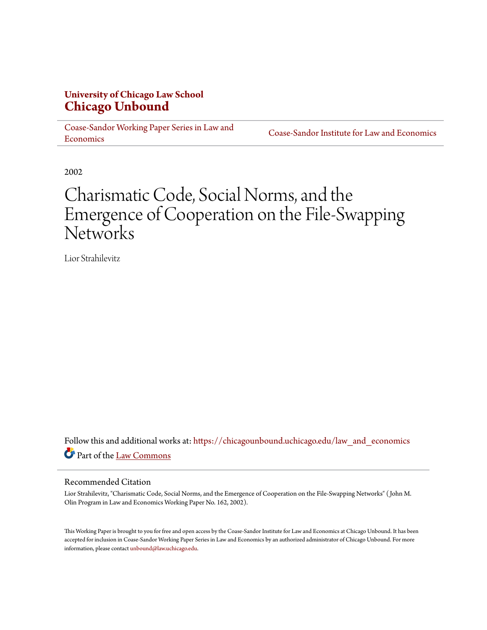## **University of Chicago Law School [Chicago Unbound](https://chicagounbound.uchicago.edu?utm_source=chicagounbound.uchicago.edu%2Flaw_and_economics%2F100&utm_medium=PDF&utm_campaign=PDFCoverPages)**

[Coase-Sandor Working Paper Series in Law and](https://chicagounbound.uchicago.edu/law_and_economics?utm_source=chicagounbound.uchicago.edu%2Flaw_and_economics%2F100&utm_medium=PDF&utm_campaign=PDFCoverPages) [Economics](https://chicagounbound.uchicago.edu/law_and_economics?utm_source=chicagounbound.uchicago.edu%2Flaw_and_economics%2F100&utm_medium=PDF&utm_campaign=PDFCoverPages)

[Coase-Sandor Institute for Law and Economics](https://chicagounbound.uchicago.edu/coase_sandor_institute?utm_source=chicagounbound.uchicago.edu%2Flaw_and_economics%2F100&utm_medium=PDF&utm_campaign=PDFCoverPages)

2002

# Charismatic Code, Social Norms, and the Emergence of Cooperation on the File-Swapping **Networks**

Lior Strahilevitz

Follow this and additional works at: [https://chicagounbound.uchicago.edu/law\\_and\\_economics](https://chicagounbound.uchicago.edu/law_and_economics?utm_source=chicagounbound.uchicago.edu%2Flaw_and_economics%2F100&utm_medium=PDF&utm_campaign=PDFCoverPages) Part of the [Law Commons](http://network.bepress.com/hgg/discipline/578?utm_source=chicagounbound.uchicago.edu%2Flaw_and_economics%2F100&utm_medium=PDF&utm_campaign=PDFCoverPages)

#### Recommended Citation

Lior Strahilevitz, "Charismatic Code, Social Norms, and the Emergence of Cooperation on the File-Swapping Networks" ( John M. Olin Program in Law and Economics Working Paper No. 162, 2002).

This Working Paper is brought to you for free and open access by the Coase-Sandor Institute for Law and Economics at Chicago Unbound. It has been accepted for inclusion in Coase-Sandor Working Paper Series in Law and Economics by an authorized administrator of Chicago Unbound. For more information, please contact [unbound@law.uchicago.edu.](mailto:unbound@law.uchicago.edu)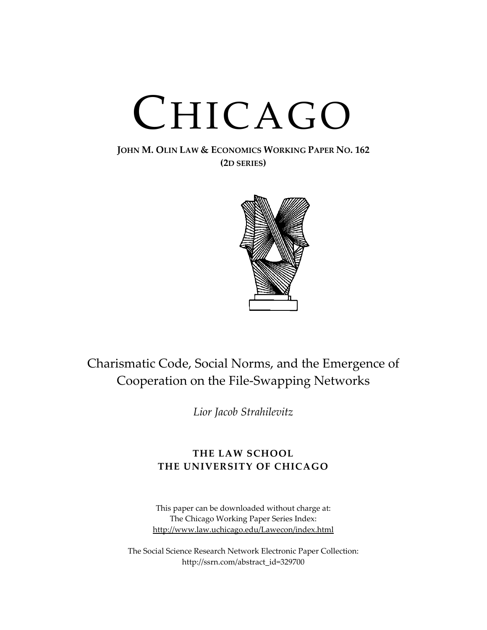# CHICAGO

### **JOHN M. OLIN LAW & ECONOMICS WORKING PAPER NO. 162 (2D SERIES)**



## Charismatic Code, Social Norms, and the Emergence of Cooperation on the File-Swapping Networks

*Lior Jacob Strahilevitz* 

## **THE LAW SCHOOL THE UNIVERSITY OF CHICAGO**

This paper can be downloaded without charge at: The Chicago Working Paper Series Index: [http://www.law.uchicago.edu/Lawecon/index.html](http://www.law.uchicago.edu/Publications/Working/index.html)

The Social Science Research Network Electronic Paper Collection: [http://ssrn.com/abstract\\_id=3](http://papers.ssrn.com/sol3/search.taf)29700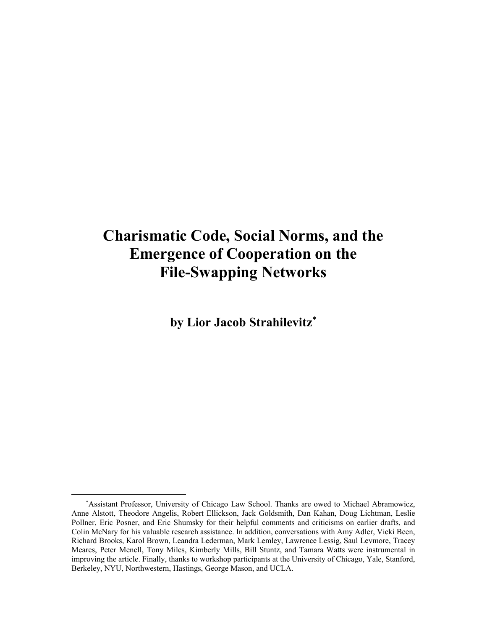# **Charismatic Code, Social Norms, and the Emergence of Cooperation on the File-Swapping Networks**

**by Lior Jacob Strahilevitz**[∗](#page-2-0)

 $\overline{a}$ 

<span id="page-2-0"></span><sup>∗</sup> Assistant Professor, University of Chicago Law School. Thanks are owed to Michael Abramowicz, Anne Alstott, Theodore Angelis, Robert Ellickson, Jack Goldsmith, Dan Kahan, Doug Lichtman, Leslie Pollner, Eric Posner, and Eric Shumsky for their helpful comments and criticisms on earlier drafts, and Colin McNary for his valuable research assistance. In addition, conversations with Amy Adler, Vicki Been, Richard Brooks, Karol Brown, Leandra Lederman, Mark Lemley, Lawrence Lessig, Saul Levmore, Tracey Meares, Peter Menell, Tony Miles, Kimberly Mills, Bill Stuntz, and Tamara Watts were instrumental in improving the article. Finally, thanks to workshop participants at the University of Chicago, Yale, Stanford, Berkeley, NYU, Northwestern, Hastings, George Mason, and UCLA.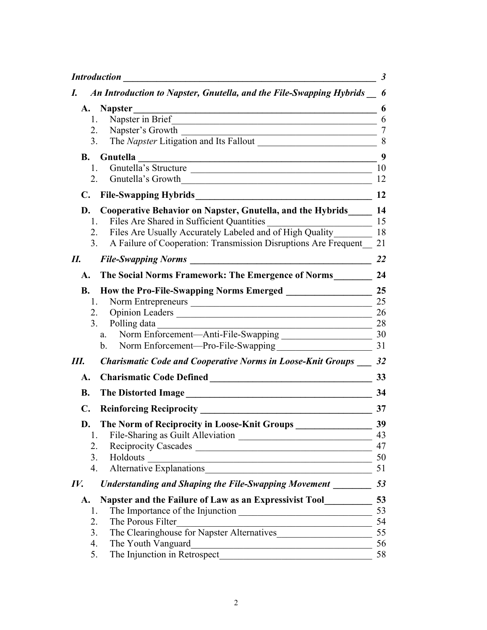|                  | <b>Introduction</b>                                                                                                                                | $\boldsymbol{\beta}$ |
|------------------|----------------------------------------------------------------------------------------------------------------------------------------------------|----------------------|
| I.               | An Introduction to Napster, Gnutella, and the File-Swapping Hybrids                                                                                | 6                    |
|                  | A. Napster                                                                                                                                         | 6                    |
|                  | Napster in Brief<br>1.<br><u> 1980 - Andrea Stadt British, fransk politik (d. 1980)</u>                                                            | 6                    |
|                  | Napster's Growth<br>2.<br><u> 1989 - Johann John Stein, mars an deus Amerikaansk kommunister (</u>                                                 | 7                    |
|                  | 3.                                                                                                                                                 | 8                    |
| <b>B.</b>        | Gnutella<br><u> 1989 - Johann Stoff, deutscher Stoffen und der Stoffen und der Stoffen und der Stoffen und der Stoffen und de</u>                  | 9                    |
|                  | Gnutella's Structure<br>1.<br><u> 1989 - Johann John Stone, mars eta bainar eta bainar eta baina eta baina eta baina eta baina eta baina eta b</u> | 10                   |
|                  | 2.<br>Gnutella's Growth<br><u> 1989 - Johann John Stone, markin film yn y brenin y brenin y brenin y brenin y brenin y brenin y brenin y br</u>    | 12                   |
|                  | C. File-Swapping Hybrids                                                                                                                           | 12                   |
| D.               | <b>Cooperative Behavior on Napster, Gnutella, and the Hybrids</b>                                                                                  | 14                   |
|                  | Files Are Shared in Sufficient Quantities<br>1.                                                                                                    | 15                   |
|                  | Files Are Usually Accurately Labeled and of High Quality<br>2.                                                                                     | 18                   |
|                  | A Failure of Cooperation: Transmission Disruptions Are Frequent<br>3.                                                                              | 21                   |
| П.               | <b>File-Swapping Norms</b>                                                                                                                         | 22                   |
| A.               | The Social Norms Framework: The Emergence of Norms                                                                                                 | 24                   |
| <b>B.</b>        | <b>How the Pro-File-Swapping Norms Emerged</b>                                                                                                     | 25                   |
|                  | 1.                                                                                                                                                 | 25                   |
|                  | Opinion Leaders<br>2.                                                                                                                              | 26                   |
|                  | Polling data<br>3 <sub>1</sub>                                                                                                                     | 28                   |
|                  | Norm Enforcement—Anti-File-Swapping<br>Norm Enforcement—Anti-File-Swapping<br>a.                                                                   | 30                   |
|                  | Norm Enforcement—Pro-File-Swapping<br>b.                                                                                                           | 31                   |
| Ш.               | <b>Charismatic Code and Cooperative Norms in Loose-Knit Groups</b>                                                                                 | 32                   |
| A.               | <b>Charismatic Code Defined</b>                                                                                                                    | 33                   |
| <b>B.</b>        | <b>The Distorted Image</b>                                                                                                                         | 34                   |
| $\mathbf{C}$ .   | <b>Reinforcing Reciprocity</b>                                                                                                                     | 37                   |
| D.               | The Norm of Reciprocity in Loose-Knit Groups                                                                                                       | 39                   |
|                  | 1.                                                                                                                                                 | 43                   |
|                  | 2.                                                                                                                                                 | 47                   |
|                  | 3.<br>Holdouts<br><u> 1989 - Johann Barn, mars ann an t-Amhain an t-Amhain an t-Amhain an t-Amhain an t-Amhain an t-Amhain an t-Amh</u>            | 50                   |
|                  | Alternative Explanations<br>$\overline{4}$ .<br><u> 1989 - Johann Stein, mars an deus Amerikaansk kommunister (* 1958)</u>                         | 51                   |
| $I\mathcal{V}$ . | <b>Understanding and Shaping the File-Swapping Movement</b>                                                                                        | 53                   |
| <b>A.</b>        | Napster and the Failure of Law as an Expressivist Tool                                                                                             | 53                   |
|                  | 1.                                                                                                                                                 | 53                   |
|                  | The Porous Filter<br>2.<br><u> Alexandria de la contrada de la contrada de la contrada de la contrada de la contrada de la contrada de la c</u>    | 54                   |
|                  | The Clearinghouse for Napster Alternatives<br>3.                                                                                                   | 55                   |
|                  | 4.<br>The Youth Vanguard<br><u> 1989 - Johann Barn, mars ann an t-Amhain an t-Amhain an t-Amhain an t-Amhain an t-Amhain an t-Amhain an t-Amh</u>  | 56                   |
|                  | 5.<br>The Injunction in Retrospect                                                                                                                 | 58                   |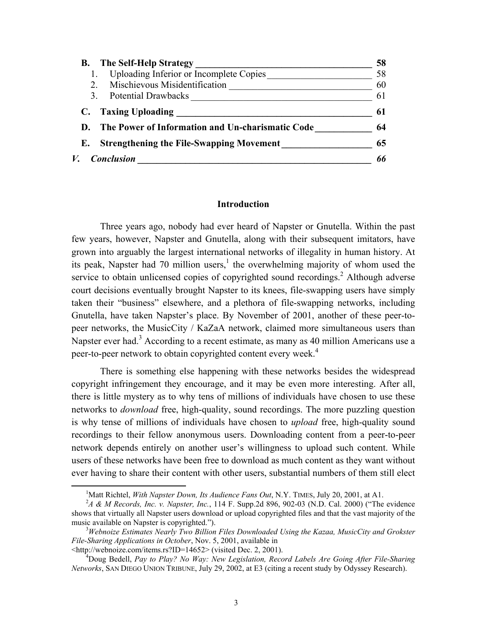<span id="page-4-0"></span>

| The Self-Help Strategy                                | 58 |
|-------------------------------------------------------|----|
| Uploading Inferior or Incomplete Copies               | 58 |
| Mischievous Misidentification                         | 60 |
| <b>Potential Drawbacks</b><br>3                       | 6  |
| C. Taxing Uploading                                   | 61 |
| The Power of Information and Un-charismatic Code      | 64 |
| <b>Strengthening the File-Swapping Movement</b><br>Е. | 65 |
| <b>Conclusion</b>                                     |    |

#### **Introduction**

Three years ago, nobody had ever heard of Napster or Gnutella. Within the past few years, however, Napster and Gnutella, along with their subsequent imitators, have grown into arguably the largest international networks of illegality in human history. At its peak, Napster had 70 million users,<sup>[1](#page-4-1)</sup> the overwhelming majority of whom used the service to obtain unlicensed copies of copyrighted sound recordings.<sup>[2](#page-4-2)</sup> Although adverse court decisions eventually brought Napster to its knees, file-swapping users have simply taken their "business" elsewhere, and a plethora of file-swapping networks, including Gnutella, have taken Napster's place. By November of 2001, another of these peer-topeer networks, the MusicCity / KaZaA network, claimed more simultaneous users than Napster ever had.<sup>[3](#page-4-3)</sup> According to a recent estimate, as many as 40 million Americans use a peer-to-peer network to obtain copyrighted content every week.<sup>4</sup>

There is something else happening with these networks besides the widespread copyright infringement they encourage, and it may be even more interesting. After all, there is little mystery as to why tens of millions of individuals have chosen to use these networks to *download* free, high-quality, sound recordings. The more puzzling question is why tense of millions of individuals have chosen to *upload* free, high-quality sound recordings to their fellow anonymous users. Downloading content from a peer-to-peer network depends entirely on another user's willingness to upload such content. While users of these networks have been free to download as much content as they want without ever having to share their content with other users, substantial numbers of them still elect

<span id="page-4-1"></span> <sup>1</sup> <sup>1</sup>Matt Richtel, *With Napster Down, Its Audience Fans Out*, N.Y. TIMES, July 20, 2001, at A1.

<span id="page-4-2"></span>*A & M Records, Inc. v. Napster, Inc.*, 114 F. Supp.2d 896, 902-03 (N.D. Cal. 2000) ("The evidence shows that virtually all Napster users download or upload copyrighted files and that the vast majority of the music available on Napster is copyrighted.").

<span id="page-4-3"></span>*Webnoize Estimates Nearly Two Billion Files Downloaded Using the Kazaa, MusicCity and Grokster File-Sharing Applications in October*, Nov. 5, 2001, available in

 $\lt$ http://webnoize.com/items.rs?ID=14652> (visited Dec. 2, 2001).

<span id="page-4-4"></span><sup>&</sup>lt;sup>4</sup>Doug Bedell, *Pay to Play? No Way: New Legislation, Record Labels Are Going After File-Sharing Networks*, SAN DIEGO UNION TRIBUNE, July 29, 2002, at E3 (citing a recent study by Odyssey Research).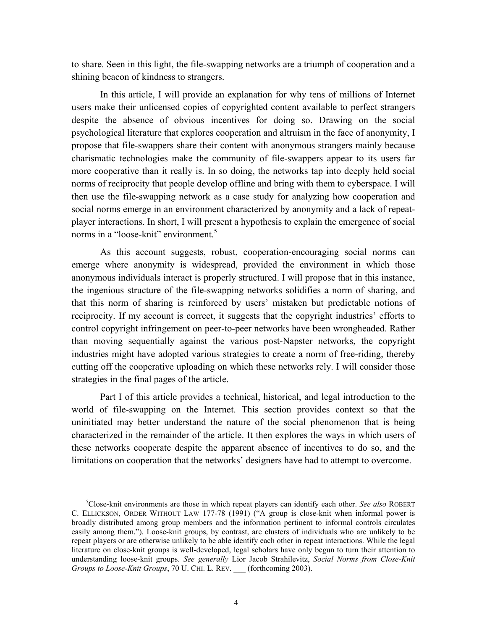to share. Seen in this light, the file-swapping networks are a triumph of cooperation and a shining beacon of kindness to strangers.

In this article, I will provide an explanation for why tens of millions of Internet users make their unlicensed copies of copyrighted content available to perfect strangers despite the absence of obvious incentives for doing so. Drawing on the social psychological literature that explores cooperation and altruism in the face of anonymity, I propose that file-swappers share their content with anonymous strangers mainly because charismatic technologies make the community of file-swappers appear to its users far more cooperative than it really is. In so doing, the networks tap into deeply held social norms of reciprocity that people develop offline and bring with them to cyberspace. I will then use the file-swapping network as a case study for analyzing how cooperation and social norms emerge in an environment characterized by anonymity and a lack of repeatplayer interactions. In short, I will present a hypothesis to explain the emergence of social norms in a "loose-knit" environment.<sup>5</sup>

As this account suggests, robust, cooperation-encouraging social norms can emerge where anonymity is widespread, provided the environment in which those anonymous individuals interact is properly structured. I will propose that in this instance, the ingenious structure of the file-swapping networks solidifies a norm of sharing, and that this norm of sharing is reinforced by users' mistaken but predictable notions of reciprocity. If my account is correct, it suggests that the copyright industries' efforts to control copyright infringement on peer-to-peer networks have been wrongheaded. Rather than moving sequentially against the various post-Napster networks, the copyright industries might have adopted various strategies to create a norm of free-riding, thereby cutting off the cooperative uploading on which these networks rely. I will consider those strategies in the final pages of the article.

Part I of this article provides a technical, historical, and legal introduction to the world of file-swapping on the Internet. This section provides context so that the uninitiated may better understand the nature of the social phenomenon that is being characterized in the remainder of the article. It then explores the ways in which users of these networks cooperate despite the apparent absence of incentives to do so, and the limitations on cooperation that the networks' designers have had to attempt to overcome.

<span id="page-5-0"></span> $rac{1}{5}$ <sup>5</sup>Close-knit environments are those in which repeat players can identify each other. *See also* ROBERT C. ELLICKSON, ORDER WITHOUT LAW 177-78 (1991) ("A group is close-knit when informal power is broadly distributed among group members and the information pertinent to informal controls circulates easily among them."). Loose-knit groups, by contrast, are clusters of individuals who are unlikely to be repeat players or are otherwise unlikely to be able identify each other in repeat interactions. While the legal literature on close-knit groups is well-developed, legal scholars have only begun to turn their attention to understanding loose-knit groups. *See generally* Lior Jacob Strahilevitz, *Social Norms from Close-Knit Groups to Loose-Knit Groups*, 70 U. CHI. L. REV. \_\_\_ (forthcoming 2003).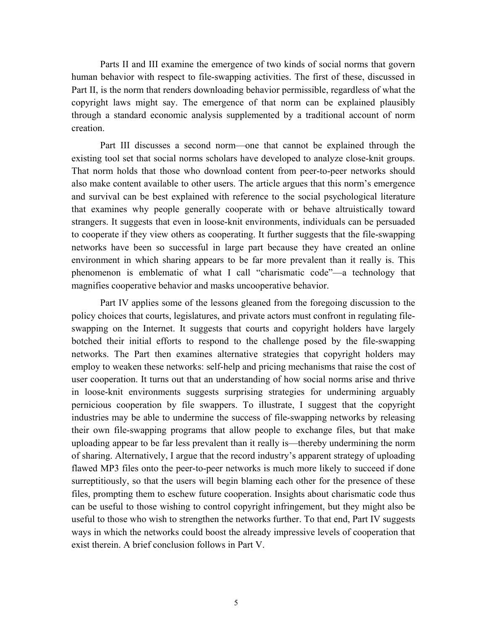Parts II and III examine the emergence of two kinds of social norms that govern human behavior with respect to file-swapping activities. The first of these, discussed in Part II, is the norm that renders downloading behavior permissible, regardless of what the copyright laws might say. The emergence of that norm can be explained plausibly through a standard economic analysis supplemented by a traditional account of norm creation.

Part III discusses a second norm—one that cannot be explained through the existing tool set that social norms scholars have developed to analyze close-knit groups. That norm holds that those who download content from peer-to-peer networks should also make content available to other users. The article argues that this norm's emergence and survival can be best explained with reference to the social psychological literature that examines why people generally cooperate with or behave altruistically toward strangers. It suggests that even in loose-knit environments, individuals can be persuaded to cooperate if they view others as cooperating. It further suggests that the file-swapping networks have been so successful in large part because they have created an online environment in which sharing appears to be far more prevalent than it really is. This phenomenon is emblematic of what I call "charismatic code"—a technology that magnifies cooperative behavior and masks uncooperative behavior.

Part IV applies some of the lessons gleaned from the foregoing discussion to the policy choices that courts, legislatures, and private actors must confront in regulating fileswapping on the Internet. It suggests that courts and copyright holders have largely botched their initial efforts to respond to the challenge posed by the file-swapping networks. The Part then examines alternative strategies that copyright holders may employ to weaken these networks: self-help and pricing mechanisms that raise the cost of user cooperation. It turns out that an understanding of how social norms arise and thrive in loose-knit environments suggests surprising strategies for undermining arguably pernicious cooperation by file swappers. To illustrate, I suggest that the copyright industries may be able to undermine the success of file-swapping networks by releasing their own file-swapping programs that allow people to exchange files, but that make uploading appear to be far less prevalent than it really is—thereby undermining the norm of sharing. Alternatively, I argue that the record industry's apparent strategy of uploading flawed MP3 files onto the peer-to-peer networks is much more likely to succeed if done surreptitiously, so that the users will begin blaming each other for the presence of these files, prompting them to eschew future cooperation. Insights about charismatic code thus can be useful to those wishing to control copyright infringement, but they might also be useful to those who wish to strengthen the networks further. To that end, Part IV suggests ways in which the networks could boost the already impressive levels of cooperation that exist therein. A brief conclusion follows in Part V.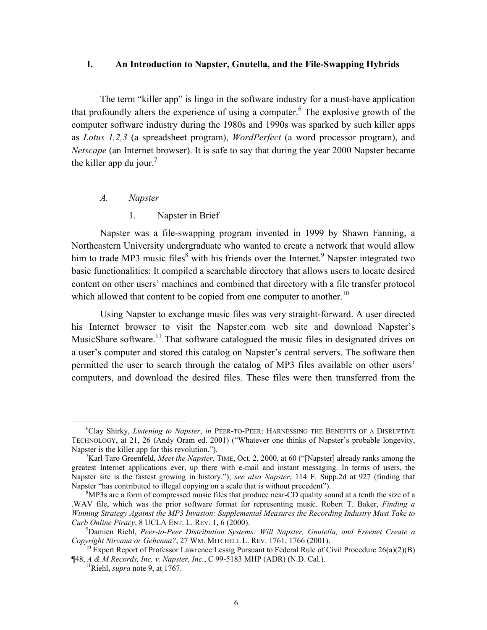#### <span id="page-7-0"></span>**I. An Introduction to Napster, Gnutella, and the File-Swapping Hybrids**

The term "killer app" is lingo in the software industry for a must-have application that profoundly alters the experience of using a computer. <sup>6</sup> The explosive growth of the computer software industry during the 1980s and 1990s was sparked by such killer apps as *Lotus 1,2,3* (a spreadsheet program), *WordPerfect* (a word processor program), and *Netscape* (an Internet browser). It is safe to say that during the year 2000 Napster became the killer app du jour.<sup>[7](#page-7-2)</sup>

#### *A. Napster*

1. Napster in Brief

Napster was a file-swapping program invented in 1999 by Shawn Fanning, a Northeastern University undergraduate who wanted to create a network that would allow him to trade MP3 music files<sup>[8](#page-7-3)</sup> with his friends over the Internet.<sup>[9](#page-7-4)</sup> Napster integrated two basic functionalities: It compiled a searchable directory that allows users to locate desired content on other users' machines and combined that directory with a file transfer protocol which allowed that content to be copied from one computer to another.<sup>10</sup>

Using Napster to exchange music files was very straight-forward. A user directed his Internet browser to visit the Napster.com web site and download Napster's MusicShare software.<sup>11</sup> That software catalogued the music files in designated drives on a user's computer and stored this catalog on Napster's central servers. The software then permitted the user to search through the catalog of MP3 files available on other users' computers, and download the desired files. These files were then transferred from the

<span id="page-7-1"></span> <sup>6</sup> Clay Shirky, *Listening to Napster*, *in* PEER-TO-PEER: HARNESSING THE BENEFITS OF A DISRUPTIVE TECHNOLOGY, at 21, 26 (Andy Oram ed. 2001) ("Whatever one thinks of Napster's probable longevity, Napster is the killer app for this revolution.").

<span id="page-7-2"></span>Karl Taro Greenfeld, *Meet the Napster*, TIME, Oct. 2, 2000, at 60 ("[Napster] already ranks among the greatest Internet applications ever, up there with e-mail and instant messaging. In terms of users, the Napster site is the fastest growing in history."); *see also Napster*, 114 F. Supp.2d at 927 (finding that Napster "has contributed to illegal copying on a scale that is without precedent").

<span id="page-7-3"></span> ${}^{8}$ MP3s are a form of compressed music files that produce near-CD quality sound at a tenth the size of a .WAV file, which was the prior software format for representing music. Robert T. Baker, *Finding a Winning Strategy Against the MP3 Invasion: Supplemental Measures the Recording Industry Must Take to Curb Online Piracy*, 8 UCLA ENT. L. REV. 1, 6 (2000).

<span id="page-7-4"></span><sup>&</sup>lt;sup>9</sup> Damien Riehl, *Peer-to-Peer Distribution Systems: Will Napster, Gnutella, and Freenet Create a Copyright Nirvana or Gehenna?, 27 WM. MITCHELL L. REV. 1761, 1766 (2001).* 

<sup>&</sup>lt;sup>10</sup> Expert Report of Professor Lawrence Lessig Pursuant to Federal Rule of Civil Procedure 26(a)(2)(B) ¶48, *A & M Records, Inc. v. Napster, Inc.*, C 99-5183 MHP (ADR) (N.D. Cal.). 11Riehl, *supra* note 9, at 1767.

<span id="page-7-6"></span><span id="page-7-5"></span>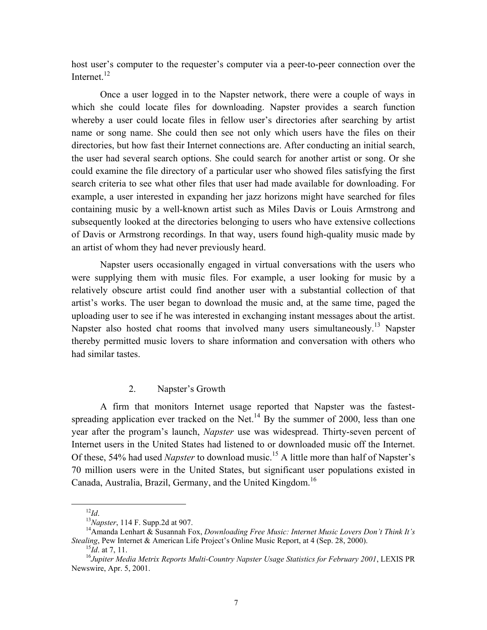<span id="page-8-0"></span>host user's computer to the requester's computer via a peer-to-peer connection over the Internet $^{12}$ 

Once a user logged in to the Napster network, there were a couple of ways in which she could locate files for downloading. Napster provides a search function whereby a user could locate files in fellow user's directories after searching by artist name or song name. She could then see not only which users have the files on their directories, but how fast their Internet connections are. After conducting an initial search, the user had several search options. She could search for another artist or song. Or she could examine the file directory of a particular user who showed files satisfying the first search criteria to see what other files that user had made available for downloading. For example, a user interested in expanding her jazz horizons might have searched for files containing music by a well-known artist such as Miles Davis or Louis Armstrong and subsequently looked at the directories belonging to users who have extensive collections of Davis or Armstrong recordings. In that way, users found high-quality music made by an artist of whom they had never previously heard.

Napster users occasionally engaged in virtual conversations with the users who were supplying them with music files. For example, a user looking for music by a relatively obscure artist could find another user with a substantial collection of that artist's works. The user began to download the music and, at the same time, paged the uploading user to see if he was interested in exchanging instant messages about the artist. Napster also hosted chat rooms that involved many users simultaneously.<sup>13</sup> Napster thereby permitted music lovers to share information and conversation with others who had similar tastes.

#### 2. Napster's Growth

A firm that monitors Internet usage reported that Napster was the fastestspreading application ever tracked on the Net.<sup>14</sup> By the summer of 2000, less than one year after the program's launch, *Napster* use was widespread. Thirty-seven percent of Internet users in the United States had listened to or downloaded music off the Internet. Of these, 54% had used *Napster* to download music.<sup>15</sup> A little more than half of Napster's 70 million users were in the United States, but significant user populations existed in Canada, Australia, Brazil, Germany, and the United Kingdom. [16](#page-8-5) 

<span id="page-8-1"></span>

<span id="page-8-3"></span><span id="page-8-2"></span>

<sup>&</sup>lt;sup>12</sup>*Id.* 13<br><sup>13</sup>*Napster*, 114 F. Supp.2d at 907.<br><sup>14</sup>Amanda Lenhart & Susannah Fox, *Downloading Free Music: Internet Music Lovers Don't Think It's Stealing*, Pew Internet & American Life Project's Online Music Report, at 4 (Sep. 28, 2000).<br><sup>15</sup>Id. at 7, 11.<br><sup>16</sup>Jupiter Media Metrix Reports Multi-Country Napster Usage Statistics for February 2001, LEXIS PR

<span id="page-8-5"></span><span id="page-8-4"></span>

Newswire, Apr. 5, 2001.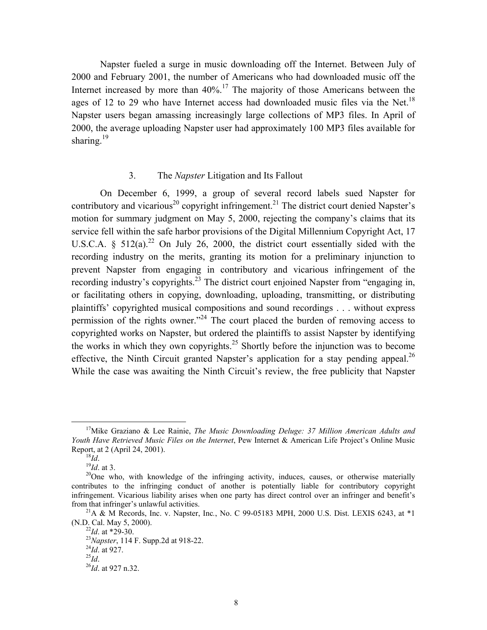<span id="page-9-0"></span>Napster fueled a surge in music downloading off the Internet. Between July of 2000 and February 2001, the number of Americans who had downloaded music off the Internet increased by more than  $40\%$ .<sup>17</sup> The majority of those Americans between the ages of 12 to 29 who have Internet access had downloaded music files via the Net.<sup>18</sup> Napster users began amassing increasingly large collections of MP3 files. In April of 2000, the average uploading Napster user had approximately 100 MP3 files available for sharing. $19$ 

#### 3. The *Napster* Litigation and Its Fallout

On December 6, 1999, a group of several record labels sued Napster for contributory and vicarious<sup>20</sup> copyright infringement.<sup>21</sup> The district court denied Napster's motion for summary judgment on May 5, 2000, rejecting the company's claims that its service fell within the safe harbor provisions of the Digital Millennium Copyright Act, 17 U.S.C.A.  $\frac{1}{2}$  512(a).<sup>22</sup> On July 26, 2000, the district court essentially sided with the recording industry on the merits, granting its motion for a preliminary injunction to prevent Napster from engaging in contributory and vicarious infringement of the recording industry's copyrights.<sup>23</sup> The district court enjoined Napster from "engaging in, or facilitating others in copying, downloading, uploading, transmitting, or distributing plaintiffs' copyrighted musical compositions and sound recordings . . . without express permission of the rights owner."<sup>24</sup> The court placed the burden of removing access to copyrighted works on Napster, but ordered the plaintiffs to assist Napster by identifying the works in which they own copyrights.<sup>25</sup> Shortly before the injunction was to become effective, the Ninth Circuit granted Napster's application for a stay pending appeal.<sup>26</sup> While the case was awaiting the Ninth Circuit's review, the free publicity that Napster

<span id="page-9-1"></span> <sup>17</sup>Mike Graziano & Lee Rainie, *The Music Downloading Deluge: 37 Million American Adults and Youth Have Retrieved Music Files on the Internet*, Pew Internet & American Life Project's Online Music Report, at 2 (April 24, 2001).<br><sup>19</sup>*Id*. at 3. <sup>19</sup>*Id*. at 3. <sup>20</sup>One who, with knowledge of the infringing activity, induces, causes, or otherwise materially

<span id="page-9-2"></span>

<span id="page-9-4"></span><span id="page-9-3"></span>

contributes to the infringing conduct of another is potentially liable for contributory copyright infringement. Vicarious liability arises when one party has direct control over an infringer and benefit's from that infringer's unlawful activities.<br><sup>21</sup>A & M Records, Inc. v. Napster, Inc., No. C 99-05183 MPH, 2000 U.S. Dist. LEXIS 6243, at \*1

<span id="page-9-5"></span><sup>(</sup>N.D. Cal. May 5, 2000).<br><sup>22</sup>*Id*. at \*29-30.<br><sup>23</sup>*Napster*, 114 F. Supp.2d at 918-22.<br><sup>24</sup>*Id*. at 927.<br><sup>26</sup>*Id*. at 927 n.32.

<span id="page-9-6"></span>

<span id="page-9-7"></span>

<span id="page-9-8"></span>

<span id="page-9-9"></span>

<span id="page-9-10"></span>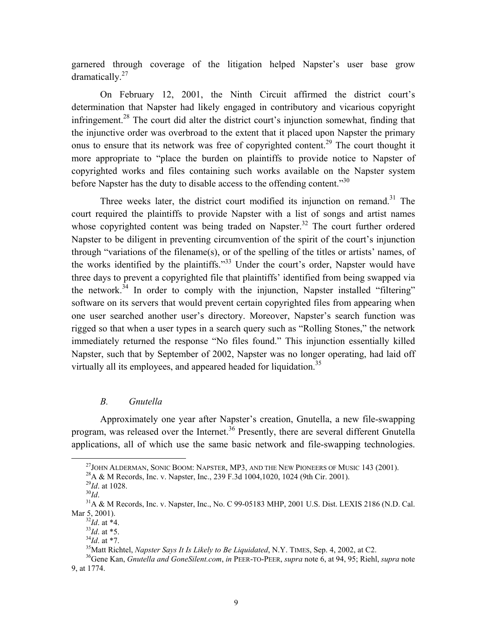<span id="page-10-0"></span>garnered through coverage of the litigation helped Napster's user base grow dramatically[.27](#page-10-1)

On February 12, 2001, the Ninth Circuit affirmed the district court's determination that Napster had likely engaged in contributory and vicarious copyright infringement.<sup>28</sup> The court did alter the district court's injunction somewhat, finding that the injunctive order was overbroad to the extent that it placed upon Napster the primary onus to ensure that its network was free of copyrighted content.<sup>29</sup> The court thought it more appropriate to "place the burden on plaintiffs to provide notice to Napster of copyrighted works and files containing such works available on the Napster system before Napster has the duty to disable access to the offending content. $130$ 

Three weeks later, the district court modified its injunction on remand.<sup>31</sup> The court required the plaintiffs to provide Napster with a list of songs and artist names whose copyrighted content was being traded on Napster.<sup>32</sup> The court further ordered Napster to be diligent in preventing circumvention of the spirit of the court's injunction through "variations of the filename(s), or of the spelling of the titles or artists' names, of the works identified by the plaintiffs."<sup>33</sup> Under the court's order, Napster would have three days to prevent a copyrighted file that plaintiffs' identified from being swapped via the network.<sup>34</sup> In order to comply with the injunction, Napster installed "filtering" software on its servers that would prevent certain copyrighted files from appearing when one user searched another user's directory. Moreover, Napster's search function was rigged so that when a user types in a search query such as "Rolling Stones," the network immediately returned the response "No files found." This injunction essentially killed Napster, such that by September of 2002, Napster was no longer operating, had laid off virtually all its employees, and appeared headed for liquidation.<sup>35</sup>

#### *B. Gnutella*

Approximately one year after Napster's creation, Gnutella, a new file-swapping program, was released over the Internet.<sup>36</sup> Presently, there are several different Gnutella applications, all of which use the same basic network and file-swapping technologies.

<span id="page-10-1"></span><sup>&</sup>lt;sup>27</sup>JOHN ALDERMAN, SONIC BOOM: NAPSTER, MP3, AND THE NEW PIONEERS OF MUSIC 143 (2001).<br><sup>28</sup>A & M Records, Inc. v. Napster, Inc., 239 F.3d 1004,1020, 1024 (9th Cir. 2001).<br><sup>29</sup>Id. at 1028.<br><sup>31</sup>A & M Records, Inc. v. Napste

<span id="page-10-2"></span>

<span id="page-10-3"></span>

<span id="page-10-5"></span><span id="page-10-4"></span>

Mar 5, 2001).<br> $^{32}$ *Id.* at \*4.

<span id="page-10-6"></span>

<span id="page-10-9"></span><span id="page-10-8"></span>

<span id="page-10-7"></span><sup>&</sup>lt;sup>33</sup>Id. at \*5.<br><sup>34</sup>Id. at \*7.<br><sup>35</sup>Matt Richtel, *Napster Says It Is Likely to Be Liquidated*, N.Y. TIMES, Sep. 4, 2002, at C2.<br><sup>36</sup>Gene Kan, *Gnutella and GoneSilent.com*, *in* PEER-TO-PEER, *supra* note 6, at 94, 95; Rie

<span id="page-10-10"></span><sup>9,</sup> at 1774.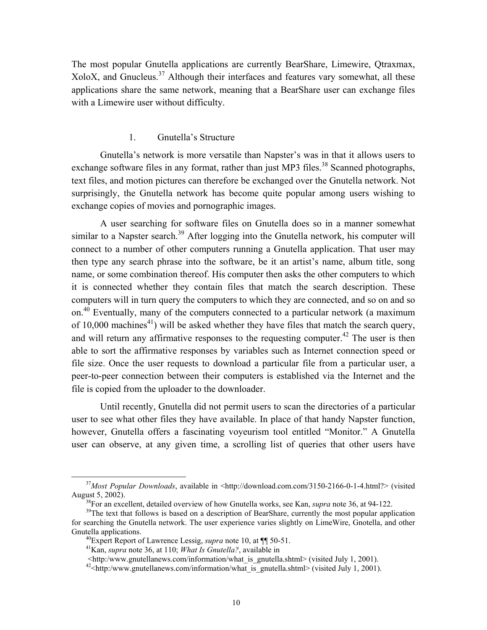<span id="page-11-0"></span>The most popular Gnutella applications are currently BearShare, Limewire, Qtraxmax, XoloX, and Gnucleus. $37$  Although their interfaces and features vary somewhat, all these applications share the same network, meaning that a BearShare user can exchange files with a Limewire user without difficulty.

#### 1. Gnutella's Structure

Gnutella's network is more versatile than Napster's was in that it allows users to exchange software files in any format, rather than just MP3 files.<sup>38</sup> Scanned photographs, text files, and motion pictures can therefore be exchanged over the Gnutella network. Not surprisingly, the Gnutella network has become quite popular among users wishing to exchange copies of movies and pornographic images.

A user searching for software files on Gnutella does so in a manner somewhat similar to a Napster search.<sup>39</sup> After logging into the Gnutella network, his computer will connect to a number of other computers running a Gnutella application. That user may then type any search phrase into the software, be it an artist's name, album title, song name, or some combination thereof. His computer then asks the other computers to which it is connected whether they contain files that match the search description. These computers will in turn query the computers to which they are connected, and so on and so on[.40](#page-11-4) Eventually, many of the computers connected to a particular network (a maximum of 10,000 machines<sup>41</sup>) will be asked whether they have files that match the search query, and will return any affirmative responses to the requesting computer.<sup>42</sup> The user is then able to sort the affirmative responses by variables such as Internet connection speed or file size. Once the user requests to download a particular file from a particular user, a peer-to-peer connection between their computers is established via the Internet and the file is copied from the uploader to the downloader.

Until recently, Gnutella did not permit users to scan the directories of a particular user to see what other files they have available. In place of that handy Napster function, however, Gnutella offers a fascinating voyeurism tool entitled "Monitor." A Gnutella user can observe, at any given time, a scrolling list of queries that other users have

<span id="page-11-1"></span><sup>&</sup>lt;sup>37</sup>Most Popular Downloads, available in <http://download.com.com/3150-2166-0-1-4.html?> (visited August 5, 2002).<br><sup>38</sup>For an excellent, detailed overview of how Gnutella works, see Kan, *supra* note 36, at 94-122.<br><sup>39</sup>The text that follows is based on a description of BearShare, currently the most popular application

<span id="page-11-3"></span><span id="page-11-2"></span>

for searching the Gnutella network. The user experience varies slightly on LimeWire, Gnotella, and other Gnutella applications.<br><sup>40</sup>Expert Report of Lawrence Lessig, *supra* note 10, at ¶¶ 50-51.<br><sup>41</sup>Kan, *supra* note 36, at 110; *What Is Gnutella?*, available in

<span id="page-11-4"></span>

<span id="page-11-5"></span>

<span id="page-11-6"></span>

 <sup>&</sup>lt;http:/www.gnutellanews.com/information/what\_is\_gnutella.shtml> (visited July 1, 2001). 42<http:/www.gnutellanews.com/information/what\_is\_gnutella.shtml> (visited July 1, 2001).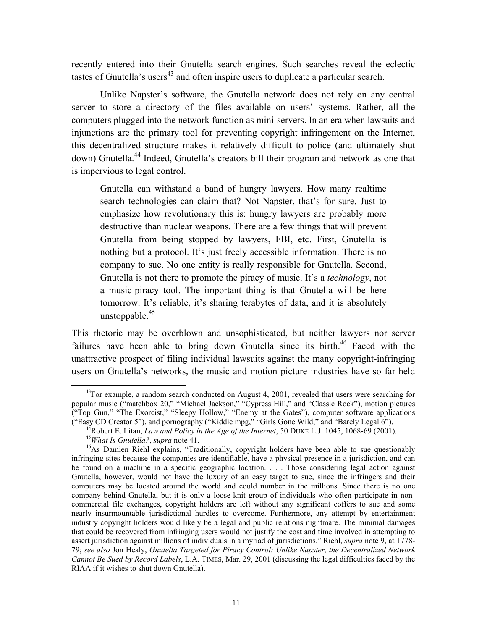recently entered into their Gnutella search engines. Such searches reveal the eclectic tastes of Gnutella's users<sup>43</sup> and often inspire users to duplicate a particular search.

Unlike Napster's software, the Gnutella network does not rely on any central server to store a directory of the files available on users' systems. Rather, all the computers plugged into the network function as mini-servers. In an era when lawsuits and injunctions are the primary tool for preventing copyright infringement on the Internet, this decentralized structure makes it relatively difficult to police (and ultimately shut down) Gnutella.<sup>44</sup> Indeed, Gnutella's creators bill their program and network as one that is impervious to legal control.

Gnutella can withstand a band of hungry lawyers. How many realtime search technologies can claim that? Not Napster, that's for sure. Just to emphasize how revolutionary this is: hungry lawyers are probably more destructive than nuclear weapons. There are a few things that will prevent Gnutella from being stopped by lawyers, FBI, etc. First, Gnutella is nothing but a protocol. It's just freely accessible information. There is no company to sue. No one entity is really responsible for Gnutella. Second, Gnutella is not there to promote the piracy of music. It's a *technology*, not a music-piracy tool. The important thing is that Gnutella will be here tomorrow. It's reliable, it's sharing terabytes of data, and it is absolutely unstoppable. $45$ 

This rhetoric may be overblown and unsophisticated, but neither lawyers nor server failures have been able to bring down Gnutella since its birth.<sup>46</sup> Faced with the unattractive prospect of filing individual lawsuits against the many copyright-infringing users on Gnutella's networks, the music and motion picture industries have so far held

<span id="page-12-0"></span><sup>&</sup>lt;sup>43</sup>For example, a random search conducted on August 4, 2001, revealed that users were searching for popular music ("matchbox 20," "Michael Jackson," "Cypress Hill," and "Classic Rock"), motion pictures ("Top Gun," "The Exorcist," "Sleepy Hollow," "Enemy at the Gates"), computer software applications

<sup>(&</sup>quot;Easy CD Creator 5"), and pornography ("Kiddie mpg," "Girls Gone Wild," and "Barely Legal 6").<br><sup>44</sup>Robert E. Litan, *Law and Policy in the Age of the Internet*, 50 DUKE L.J. 1045, 1068-69 (2001).<br><sup>45</sup>*What Is Gnutella?*,

<span id="page-12-3"></span><span id="page-12-2"></span><span id="page-12-1"></span>

infringing sites because the companies are identifiable, have a physical presence in a jurisdiction, and can be found on a machine in a specific geographic location. . . . Those considering legal action against Gnutella, however, would not have the luxury of an easy target to sue, since the infringers and their computers may be located around the world and could number in the millions. Since there is no one company behind Gnutella, but it is only a loose-knit group of individuals who often participate in noncommercial file exchanges, copyright holders are left without any significant coffers to sue and some nearly insurmountable jurisdictional hurdles to overcome. Furthermore, any attempt by entertainment industry copyright holders would likely be a legal and public relations nightmare. The minimal damages that could be recovered from infringing users would not justify the cost and time involved in attempting to assert jurisdiction against millions of individuals in a myriad of jurisdictions." Riehl, *supra* note 9, at 1778- 79; *see also* Jon Healy, *Gnutella Targeted for Piracy Control: Unlike Napster, the Decentralized Network Cannot Be Sued by Record Labels*, L.A. TIMES, Mar. 29, 2001 (discussing the legal difficulties faced by the RIAA if it wishes to shut down Gnutella).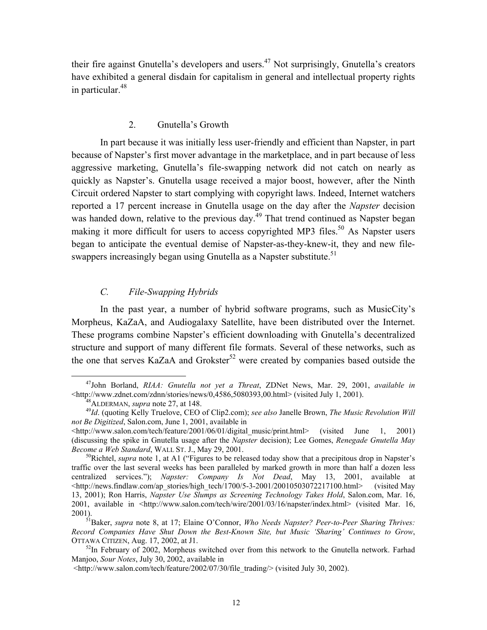<span id="page-13-0"></span>their fire against Gnutella's developers and users.<sup>47</sup> Not surprisingly, Gnutella's creators have exhibited a general disdain for capitalism in general and intellectual property rights in particular. $48$ 

#### 2. Gnutella's Growth

In part because it was initially less user-friendly and efficient than Napster, in part because of Napster's first mover advantage in the marketplace, and in part because of less aggressive marketing, Gnutella's file-swapping network did not catch on nearly as quickly as Napster's. Gnutella usage received a major boost, however, after the Ninth Circuit ordered Napster to start complying with copyright laws. Indeed, Internet watchers reported a 17 percent increase in Gnutella usage on the day after the *Napster* decision was handed down, relative to the previous day.<sup>49</sup> That trend continued as Napster began making it more difficult for users to access copyrighted MP3 files.<sup>50</sup> As Napster users began to anticipate the eventual demise of Napster-as-they-knew-it, they and new fileswappers increasingly began using Gnutella as a Napster substitute.<sup>51</sup>

#### *C. File-Swapping Hybrids*

In the past year, a number of hybrid software programs, such as MusicCity's Morpheus, KaZaA, and Audiogalaxy Satellite, have been distributed over the Internet. These programs combine Napster's efficient downloading with Gnutella's decentralized structure and support of many different file formats. Several of these networks, such as the one that serves KaZaA and Grokster<sup>52</sup> were created by companies based outside the

<sup>&</sup>lt;sup>47</sup>John Borland, *RIAA: Gnutella not yet a Threat*, ZDNet News, Mar. 29, 2001, *available in* <http://www.zdnet.com/zdnn/stories/news/0,4586,5080393,00.html> (visited July 1, 2001).

<span id="page-13-3"></span><span id="page-13-2"></span><span id="page-13-1"></span>

<sup>&</sup>lt;sup>48</sup>ALDERMAN, *supra* note 27, at 148.<br><sup>49</sup>*Id*. (quoting Kelly Truelove, CEO of Clip2.com); see also Janelle Brown, *The Music Revolution Will not Be Digitized*, Salon.com, June 1, 2001, available in

 $\lt$ http://www.salon.com/tech/feature/2001/06/01/digital music/print.html> (visited June 1, 2001) (discussing the spike in Gnutella usage after the *Napster* decision); Lee Gomes, *Renegade Gnutella May Become a Web Standard*, WALL ST. J., May 29, 2001.<br><sup>50</sup>Richtel, *supra* note 1, at A1 ("Figures to be released today show that a precipitous drop in Napster's

<span id="page-13-4"></span>traffic over the last several weeks has been paralleled by marked growth in more than half a dozen less centralized services."); *Napster: Company Is Not Dead*, May 13, 2001, available at <http://news.findlaw.com/ap\_stories/high\_tech/1700/5-3-2001/20010503072217100.html> . (visited May 13, 2001); Ron Harris, *Napster Use Slumps as Screening Technology Takes Hold*, Salon.com, Mar. 16, 2001, available in <http://www.salon.com/tech/wire/2001/03/16/napster/index.html> (visited Mar. 16, 2001). 51Baker, *supra* note 8, at 17; Elaine O'Connor, *Who Needs Napster? Peer-to-Peer Sharing Thrives:* 

<span id="page-13-5"></span>*Record Companies Have Shut Down the Best-Known Site, but Music 'Sharing' Continues to Grow*, OTTAWA CITIZEN, Aug. 17, 2002, at J1.<br><sup>52</sup>In February of 2002, Morpheus switched over from this network to the Gnutella network. Farhad

<span id="page-13-6"></span>Manjoo, *Sour Notes*, July 30, 2002, available in

 <sup>&</sup>lt;http://www.salon.com/tech/feature/2002/07/30/file\_trading/> (visited July 30, 2002).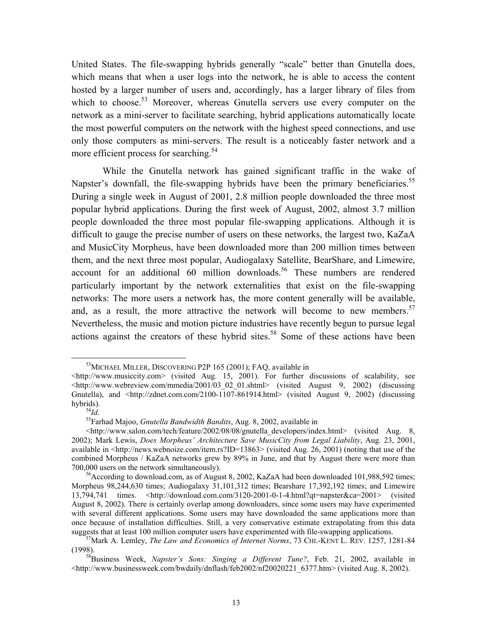United States. The file-swapping hybrids generally "scale" better than Gnutella does, which means that when a user logs into the network, he is able to access the content hosted by a larger number of users and, accordingly, has a larger library of files from which to choose.<sup>53</sup> Moreover, whereas Gnutella servers use every computer on the network as a mini-server to facilitate searching, hybrid applications automatically locate the most powerful computers on the network with the highest speed connections, and use only those computers as mini-servers. The result is a noticeably faster network and a more efficient process for searching.<sup>[54](#page-14-1)</sup>

While the Gnutella network has gained significant traffic in the wake of Napster's downfall, the file-swapping hybrids have been the primary beneficiaries.<sup>55</sup> During a single week in August of 2001, 2.8 million people downloaded the three most popular hybrid applications. During the first week of August, 2002, almost 3.7 million people downloaded the three most popular file-swapping applications. Although it is difficult to gauge the precise number of users on these networks, the largest two, KaZaA and MusicCity Morpheus, have been downloaded more than 200 million times between them, and the next three most popular, Audiogalaxy Satellite, BearShare, and Limewire, account for an additional 60 million downloads.<sup>56</sup> These numbers are rendered particularly important by the network externalities that exist on the file-swapping networks: The more users a network has, the more content generally will be available, and, as a result, the more attractive the network will become to new members.<sup>57</sup> Nevertheless, the music and motion picture industries have recently begun to pursue legal actions against the creators of these hybrid sites.<sup>58</sup> Some of these actions have been

<span id="page-14-0"></span><sup>&</sup>lt;sup>53</sup>MICHAEL MILLER, DISCOVERING P2P 165 (2001); FAQ, available in

 $\langle$ http://www.musiccity.com> (visited Aug. 15, 2001). For further discussions of scalability, see <http://www.webreview.com/mmedia/2001/03\_02\_01.shtml> (visited August 9, 2002) (discussing Gnutella), and  $\frac{\text{th}}{2}$  <http://zdnet.com.com/2100-1107-861914.html> (visited August 9, 2002) (discussing hybrids).

<span id="page-14-1"></span>

<span id="page-14-2"></span><sup>&</sup>lt;sup>55</sup>Farhad Majoo, *Gnutella Bandwidth Bandits*, Aug. 8, 2002, available in

 $\langle$ http://www.salon.com/tech/feature/2002/08/08/gnutella developers/index.html> (visited Aug. 8, 2002); Mark Lewis, *Does Morpheus' Architecture Save MusicCity from Legal Liability*, Aug. 23, 2001, available in <http://news.webnoize.com/item.rs?ID=13863> (visited Aug. 26, 2001) (noting that use of the combined Morpheus / KaZaA networks grew by 89% in June, and that by August there were more than 700,000 users on the network simultaneously). 56According to download.com, as of August 8, 2002, KaZaA had been downloaded 101,988,592 times;

<span id="page-14-3"></span>Morpheus 98,244,630 times; Audiogalaxy 31,101,312 times; Bearshare 17,392,192 times; and Limewire 13,794,741 times. <http://download.com.com/3120-2001-0-1-4.html?qt=napster&ca=2001> (visited August 8, 2002). There is certainly overlap among downloaders, since some users may have experimented with several different applications. Some users may have downloaded the same applications more than once because of installation difficulties. Still, a very conservative estimate extrapolating from this data suggests that at least 100 million computer users have experimented with file-swapping applications.<br><sup>57</sup>Mark A. Lemley, *The Law and Economics of Internet Norms*, 73 CHI.-KENT L. REV. 1257, 1281-84

<span id="page-14-4"></span><sup>(1998). 58</sup>Business Week, *Napster's Sons: Singing a Different Tune?*, Feb. 21, 2002, available in

<span id="page-14-5"></span><sup>&</sup>lt;http://www.businessweek.com/bwdaily/dnflash/feb2002/nf20020221\_6377.htm> (visited Aug. 8, 2002).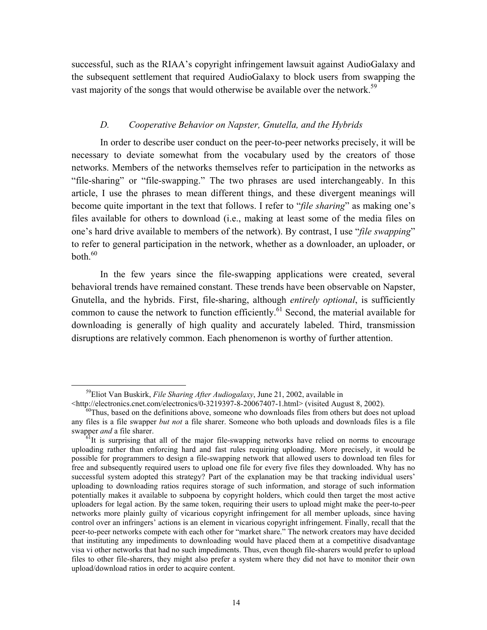<span id="page-15-0"></span>successful, such as the RIAA's copyright infringement lawsuit against AudioGalaxy and the subsequent settlement that required AudioGalaxy to block users from swapping the vast majority of the songs that would otherwise be available over the network.<sup>59</sup>

#### *D. Cooperative Behavior on Napster, Gnutella, and the Hybrids*

In order to describe user conduct on the peer-to-peer networks precisely, it will be necessary to deviate somewhat from the vocabulary used by the creators of those networks. Members of the networks themselves refer to participation in the networks as "file-sharing" or "file-swapping." The two phrases are used interchangeably. In this article, I use the phrases to mean different things, and these divergent meanings will become quite important in the text that follows. I refer to "*file sharing*" as making one's files available for others to download (i.e., making at least some of the media files on one's hard drive available to members of the network). By contrast, I use "*file swapping*" to refer to general participation in the network, whether as a downloader, an uploader, or  $both<sup>60</sup>$ 

In the few years since the file-swapping applications were created, several behavioral trends have remained constant. These trends have been observable on Napster, Gnutella, and the hybrids. First, file-sharing, although *entirely optional*, is sufficiently common to cause the network to function efficiently.<sup>61</sup> Second, the material available for downloading is generally of high quality and accurately labeled. Third, transmission disruptions are relatively common. Each phenomenon is worthy of further attention.

 <sup>59</sup>Eliot Van Buskirk, *File Sharing After Audiogalaxy*, June 21, 2002, available in

<span id="page-15-2"></span><span id="page-15-1"></span>

 $\theta$ Thus, based on the definitions above, someone who downloads files from others but does not upload any files is a file swapper *but not* a file sharer. Someone who both uploads and downloads files is a file

<span id="page-15-3"></span> $\delta$ <sup>It</sup> is surprising that all of the major file-swapping networks have relied on norms to encourage uploading rather than enforcing hard and fast rules requiring uploading. More precisely, it would be possible for programmers to design a file-swapping network that allowed users to download ten files for free and subsequently required users to upload one file for every five files they downloaded. Why has no successful system adopted this strategy? Part of the explanation may be that tracking individual users' uploading to downloading ratios requires storage of such information, and storage of such information potentially makes it available to subpoena by copyright holders, which could then target the most active uploaders for legal action. By the same token, requiring their users to upload might make the peer-to-peer networks more plainly guilty of vicarious copyright infringement for all member uploads, since having control over an infringers' actions is an element in vicarious copyright infringement. Finally, recall that the peer-to-peer networks compete with each other for "market share." The network creators may have decided that instituting any impediments to downloading would have placed them at a competitive disadvantage visa vi other networks that had no such impediments. Thus, even though file-sharers would prefer to upload files to other file-sharers, they might also prefer a system where they did not have to monitor their own upload/download ratios in order to acquire content.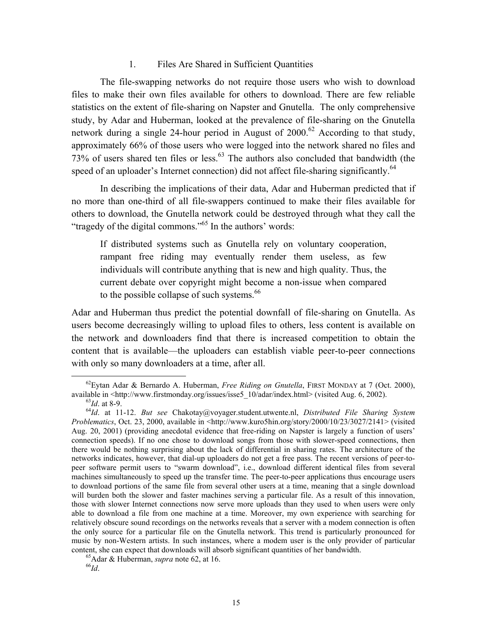#### 1. Files Are Shared in Sufficient Quantities

<span id="page-16-0"></span>The file-swapping networks do not require those users who wish to download files to make their own files available for others to download. There are few reliable statistics on the extent of file-sharing on Napster and Gnutella. The only comprehensive study, by Adar and Huberman, looked at the prevalence of file-sharing on the Gnutella network during a single 24-hour period in August of  $2000$ .<sup>62</sup> According to that study, approximately 66% of those users who were logged into the network shared no files and 73% of users shared ten files or less.<sup>63</sup> The authors also concluded that bandwidth (the speed of an uploader's Internet connection) did not affect file-sharing significantly.<sup>64</sup>

In describing the implications of their data, Adar and Huberman predicted that if no more than one-third of all file-swappers continued to make their files available for others to download, the Gnutella network could be destroyed through what they call the "tragedy of the digital commons."<sup>65</sup> In the authors' words:

If distributed systems such as Gnutella rely on voluntary cooperation, rampant free riding may eventually render them useless, as few individuals will contribute anything that is new and high quality. Thus, the current debate over copyright might become a non-issue when compared to the possible collapse of such systems.<sup>[66](#page-16-5)</sup>

Adar and Huberman thus predict the potential downfall of file-sharing on Gnutella. As users become decreasingly willing to upload files to others, less content is available on the network and downloaders find that there is increased competition to obtain the content that is available—the uploaders can establish viable peer-to-peer connections with only so many downloaders at a time, after all.

<span id="page-16-1"></span> <sup>62</sup>Eytan Adar & Bernardo A. Huberman, *Free Riding on Gnutella*, FIRST MONDAY at 7 (Oct. 2000), available in  $\lt$ http://www.firstmonday.org/issues/isse5\_10/adar/index.html> (visited Aug. 6, 2002).<br><sup>63</sup>*Id.* at 8-9.<br><sup>64</sup>*Id.* at 11-12. *But see* Chakotay@yoyager.student.utwente.nl, *Distributed File Sharing System* 

<span id="page-16-3"></span><span id="page-16-2"></span>

*Problematics*, Oct. 23, 2000, available in <http://www.kuro5hin.org/story/2000/10/23/3027/2141> (visited Aug. 20, 2001) (providing anecdotal evidence that free-riding on Napster is largely a function of users' connection speeds). If no one chose to download songs from those with slower-speed connections, then there would be nothing surprising about the lack of differential in sharing rates. The architecture of the networks indicates, however, that dial-up uploaders do not get a free pass. The recent versions of peer-topeer software permit users to "swarm download", i.e., download different identical files from several machines simultaneously to speed up the transfer time. The peer-to-peer applications thus encourage users to download portions of the same file from several other users at a time, meaning that a single download will burden both the slower and faster machines serving a particular file. As a result of this innovation, those with slower Internet connections now serve more uploads than they used to when users were only able to download a file from one machine at a time. Moreover, my own experience with searching for relatively obscure sound recordings on the networks reveals that a server with a modem connection is often the only source for a particular file on the Gnutella network. This trend is particularly pronounced for music by non-Western artists. In such instances, where a modem user is the only provider of particular content, she can expect that downloads will absorb significant quantities of her bandwidth. <sup>65</sup>Adar & Huberman, *supra* note 62, at 16. <sup>66</sup>*Id*.

<span id="page-16-4"></span>

<span id="page-16-5"></span>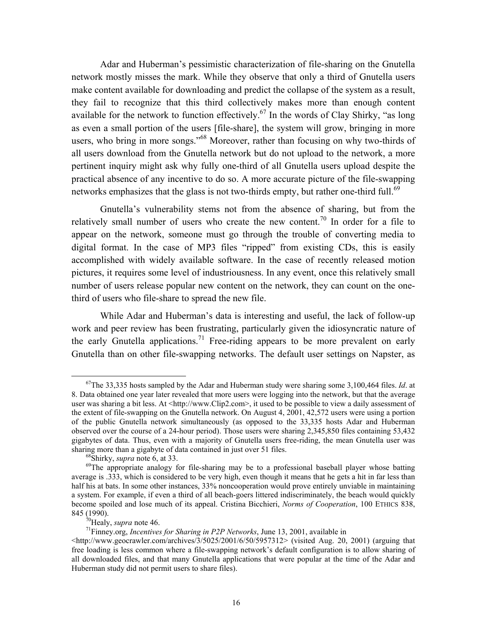Adar and Huberman's pessimistic characterization of file-sharing on the Gnutella network mostly misses the mark. While they observe that only a third of Gnutella users make content available for downloading and predict the collapse of the system as a result, they fail to recognize that this third collectively makes more than enough content available for the network to function effectively.<sup>67</sup> In the words of Clay Shirky, "as long as even a small portion of the users [file-share], the system will grow, bringing in more users, who bring in more songs."<sup>68</sup> Moreover, rather than focusing on why two-thirds of all users download from the Gnutella network but do not upload to the network, a more pertinent inquiry might ask why fully one-third of all Gnutella users upload despite the practical absence of any incentive to do so. A more accurate picture of the file-swapping networks emphasizes that the glass is not two-thirds empty, but rather one-third full.<sup>[69](#page-17-2)</sup>

Gnutella's vulnerability stems not from the absence of sharing, but from the relatively small number of users who create the new content.<sup>70</sup> In order for a file to appear on the network, someone must go through the trouble of converting media to digital format. In the case of MP3 files "ripped" from existing CDs, this is easily accomplished with widely available software. In the case of recently released motion pictures, it requires some level of industriousness. In any event, once this relatively small number of users release popular new content on the network, they can count on the onethird of users who file-share to spread the new file.

While Adar and Huberman's data is interesting and useful, the lack of follow-up work and peer review has been frustrating, particularly given the idiosyncratic nature of the early Gnutella applications.<sup>71</sup> Free-riding appears to be more prevalent on early Gnutella than on other file-swapping networks. The default user settings on Napster, as

<span id="page-17-0"></span> <sup>67</sup>The 33,335 hosts sampled by the Adar and Huberman study were sharing some 3,100,464 files. *Id*. at 8. Data obtained one year later revealed that more users were logging into the network, but that the average user was sharing a bit less. At <http://www.Clip2.com>, it used to be possible to view a daily assessment of the extent of file-swapping on the Gnutella network. On August 4, 2001, 42,572 users were using a portion of the public Gnutella network simultaneously (as opposed to the 33,335 hosts Adar and Huberman observed over the course of a 24-hour period). Those users were sharing 2,345,850 files containing 53,432 gigabytes of data. Thus, even with a majority of Gnutella users free-riding, the mean Gnutella user was

<span id="page-17-2"></span><span id="page-17-1"></span>

sharing more than a gigabyte of data contained in just over 51 files.<br><sup>68</sup>Shirky, *supra* note 6, at 33.<br><sup>69</sup>The appropriate analogy for file-sharing may be to a professional baseball player whose batting average is .333, which is considered to be very high, even though it means that he gets a hit in far less than half his at bats. In some other instances, 33% noncooperation would prove entirely unviable in maintaining a system. For example, if even a third of all beach-goers littered indiscriminately, the beach would quickly become spoiled and lose much of its appeal. Cristina Bicchieri, *Norms of Cooperation*, 100 ETHICS 838, 845 (1990).<br><sup>70</sup>Healy, *supra* note 46.<br><sup>71</sup>Finney.org, *Incentives for Sharing in P2P Networks*, June 13, 2001, available in

<span id="page-17-3"></span>

<span id="page-17-4"></span>

 $\langle$ http://www.geocrawler.com/archives/3/5025/2001/6/50/5957312> (visited Aug. 20, 2001) (arguing that free loading is less common where a file-swapping network's default configuration is to allow sharing of all downloaded files, and that many Gnutella applications that were popular at the time of the Adar and Huberman study did not permit users to share files).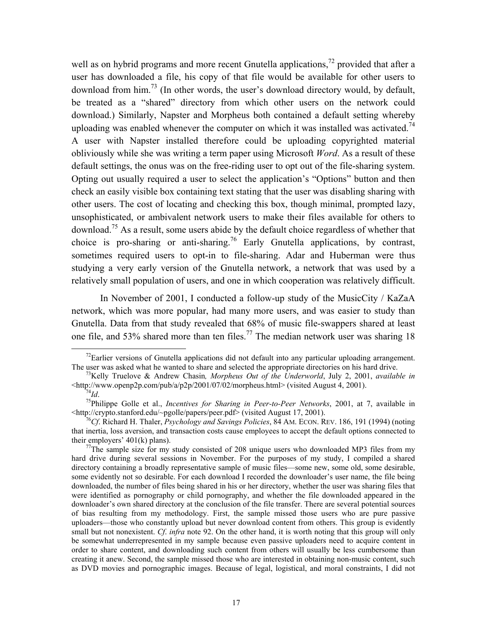<span id="page-18-5"></span>well as on hybrid programs and more recent Gnutella applications,<sup>72</sup> provided that after a user has downloaded a file, his copy of that file would be available for other users to download from him.<sup>73</sup> (In other words, the user's download directory would, by default, be treated as a "shared" directory from which other users on the network could download.) Similarly, Napster and Morpheus both contained a default setting whereby uploading was enabled whenever the computer on which it was installed was activated.<sup>74</sup> A user with Napster installed therefore could be uploading copyrighted material obliviously while she was writing a term paper using Microsoft *Word*. As a result of these default settings, the onus was on the free-riding user to opt out of the file-sharing system. Opting out usually required a user to select the application's "Options" button and then check an easily visible box containing text stating that the user was disabling sharing with other users. The cost of locating and checking this box, though minimal, prompted lazy, unsophisticated, or ambivalent network users to make their files available for others to download.[75](#page-18-3) As a result, some users abide by the default choice regardless of whether that choice is pro-sharing or anti-sharing.<sup>76</sup> Early Gnutella applications, by contrast, sometimes required users to opt-in to file-sharing. Adar and Huberman were thus studying a very early version of the Gnutella network, a network that was used by a relatively small population of users, and one in which cooperation was relatively difficult.

In November of 2001, I conducted a follow-up study of the MusicCity / KaZaA network, which was more popular, had many more users, and was easier to study than Gnutella. Data from that study revealed that 68% of music file-swappers shared at least one file, and 53% shared more than ten files.<sup>77</sup> The median network user was sharing 18

<span id="page-18-0"></span> $72$ Earlier versions of Gnutella applications did not default into any particular uploading arrangement.

The user was asked what he wanted to share and selected the appropriate directories on his hard drive.<br><sup>73</sup>Kelly Truelove & Andrew Chasin*, Morpheus Out of the Underworld*, July 2, 2001, *available in*<br>
<http://www.openp2p

<span id="page-18-3"></span><span id="page-18-2"></span><span id="page-18-1"></span>

<sup>&</sup>lt;sup>74</sup>*Id.* <sup>75</sup>Philippe Golle et al., *Incentives for Sharing in Peer-to-Peer Networks*, 2001, at 7, available in <br>
114*Ith*://crypto.stanford.edu/~pgolle/papers/peer.pdf> (visited August 17, 2001).

<span id="page-18-4"></span><sup>&</sup>lt;sup>16</sup>Cf. Richard H. Thaler, *Psychology and Savings Policies*, 84 AM. ECON. REV. 186, 191 (1994) (noting that inertia, loss aversion, and transaction costs cause employees to accept the default options connected to their employers' 401(k) plans).<br><sup>77</sup>The sample size for my study consisted of 208 unique users who downloaded MP3 files from my

hard drive during several sessions in November. For the purposes of my study, I compiled a shared directory containing a broadly representative sample of music files—some new, some old, some desirable, some evidently not so desirable. For each download I recorded the downloader's user name, the file being downloaded, the number of files being shared in his or her directory, whether the user was sharing files that were identified as pornography or child pornography, and whether the file downloaded appeared in the downloader's own shared directory at the conclusion of the file transfer. There are several potential sources of bias resulting from my methodology. First, the sample missed those users who are pure passive uploaders—those who constantly upload but never download content from others. This group is evidently small but not nonexistent. *Cf*. *infra* note 92. On the other hand, it is worth noting that this group will only be somewhat underrepresented in my sample because even passive uploaders need to acquire content in order to share content, and downloading such content from others will usually be less cumbersome than creating it anew. Second, the sample missed those who are interested in obtaining non-music content, such as DVD movies and pornographic images. Because of legal, logistical, and moral constraints, I did not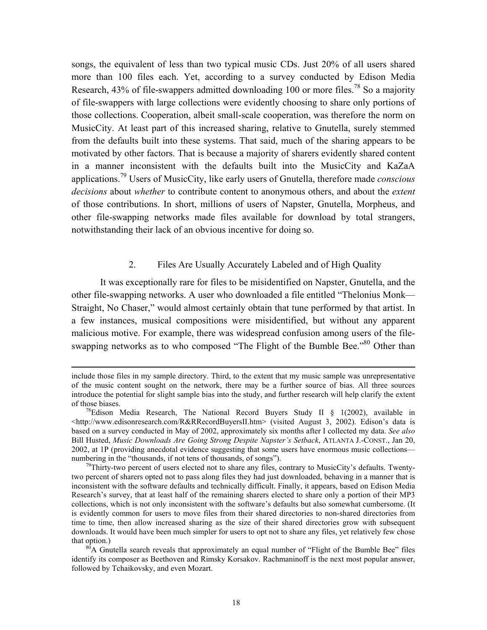<span id="page-19-0"></span>songs, the equivalent of less than two typical music CDs. Just 20% of all users shared more than 100 files each. Yet, according to a survey conducted by Edison Media Research, 43% of file-swappers admitted downloading 100 or more files.<sup>78</sup> So a majority of file-swappers with large collections were evidently choosing to share only portions of those collections. Cooperation, albeit small-scale cooperation, was therefore the norm on MusicCity. At least part of this increased sharing, relative to Gnutella, surely stemmed from the defaults built into these systems. That said, much of the sharing appears to be motivated by other factors. That is because a majority of sharers evidently shared content in a manner inconsistent with the defaults built into the MusicCity and KaZaA applications[.79](#page-19-2) Users of MusicCity, like early users of Gnutella, therefore made *conscious decisions* about *whether* to contribute content to anonymous others, and about the *extent* of those contributions. In short, millions of users of Napster, Gnutella, Morpheus, and other file-swapping networks made files available for download by total strangers, notwithstanding their lack of an obvious incentive for doing so.

#### 2. Files Are Usually Accurately Labeled and of High Quality

It was exceptionally rare for files to be misidentified on Napster, Gnutella, and the other file-swapping networks. A user who downloaded a file entitled "Thelonius Monk— Straight, No Chaser," would almost certainly obtain that tune performed by that artist. In a few instances, musical compositions were misidentified, but without any apparent malicious motive. For example, there was widespread confusion among users of the fileswapping networks as to who composed "The Flight of the Bumble Bee."<sup>80</sup> Other than

include those files in my sample directory. Third, to the extent that my music sample was unrepresentative of the music content sought on the network, there may be a further source of bias. All three sources introduce the potential for slight sample bias into the study, and further research will help clarify the extent

<span id="page-19-1"></span><sup>&</sup>lt;sup>78</sup>Edison Media Research, The National Record Buyers Study II § 1(2002), available in  $\lt$ http://www.edisonresearch.com/R&RRecordBuyersII.htm> (visited August 3, 2002). Edison's data is based on a survey conducted in May of 2002, approximately six months after I collected my data. *See also* Bill Husted, *Music Downloads Are Going Strong Despite Napster's Setback*, ATLANTA J.-CONST., Jan 20, 2002, at 1P (providing anecdotal evidence suggesting that some users have enormous music collections numbering in the "thousands, if not tens of thousands, of songs").<br><sup>79</sup>Thirty-two percent of users elected not to share any files, contrary to MusicCity's defaults. Twenty-

<span id="page-19-2"></span>two percent of sharers opted not to pass along files they had just downloaded, behaving in a manner that is inconsistent with the software defaults and technically difficult. Finally, it appears, based on Edison Media Research's survey, that at least half of the remaining sharers elected to share only a portion of their MP3 collections, which is not only inconsistent with the software's defaults but also somewhat cumbersome. (It is evidently common for users to move files from their shared directories to non-shared directories from time to time, then allow increased sharing as the size of their shared directories grow with subsequent downloads. It would have been much simpler for users to opt not to share any files, yet relatively few chose

<span id="page-19-3"></span>that option.)<br><sup>80</sup>A Gnutella search reveals that approximately an equal number of "Flight of the Bumble Bee" files identify its composer as Beethoven and Rimsky Korsakov. Rachmaninoff is the next most popular answer, followed by Tchaikovsky, and even Mozart.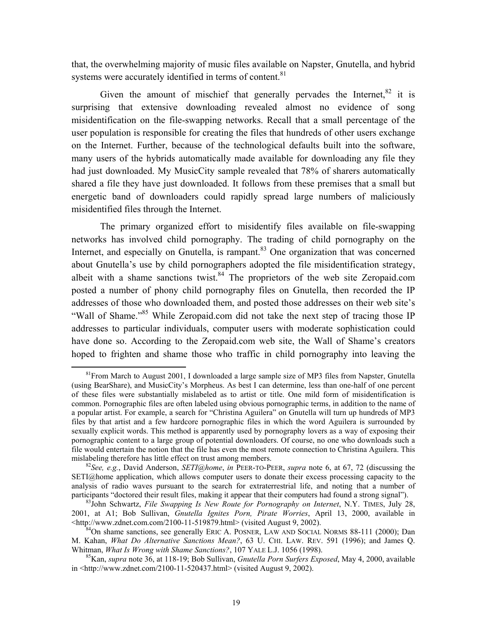that, the overwhelming majority of music files available on Napster, Gnutella, and hybrid systems were accurately identified in terms of content.<sup>81</sup>

Given the amount of mischief that generally pervades the Internet,  $82$  it is surprising that extensive downloading revealed almost no evidence of song misidentification on the file-swapping networks. Recall that a small percentage of the user population is responsible for creating the files that hundreds of other users exchange on the Internet. Further, because of the technological defaults built into the software, many users of the hybrids automatically made available for downloading any file they had just downloaded. My MusicCity sample revealed that 78% of sharers automatically shared a file they have just downloaded. It follows from these premises that a small but energetic band of downloaders could rapidly spread large numbers of maliciously misidentified files through the Internet.

The primary organized effort to misidentify files available on file-swapping networks has involved child pornography. The trading of child pornography on the Internet, and especially on Gnutella, is rampant.<sup>83</sup> One organization that was concerned about Gnutella's use by child pornographers adopted the file misidentification strategy, albeit with a shame sanctions twist. $84$  The proprietors of the web site Zeropaid.com posted a number of phony child pornography files on Gnutella, then recorded the IP addresses of those who downloaded them, and posted those addresses on their web site's "Wall of Shame."<sup>85</sup> While Zeropaid.com did not take the next step of tracing those IP addresses to particular individuals, computer users with moderate sophistication could have done so. According to the Zeropaid.com web site, the Wall of Shame's creators hoped to frighten and shame those who traffic in child pornography into leaving the

<span id="page-20-0"></span> $81$ From March to August 2001, I downloaded a large sample size of MP3 files from Napster, Gnutella (using BearShare), and MusicCity's Morpheus. As best I can determine, less than one-half of one percent of these files were substantially mislabeled as to artist or title. One mild form of misidentification is common. Pornographic files are often labeled using obvious pornographic terms, in addition to the name of a popular artist. For example, a search for "Christina Aguilera" on Gnutella will turn up hundreds of MP3 files by that artist and a few hardcore pornographic files in which the word Aguilera is surrounded by sexually explicit words. This method is apparently used by pornography lovers as a way of exposing their pornographic content to a large group of potential downloaders. Of course, no one who downloads such a file would entertain the notion that the file has even the most remote connection to Christina Aguilera. This mislabeling therefore has little effect on trust among members. 82*See, e.g.*, David Anderson, *SETI@home*, *in* PEER-TO-PEER, *supra* note 6, at 67, 72 (discussing the

<span id="page-20-1"></span>SETI@home application, which allows computer users to donate their excess processing capacity to the analysis of radio waves pursuant to the search for extraterrestrial life, and noting that a number of participants "doctored their result files, making it appear that their computers had found a strong signal").

<span id="page-20-2"></span><sup>&</sup>lt;sup>83</sup>John Schwartz, *File Swapping Is New Route for Pornography on Internet*, N.Y. TIMES, July 28, 2001, at A1; Bob Sullivan, *Gnutella Ignites Porn, Pirate Worries*, April 13, 2000, available in

<span id="page-20-3"></span><sup>&</sup>lt;sup>84</sup>On shame sanctions, see generally ERIC A. POSNER, LAW AND SOCIAL NORMS 88-111 (2000); Dan M. Kahan, *What Do Alternative Sanctions Mean?*, 63 U. CHI. LAW. REV. 591 (1996); and James Q. Whitman, *What Is Wrong with Shame Sanctions?*, 107 YALE L.J. 1056 (1998).

<span id="page-20-4"></span>Whitman, *What Is Wrong with Shame Sanctions?*, 107 YALE L.J. 1056 (1998). 85Kan, *supra* note 36, at 118-19; Bob Sullivan, *Gnutella Porn Surfers Exposed*, May 4, 2000, available in <http://www.zdnet.com/2100-11-520437.html> (visited August 9, 2002).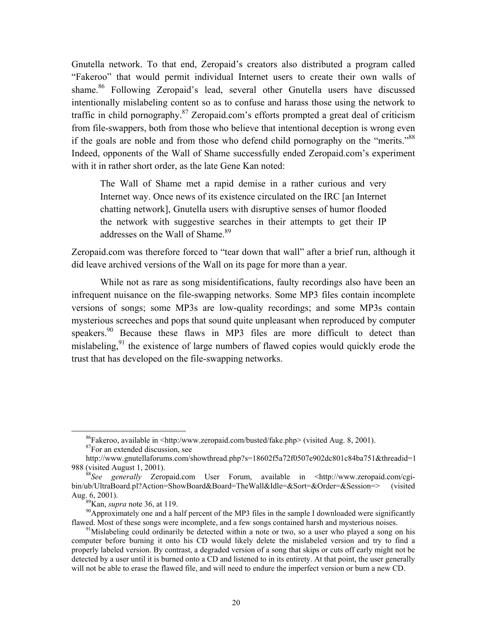Gnutella network. To that end, Zeropaid's creators also distributed a program called "Fakeroo" that would permit individual Internet users to create their own walls of shame.<sup>86</sup> Following Zeropaid's lead, several other Gnutella users have discussed intentionally mislabeling content so as to confuse and harass those using the network to traffic in child pornography.<sup>87</sup> Zeropaid.com's efforts prompted a great deal of criticism from file-swappers, both from those who believe that intentional deception is wrong even if the goals are noble and from those who defend child pornography on the "merits."<sup>[88](#page-21-2)</sup> Indeed, opponents of the Wall of Shame successfully ended Zeropaid.com's experiment with it in rather short order, as the late Gene Kan noted:

The Wall of Shame met a rapid demise in a rather curious and very Internet way. Once news of its existence circulated on the IRC [an Internet chatting network], Gnutella users with disruptive senses of humor flooded the network with suggestive searches in their attempts to get their IP addresses on the Wall of Shame.<sup>89</sup>

Zeropaid.com was therefore forced to "tear down that wall" after a brief run, although it did leave archived versions of the Wall on its page for more than a year.

While not as rare as song misidentifications, faulty recordings also have been an infrequent nuisance on the file-swapping networks. Some MP3 files contain incomplete versions of songs; some MP3s are low-quality recordings; and some MP3s contain mysterious screeches and pops that sound quite unpleasant when reproduced by computer speakers.<sup>90</sup> Because these flaws in MP3 files are more difficult to detect than mislabeling,  $91$  the existence of large numbers of flawed copies would quickly erode the trust that has developed on the file-swapping networks.

<span id="page-21-0"></span><sup>&</sup>lt;sup>86</sup>Fakeroo, available in <http:/www.zeropaid.com/busted/fake.php> (visited Aug. 8, 2001). <sup>87</sup>For an extended discussion, see

<span id="page-21-1"></span>

http://www.gnutellaforums.com/showthread.php?s=18602f5a72f0507e902dc801c84ba751&threadid=1 988 (visited August 1, 2001).<br><sup>88</sup>*See generally* Zeropaid.com User Forum, available in <http://www.zeropaid.com/cgi-

<span id="page-21-2"></span>bin/ub/UltraBoard.pl?Action=ShowBoard&Board=TheWall&Idle=&Sort=&Order=&Session=> (visited Aug. 6, 2001).<br><sup>89</sup>Kan, *supra* note 36, at 119.<br><sup>90</sup>Approximately one and a half percent of the MP3 files in the sample I downloaded were significantly

<span id="page-21-4"></span><span id="page-21-3"></span>

flawed. Most of these songs were incomplete, and a few songs contained harsh and mysterious noises.<br><sup>91</sup>Mislabeling could ordinarily be detected within a note or two, so a user who played a song on his

<span id="page-21-5"></span>computer before burning it onto his CD would likely delete the mislabeled version and try to find a properly labeled version. By contrast, a degraded version of a song that skips or cuts off early might not be detected by a user until it is burned onto a CD and listened to in its entirety. At that point, the user generally will not be able to erase the flawed file, and will need to endure the imperfect version or burn a new CD.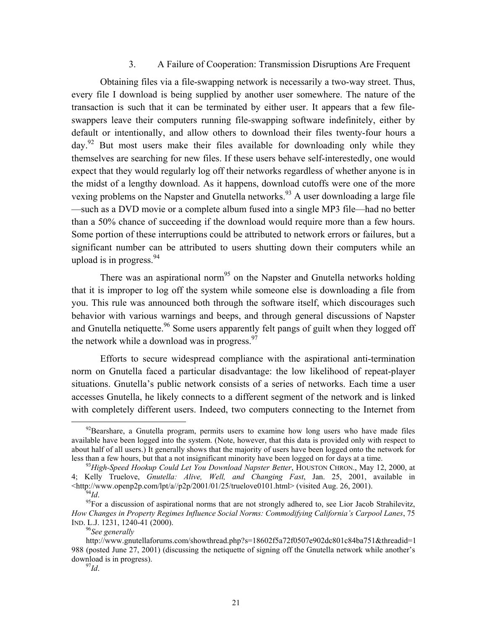#### 3. A Failure of Cooperation: Transmission Disruptions Are Frequent

<span id="page-22-0"></span>Obtaining files via a file-swapping network is necessarily a two-way street. Thus, every file I download is being supplied by another user somewhere. The nature of the transaction is such that it can be terminated by either user. It appears that a few fileswappers leave their computers running file-swapping software indefinitely, either by default or intentionally, and allow others to download their files twenty-four hours a day.<sup>92</sup> But most users make their files available for downloading only while they themselves are searching for new files. If these users behave self-interestedly, one would expect that they would regularly log off their networks regardless of whether anyone is in the midst of a lengthy download. As it happens, download cutoffs were one of the more vexing problems on the Napster and Gnutella networks.<sup>93</sup> A user downloading a large file —such as a DVD movie or a complete album fused into a single MP3 file—had no better than a 50% chance of succeeding if the download would require more than a few hours. Some portion of these interruptions could be attributed to network errors or failures, but a significant number can be attributed to users shutting down their computers while an upload is in progress.  $94$ 

There was an aspirational norm<sup>95</sup> on the Napster and Gnutella networks holding that it is improper to log off the system while someone else is downloading a file from you. This rule was announced both through the software itself, which discourages such behavior with various warnings and beeps, and through general discussions of Napster and Gnutella netiquette.<sup>96</sup> Some users apparently felt pangs of guilt when they logged off the network while a download was in progress. $\frac{97}{2}$ 

Efforts to secure widespread compliance with the aspirational anti-termination norm on Gnutella faced a particular disadvantage: the low likelihood of repeat-player situations. Gnutella's public network consists of a series of networks. Each time a user accesses Gnutella, he likely connects to a different segment of the network and is linked with completely different users. Indeed, two computers connecting to the Internet from

<span id="page-22-1"></span> $92$ Bearshare, a Gnutella program, permits users to examine how long users who have made files available have been logged into the system. (Note, however, that this data is provided only with respect to about half of all users.) It generally shows that the majority of users have been logged onto the network for less than a few hours, but that a not insignificant minority have been logged on for days at a time. 93*High-Speed Hookup Could Let You Download Napster Better*, HOUSTON CHRON., May 12, 2000, at

<span id="page-22-2"></span><sup>4;</sup> Kelly Truelove, *Gnutella: Alive, Well, and Changing Fast*, Jan. 25, 2001, available in

<span id="page-22-4"></span><span id="page-22-3"></span>

<sup>&</sup>lt;sup>94</sup>*Id.* <sup>95</sup>For a discussion of aspirational norms that are not strongly adhered to, see Lior Jacob Strahilevitz, *How Changes in Property Regimes Influence Social Norms: Commodifying California's Carpool Lanes*, 75 IND. L.J. 1231, 1240-41 (2000).

<span id="page-22-5"></span><sup>96</sup>*See generally* 

http://www.gnutellaforums.com/showthread.php?s=18602f5a72f0507e902dc801c84ba751&threadid=1 988 (posted June 27, 2001) (discussing the netiquette of signing off the Gnutella network while another's download is in progress). 97*Id*.

<span id="page-22-6"></span>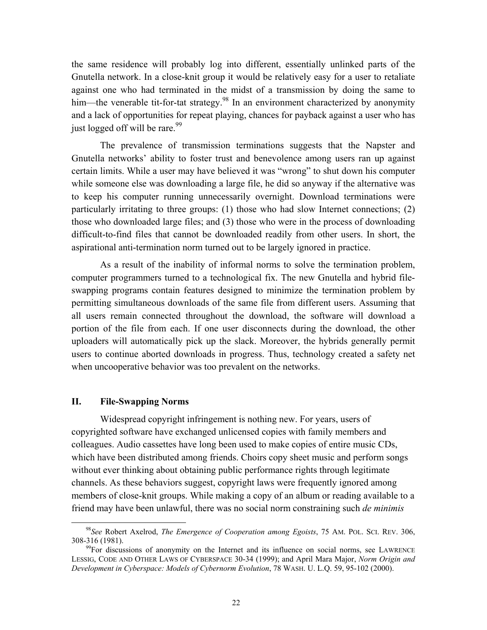<span id="page-23-0"></span>the same residence will probably log into different, essentially unlinked parts of the Gnutella network. In a close-knit group it would be relatively easy for a user to retaliate against one who had terminated in the midst of a transmission by doing the same to him—the venerable tit-for-tat strategy.<sup>98</sup> In an environment characterized by anonymity and a lack of opportunities for repeat playing, chances for payback against a user who has just logged off will be rare.<sup>[99](#page-23-2)</sup>

The prevalence of transmission terminations suggests that the Napster and Gnutella networks' ability to foster trust and benevolence among users ran up against certain limits. While a user may have believed it was "wrong" to shut down his computer while someone else was downloading a large file, he did so anyway if the alternative was to keep his computer running unnecessarily overnight. Download terminations were particularly irritating to three groups: (1) those who had slow Internet connections; (2) those who downloaded large files; and (3) those who were in the process of downloading difficult-to-find files that cannot be downloaded readily from other users. In short, the aspirational anti-termination norm turned out to be largely ignored in practice.

As a result of the inability of informal norms to solve the termination problem, computer programmers turned to a technological fix. The new Gnutella and hybrid fileswapping programs contain features designed to minimize the termination problem by permitting simultaneous downloads of the same file from different users. Assuming that all users remain connected throughout the download, the software will download a portion of the file from each. If one user disconnects during the download, the other uploaders will automatically pick up the slack. Moreover, the hybrids generally permit users to continue aborted downloads in progress. Thus, technology created a safety net when uncooperative behavior was too prevalent on the networks.

#### **II. File-Swapping Norms**

Widespread copyright infringement is nothing new. For years, users of copyrighted software have exchanged unlicensed copies with family members and colleagues. Audio cassettes have long been used to make copies of entire music CDs, which have been distributed among friends. Choirs copy sheet music and perform songs without ever thinking about obtaining public performance rights through legitimate channels. As these behaviors suggest, copyright laws were frequently ignored among members of close-knit groups. While making a copy of an album or reading available to a friend may have been unlawful, there was no social norm constraining such *de minimis* 

<span id="page-23-1"></span> <sup>98</sup>*See* Robert Axelrod, *The Emergence of Cooperation among Egoists*, 75 AM. POL. SCI. REV. 306,

<span id="page-23-2"></span> $\frac{99}{2}$ For discussions of anonymity on the Internet and its influence on social norms, see LAWRENCE LESSIG, CODE AND OTHER LAWS OF CYBERSPACE 30-34 (1999); and April Mara Major, *Norm Origin and Development in Cyberspace: Models of Cybernorm Evolution*, 78 WASH. U. L.Q. 59, 95-102 (2000).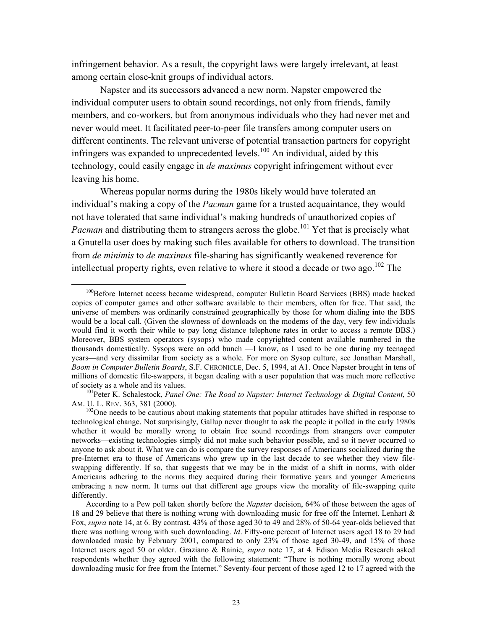<span id="page-24-2"></span>infringement behavior. As a result, the copyright laws were largely irrelevant, at least among certain close-knit groups of individual actors.

Napster and its successors advanced a new norm. Napster empowered the individual computer users to obtain sound recordings, not only from friends, family members, and co-workers, but from anonymous individuals who they had never met and never would meet. It facilitated peer-to-peer file transfers among computer users on different continents. The relevant universe of potential transaction partners for copyright infringers was expanded to unprecedented levels.<sup>100</sup> An individual, aided by this technology, could easily engage in *de maximus* copyright infringement without ever leaving his home.

Whereas popular norms during the 1980s likely would have tolerated an individual's making a copy of the *Pacman* game for a trusted acquaintance, they would not have tolerated that same individual's making hundreds of unauthorized copies of *Pacman* and distributing them to strangers across the globe.<sup>101</sup> Yet that is precisely what a Gnutella user does by making such files available for others to download. The transition from *de minimis* to *de maximus* file-sharing has significantly weakened reverence for intellectual property rights, even relative to where it stood a decade or two ago.<sup>102</sup> The

<span id="page-24-0"></span><sup>&</sup>lt;sup>100</sup>Before Internet access became widespread, computer Bulletin Board Services (BBS) made hacked copies of computer games and other software available to their members, often for free. That said, the universe of members was ordinarily constrained geographically by those for whom dialing into the BBS would be a local call. (Given the slowness of downloads on the modems of the day, very few individuals would find it worth their while to pay long distance telephone rates in order to access a remote BBS.) Moreover, BBS system operators (sysops) who made copyrighted content available numbered in the thousands domestically. Sysops were an odd bunch —I know, as I used to be one during my teenaged years—and very dissimilar from society as a whole. For more on Sysop culture, see Jonathan Marshall, *Boom in Computer Bulletin Boards*, S.F. CHRONICLE, Dec. 5, 1994, at A1. Once Napster brought in tens of millions of domestic file-swappers, it began dealing with a user population that was much more reflective of society as a whole and its values. 101Peter K. Schalestock, *Panel One: The Road to Napster: Internet Technology & Digital Content*, 50

<span id="page-24-1"></span>AM. U. L. REV. 363, 381 (2000).<br><sup>102</sup>One needs to be cautious about making statements that popular attitudes have shifted in response to

technological change. Not surprisingly, Gallup never thought to ask the people it polled in the early 1980s whether it would be morally wrong to obtain free sound recordings from strangers over computer networks—existing technologies simply did not make such behavior possible, and so it never occurred to anyone to ask about it. What we can do is compare the survey responses of Americans socialized during the pre-Internet era to those of Americans who grew up in the last decade to see whether they view fileswapping differently. If so, that suggests that we may be in the midst of a shift in norms, with older Americans adhering to the norms they acquired during their formative years and younger Americans embracing a new norm. It turns out that different age groups view the morality of file-swapping quite differently.

According to a Pew poll taken shortly before the *Napster* decision, 64% of those between the ages of 18 and 29 believe that there is nothing wrong with downloading music for free off the Internet. Lenhart & Fox, *supra* note 14, at 6. By contrast, 43% of those aged 30 to 49 and 28% of 50-64 year-olds believed that there was nothing wrong with such downloading. *Id*. Fifty-one percent of Internet users aged 18 to 29 had downloaded music by February 2001, compared to only 23% of those aged 30-49, and 15% of those Internet users aged 50 or older. Graziano & Rainie, *supra* note 17, at 4. Edison Media Research asked respondents whether they agreed with the following statement: "There is nothing morally wrong about downloading music for free from the Internet." Seventy-four percent of those aged 12 to 17 agreed with the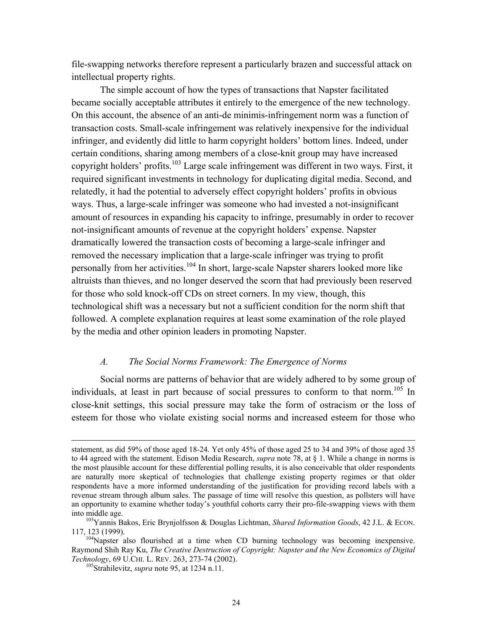<span id="page-25-0"></span>file-swapping networks therefore represent a particularly brazen and successful attack on intellectual property rights.

The simple account of how the types of transactions that Napster facilitated became socially acceptable attributes it entirely to the emergence of the new technology. On this account, the absence of an anti-de minimis-infringement norm was a function of transaction costs. Small-scale infringement was relatively inexpensive for the individual infringer, and evidently did little to harm copyright holders' bottom lines. Indeed, under certain conditions, sharing among members of a close-knit group may have increased copyright holders' profits.<sup>103</sup> Large scale infringement was different in two ways. First, it required significant investments in technology for duplicating digital media. Second, and relatedly, it had the potential to adversely effect copyright holders' profits in obvious ways. Thus, a large-scale infringer was someone who had invested a not-insignificant amount of resources in expanding his capacity to infringe, presumably in order to recover not-insignificant amounts of revenue at the copyright holders' expense. Napster dramatically lowered the transaction costs of becoming a large-scale infringer and removed the necessary implication that a large-scale infringer was trying to profit personally from her activities.<sup>104</sup> In short, large-scale Napster sharers looked more like altruists than thieves, and no longer deserved the scorn that had previously been reserved for those who sold knock-off CDs on street corners. In my view, though, this technological shift was a necessary but not a sufficient condition for the norm shift that followed. A complete explanation requires at least some examination of the role played by the media and other opinion leaders in promoting Napster.

#### *A. The Social Norms Framework: The Emergence of Norms*

Social norms are patterns of behavior that are widely adhered to by some group of individuals, at least in part because of social pressures to conform to that norm. [105](#page-25-3) In close-knit settings, this social pressure may take the form of ostracism or the loss of esteem for those who violate existing social norms and increased esteem for those who

statement, as did 59% of those aged 18-24. Yet only 45% of those aged 25 to 34 and 39% of those aged 35 to 44 agreed with the statement. Edison Media Research, *supra* note 78, at § 1. While a change in norms is the most plausible account for these differential polling results, it is also conceivable that older respondents are naturally more skeptical of technologies that challenge existing property regimes or that older respondents have a more informed understanding of the justification for providing record labels with a revenue stream through album sales. The passage of time will resolve this question, as pollsters will have an opportunity to examine whether today's youthful cohorts carry their pro-file-swapping views with them

<span id="page-25-1"></span>into middle age. 103Yannis Bakos, Eric Brynjolfsson & Douglas Lichtman, *Shared Information Goods*, 42 J.L. & ECON.

<span id="page-25-2"></span> $104$ Napster also flourished at a time when CD burning technology was becoming inexpensive. Raymond Shih Ray Ku, *The Creative Destruction of Copyright: Napster and the New Economics of Digital Technology*, 69 U.CHI. L. REV. 263, 273-74 (2002). 105Strahilevitz, *supra* note 95, at 1234 n.11.

<span id="page-25-3"></span>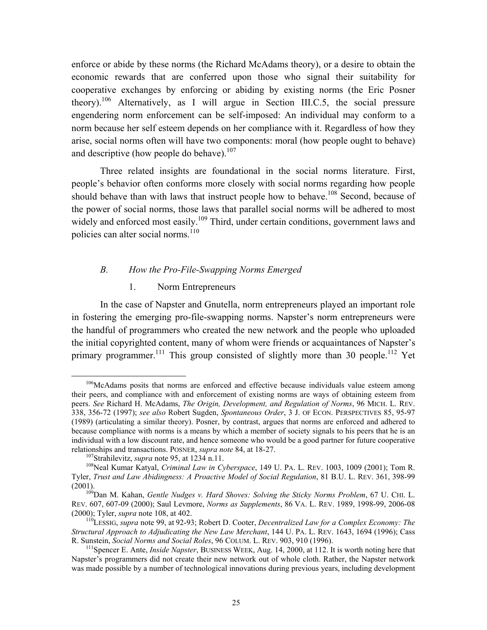<span id="page-26-6"></span><span id="page-26-0"></span>enforce or abide by these norms (the Richard McAdams theory), or a desire to obtain the economic rewards that are conferred upon those who signal their suitability for cooperative exchanges by enforcing or abiding by existing norms (the Eric Posner theory).<sup>106</sup> Alternatively, as I will argue in Section III.C.5, the social pressure engendering norm enforcement can be self-imposed: An individual may conform to a norm because her self esteem depends on her compliance with it. Regardless of how they arise, social norms often will have two components: moral (how people ought to behave) and descriptive (how people do behave).<sup>107</sup>

Three related insights are foundational in the social norms literature. First, people's behavior often conforms more closely with social norms regarding how people should behave than with laws that instruct people how to behave.<sup>108</sup> Second, because of the power of social norms, those laws that parallel social norms will be adhered to most widely and enforced most easily.<sup>109</sup> Third, under certain conditions, government laws and policies can alter social norms.<sup>110</sup>

#### *B. How the Pro-File-Swapping Norms Emerged*

#### 1. Norm Entrepreneurs

In the case of Napster and Gnutella, norm entrepreneurs played an important role in fostering the emerging pro-file-swapping norms. Napster's norm entrepreneurs were the handful of programmers who created the new network and the people who uploaded the initial copyrighted content, many of whom were friends or acquaintances of Napster's primary programmer.<sup>111</sup> This group consisted of slightly more than 30 people.<sup>112</sup> Yet

<span id="page-26-1"></span><sup>&</sup>lt;sup>106</sup>McAdams posits that norms are enforced and effective because individuals value esteem among their peers, and compliance with and enforcement of existing norms are ways of obtaining esteem from peers. *See* Richard H. McAdams, *The Origin, Development, and Regulation of Norms*, 96 MICH. L. REV. 338, 356-72 (1997); *see also* Robert Sugden, *Spontaneous Order*, 3 J. OF ECON. PERSPECTIVES 85, 95-97 (1989) (articulating a similar theory). Posner, by contrast, argues that norms are enforced and adhered to because compliance with norms is a means by which a member of society signals to his peers that he is an individual with a low discount rate, and hence someone who would be a good partner for future cooperative relationships and transactions. POSNER, *supra note* 84, at 18-27.<br><sup>107</sup>Strahilevitz, *supra* note 95, at 1234 n.11.<br><sup>108</sup>Neal Kumar Katyal, *Criminal Law in Cyberspace*, 149 U. PA. L. REV. 1003, 1009 (2001); Tom R.

<span id="page-26-7"></span><span id="page-26-3"></span><span id="page-26-2"></span>

Tyler, *Trust and Law Abidingness: A Proactive Model of Social Regulation*, 81 B.U. L. REV. 361, 398-99

<span id="page-26-4"></span><sup>(2001). 109</sup>Dan M. Kahan, *Gentle Nudges v. Hard Shoves: Solving the Sticky Norms Problem*, 67 U. CHI. L. REV. 607, 607-09 (2000); Saul Levmore, *Norms as Supplements*, 86 VA. L. REV. 1989, 1998-99, 2006-08 (2000); Tyler, *supra* note 108, at 402.<br><sup>110</sup>LESSIG, *supra* note 99, at 92-93; Robert D. Cooter, *Decentralized Law for a Complex Economy: The* 

<span id="page-26-5"></span>*Structural Approach to Adjudicating the New Law Merchant*, 144 U. PA. L. REV. 1643, 1694 (1996); Cass R. Sunstein, *Social Norms and Social Roles*, 96 COLUM. L. REV. 903, 910 (1996).<br><sup>111</sup>Spencer E. Ante, *Inside Napster*, BUSINESS WEEK, Aug. 14, 2000, at 112. It is worth noting here that

Napster's programmers did not create their new network out of whole cloth. Rather, the Napster network was made possible by a number of technological innovations during previous years, including development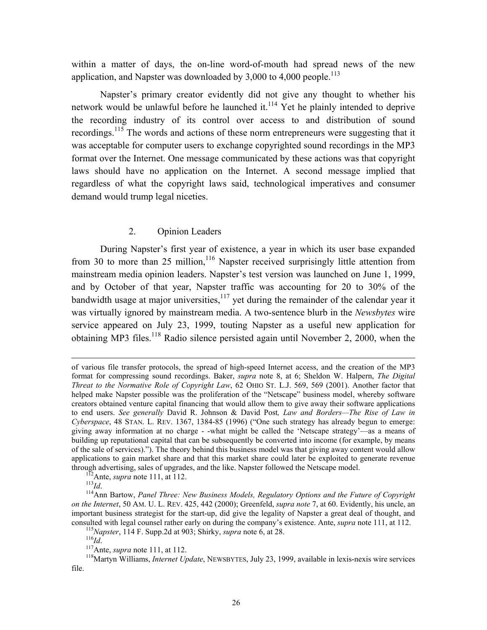<span id="page-27-0"></span>within a matter of days, the on-line word-of-mouth had spread news of the new application, and Napster was downloaded by  $3,000$  to  $4,000$  people.<sup>113</sup>

Napster's primary creator evidently did not give any thought to whether his network would be unlawful before he launched it.<sup>114</sup> Yet he plainly intended to deprive the recording industry of its control over access to and distribution of sound recordings.<sup>115</sup> The words and actions of these norm entrepreneurs were suggesting that it was acceptable for computer users to exchange copyrighted sound recordings in the MP3 format over the Internet. One message communicated by these actions was that copyright laws should have no application on the Internet. A second message implied that regardless of what the copyright laws said, technological imperatives and consumer demand would trump legal niceties.

#### 2. Opinion Leaders

During Napster's first year of existence, a year in which its user base expanded from 30 to more than 25 million,<sup>116</sup> Napster received surprisingly little attention from mainstream media opinion leaders. Napster's test version was launched on June 1, 1999, and by October of that year, Napster traffic was accounting for 20 to 30% of the bandwidth usage at major universities, $117$  yet during the remainder of the calendar year it was virtually ignored by mainstream media. A two-sentence blurb in the *Newsbytes* wire service appeared on July 23, 1999, touting Napster as a useful new application for obtaining MP3 files.<sup>118</sup> Radio silence persisted again until November 2, 2000, when the

of various file transfer protocols, the spread of high-speed Internet access, and the creation of the MP3 format for compressing sound recordings. Baker, *supra* note 8, at 6; Sheldon W. Halpern, *The Digital Threat to the Normative Role of Copyright Law*, 62 OHIO ST. L.J. 569, 569 (2001). Another factor that helped make Napster possible was the proliferation of the "Netscape" business model, whereby software creators obtained venture capital financing that would allow them to give away their software applications to end users. *See generally* David R. Johnson & David Post*, Law and Borders—The Rise of Law in Cyberspace*, 48 STAN. L. REV. 1367, 1384-85 (1996) ("One such strategy has already begun to emerge: giving away information at no charge - -what might be called the 'Netscape strategy'—as a means of building up reputational capital that can be subsequently be converted into income (for example, by means of the sale of services)."). The theory behind this business model was that giving away content would allow applications to gain market share and that this market share could later be exploited to generate revenue through advertising, sales of upgrades, and the like. Napster followed the Netscape model.<br><sup>112</sup>Ante, *supra* note 111, at 112.<br><sup>113</sup>*Id.*<br><sup>114</sup>Ann Bartow, *Panel Three: New Business Models, Regulatory Options and the Fut* 

<span id="page-27-2"></span><span id="page-27-1"></span>

*on the Internet*, 50 AM. U. L. REV. 425, 442 (2000); Greenfeld, *supra note* 7, at 60. Evidently, his uncle, an important business strategist for the start-up, did give the legality of Napster a great deal of thought, and consulted with legal counsel rather early on during the company's existence. Ante, *supra* note 111, at 112.<br><sup>115</sup>*Napster*, 114 F. Supp.2d at 903; Shirky, *supra* note 6, at 28.<br><sup>117</sup>Ante, *supra* note 111, at 112.<br><sup>117</sup>

<span id="page-27-3"></span>

<span id="page-27-4"></span>

<span id="page-27-6"></span><span id="page-27-5"></span>

file.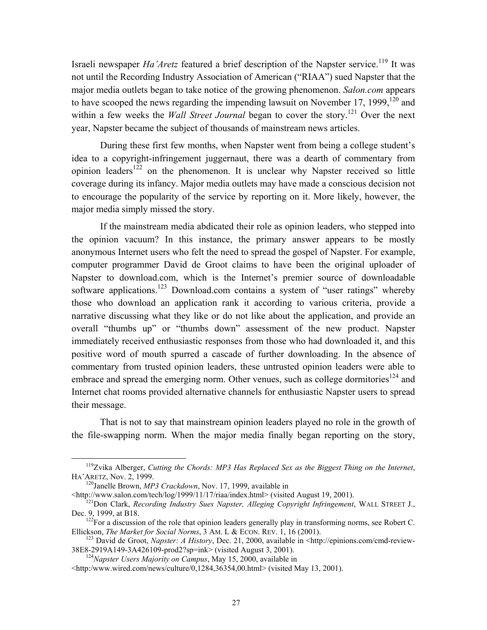Israeli newspaper *Ha'Aretz* featured a brief description of the Napster service.<sup>119</sup> It was not until the Recording Industry Association of American ("RIAA") sued Napster that the major media outlets began to take notice of the growing phenomenon. *Salon.com* appears to have scooped the news regarding the impending lawsuit on November 17, 1999,  $120$  and within a few weeks the *Wall Street Journal* began to cover the story.<sup>121</sup> Over the next year, Napster became the subject of thousands of mainstream news articles.

During these first few months, when Napster went from being a college student's idea to a copyright-infringement juggernaut, there was a dearth of commentary from opinion leaders<sup>122</sup> on the phenomenon. It is unclear why Napster received so little coverage during its infancy. Major media outlets may have made a conscious decision not to encourage the popularity of the service by reporting on it. More likely, however, the major media simply missed the story.

If the mainstream media abdicated their role as opinion leaders, who stepped into the opinion vacuum? In this instance, the primary answer appears to be mostly anonymous Internet users who felt the need to spread the gospel of Napster. For example, computer programmer David de Groot claims to have been the original uploader of Napster to download.com, which is the Internet's premier source of downloadable software applications.<sup>123</sup> Download.com contains a system of "user ratings" whereby those who download an application rank it according to various criteria, provide a narrative discussing what they like or do not like about the application, and provide an overall "thumbs up" or "thumbs down" assessment of the new product. Napster immediately received enthusiastic responses from those who had downloaded it, and this positive word of mouth spurred a cascade of further downloading. In the absence of commentary from trusted opinion leaders, these untrusted opinion leaders were able to embrace and spread the emerging norm. Other venues, such as college dormitories<sup>124</sup> and Internet chat rooms provided alternative channels for enthusiastic Napster users to spread their message.

That is not to say that mainstream opinion leaders played no role in the growth of the file-swapping norm. When the major media finally began reporting on the story,

HA'ARETZ, Nov. 2, 1999. 120Janelle Brown, *MP3 Crackdown*, Nov. 17, 1999, available in

<span id="page-28-0"></span> <sup>119</sup>Zvika Alberger, *Cutting the Chords: MP3 Has Replaced Sex as the Biggest Thing on the Internet*,

<span id="page-28-1"></span>

<span id="page-28-2"></span><sup>&</sup>lt;sup>121</sup>Don Clark, *Recording Industry Sues Napster, Alleging Copyright Infringement*, WALL STREET J., Dec. 9, 1999, at B18.

<span id="page-28-3"></span> $^{122}$ For a discussion of the role that opinion leaders generally play in transforming norms, see Robert C.

<span id="page-28-4"></span>Ellickson, *The Market for Social Norms*, 3 AM. L & ECON. REV. 1, 16 (2001).<br><sup>123</sup> David de Groot, *Napster: A History*, Dec. 21, 2000, available in <http://epinions.com/cmd-review-<br>38E8-2919A149-3A426109-prod2?sp=ink> (vi

<span id="page-28-5"></span><sup>&</sup>lt;sup>124</sup>Napster Users Majority on Campus, May 15, 2000, available in

<sup>&</sup>lt;http:/www.wired.com/news/culture/0,1284,36354,00.html> (visited May 13, 2001).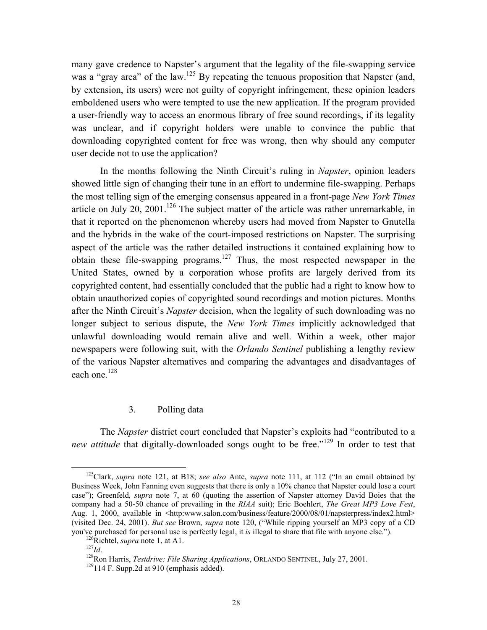<span id="page-29-0"></span>many gave credence to Napster's argument that the legality of the file-swapping service was a "gray area" of the law.<sup>125</sup> By repeating the tenuous proposition that Napster (and, by extension, its users) were not guilty of copyright infringement, these opinion leaders emboldened users who were tempted to use the new application. If the program provided a user-friendly way to access an enormous library of free sound recordings, if its legality was unclear, and if copyright holders were unable to convince the public that downloading copyrighted content for free was wrong, then why should any computer user decide not to use the application?

In the months following the Ninth Circuit's ruling in *Napster*, opinion leaders showed little sign of changing their tune in an effort to undermine file-swapping. Perhaps the most telling sign of the emerging consensus appeared in a front-page *New York Times*  article on July 20, 2001.<sup>126</sup> The subject matter of the article was rather unremarkable, in that it reported on the phenomenon whereby users had moved from Napster to Gnutella and the hybrids in the wake of the court-imposed restrictions on Napster. The surprising aspect of the article was the rather detailed instructions it contained explaining how to obtain these file-swapping programs.<sup>127</sup> Thus, the most respected newspaper in the United States, owned by a corporation whose profits are largely derived from its copyrighted content, had essentially concluded that the public had a right to know how to obtain unauthorized copies of copyrighted sound recordings and motion pictures. Months after the Ninth Circuit's *Napster* decision, when the legality of such downloading was no longer subject to serious dispute, the *New York Times* implicitly acknowledged that unlawful downloading would remain alive and well. Within a week, other major newspapers were following suit, with the *Orlando Sentinel* publishing a lengthy review of the various Napster alternatives and comparing the advantages and disadvantages of each one. $128$ 

#### 3. Polling data

 The *Napster* district court concluded that Napster's exploits had "contributed to a *new attitude* that digitally-downloaded songs ought to be free."<sup>129</sup> In order to test that

<span id="page-29-1"></span> <sup>125</sup>Clark, *supra* note 121, at B18; *see also* Ante, *supra* note 111, at 112 ("In an email obtained by Business Week, John Fanning even suggests that there is only a 10% chance that Napster could lose a court case"); Greenfeld*, supra* note 7, at 60 (quoting the assertion of Napster attorney David Boies that the company had a 50-50 chance of prevailing in the *RIAA* suit); Eric Boehlert, *The Great MP3 Love Fest*, Aug. 1, 2000, available in <http:www.salon.com/business/feature/2000/08/01/napsterpress/index2.html> (visited Dec. 24, 2001). *But see* Brown, *supra* note 120, ("While ripping yourself an MP3 copy of a CD you've purchased for personal use is perfectly legal, it *is* illegal to share that file with anyone else.").<br><sup>126</sup>Richtel, *supra* note 1, at A1.<br><sup>127</sup>Id.<br><sup>128</sup>Ron Harris, *Testdrive: File Sharing Applications*, ORLANDO

<span id="page-29-2"></span>

<span id="page-29-3"></span>

<span id="page-29-4"></span>

<span id="page-29-5"></span>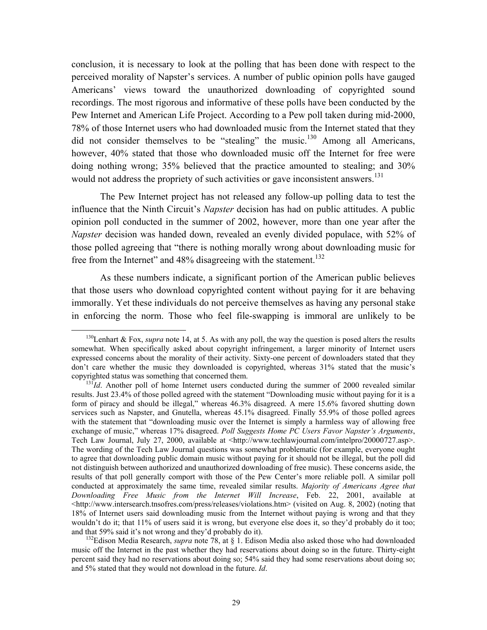conclusion, it is necessary to look at the polling that has been done with respect to the perceived morality of Napster's services. A number of public opinion polls have gauged Americans' views toward the unauthorized downloading of copyrighted sound recordings. The most rigorous and informative of these polls have been conducted by the Pew Internet and American Life Project. According to a Pew poll taken during mid-2000, 78% of those Internet users who had downloaded music from the Internet stated that they did not consider themselves to be "stealing" the music.<sup>130</sup> Among all Americans, however, 40% stated that those who downloaded music off the Internet for free were doing nothing wrong; 35% believed that the practice amounted to stealing; and 30% would not address the propriety of such activities or gave inconsistent answers.<sup>131</sup>

The Pew Internet project has not released any follow-up polling data to test the influence that the Ninth Circuit's *Napster* decision has had on public attitudes. A public opinion poll conducted in the summer of 2002, however, more than one year after the *Napster* decision was handed down, revealed an evenly divided populace, with 52% of those polled agreeing that "there is nothing morally wrong about downloading music for free from the Internet" and 48% disagreeing with the statement.<sup>132</sup>

As these numbers indicate, a significant portion of the American public believes that those users who download copyrighted content without paying for it are behaving immorally. Yet these individuals do not perceive themselves as having any personal stake in enforcing the norm. Those who feel file-swapping is immoral are unlikely to be

<span id="page-30-0"></span><sup>&</sup>lt;sup>130</sup>Lenhart & Fox, *supra* note 14, at 5. As with any poll, the way the question is posed alters the results somewhat. When specifically asked about copyright infringement, a larger minority of Internet users expressed concerns about the morality of their activity. Sixty-one percent of downloaders stated that they don't care whether the music they downloaded is copyrighted, whereas 31% stated that the music's copyrighted status was something that concerned them.<br><sup>131</sup>*Id*. Another poll of home Internet users conducted during the summer of 2000 revealed similar

<span id="page-30-1"></span>results. Just 23.4% of those polled agreed with the statement "Downloading music without paying for it is a form of piracy and should be illegal," whereas 46.3% disagreed. A mere 15.6% favored shutting down services such as Napster, and Gnutella, whereas 45.1% disagreed. Finally 55.9% of those polled agrees with the statement that "downloading music over the Internet is simply a harmless way of allowing free exchange of music," whereas 17% disagreed. *Poll Suggests Home PC Users Favor Napster's Arguments*, Tech Law Journal, July 27, 2000, available at <http://www.techlawjournal.com/intelpro/20000727.asp>. The wording of the Tech Law Journal questions was somewhat problematic (for example, everyone ought to agree that downloading public domain music without paying for it should not be illegal, but the poll did not distinguish between authorized and unauthorized downloading of free music). These concerns aside, the results of that poll generally comport with those of the Pew Center's more reliable poll. A similar poll conducted at approximately the same time, revealed similar results. *Majority of Americans Agree that Downloading Free Music from the Internet Will Increase*, Feb. 22, 2001, available at  $\langle$ http://www.intersearch.tnsofres.com/press/releases/violations.htm> (visited on Aug. 8, 2002) (noting that 18% of Internet users said downloading music from the Internet without paying is wrong and that they wouldn't do it; that 11% of users said it is wrong, but everyone else does it, so they'd probably do it too; and that 59% said it's not wrong and they'd probably do it).<br><sup>132</sup>Edison Media Research, *supra* note 78, at § 1. Edison Media also asked those who had downloaded

<span id="page-30-2"></span>music off the Internet in the past whether they had reservations about doing so in the future. Thirty-eight percent said they had no reservations about doing so; 54% said they had some reservations about doing so; and 5% stated that they would not download in the future. *Id*.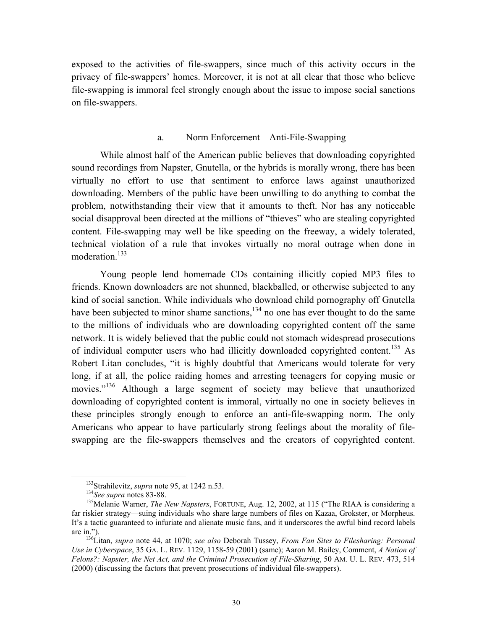<span id="page-31-0"></span>exposed to the activities of file-swappers, since much of this activity occurs in the privacy of file-swappers' homes. Moreover, it is not at all clear that those who believe file-swapping is immoral feel strongly enough about the issue to impose social sanctions on file-swappers.

#### a. Norm Enforcement—Anti-File-Swapping

While almost half of the American public believes that downloading copyrighted sound recordings from Napster, Gnutella, or the hybrids is morally wrong, there has been virtually no effort to use that sentiment to enforce laws against unauthorized downloading. Members of the public have been unwilling to do anything to combat the problem, notwithstanding their view that it amounts to theft. Nor has any noticeable social disapproval been directed at the millions of "thieves" who are stealing copyrighted content. File-swapping may well be like speeding on the freeway, a widely tolerated, technical violation of a rule that invokes virtually no moral outrage when done in moderation.<sup>133</sup>

Young people lend homemade CDs containing illicitly copied MP3 files to friends. Known downloaders are not shunned, blackballed, or otherwise subjected to any kind of social sanction. While individuals who download child pornography off Gnutella have been subjected to minor shame sanctions,  $^{134}$  no one has ever thought to do the same to the millions of individuals who are downloading copyrighted content off the same network. It is widely believed that the public could not stomach widespread prosecutions of individual computer users who had illicitly downloaded copyrighted content.<sup>135</sup> As Robert Litan concludes, "it is highly doubtful that Americans would tolerate for very long, if at all, the police raiding homes and arresting teenagers for copying music or movies."<sup>136</sup> Although a large segment of society may believe that unauthorized downloading of copyrighted content is immoral, virtually no one in society believes in these principles strongly enough to enforce an anti-file-swapping norm. The only Americans who appear to have particularly strong feelings about the morality of fileswapping are the file-swappers themselves and the creators of copyrighted content.

<span id="page-31-1"></span>

<span id="page-31-3"></span><span id="page-31-2"></span>

<sup>&</sup>lt;sup>133</sup>Strahilevitz, *supra* note 95, at 1242 n.53.<br><sup>134</sup>*See supra* notes 83-88.<br><sup>135</sup>Melanie Warner, *The New Napsters*, FORTUNE, Aug. 12, 2002, at 115 ("The RIAA is considering a far riskier strategy—suing individuals who share large numbers of files on Kazaa, Grokster, or Morpheus. It's a tactic guaranteed to infuriate and alienate music fans, and it underscores the awful bind record labels

<span id="page-31-4"></span>are in."). 136Litan, *supra* note 44, at 1070; *see also* Deborah Tussey, *From Fan Sites to Filesharing: Personal Use in Cyberspace*, 35 GA. L. REV. 1129, 1158-59 (2001) (same); Aaron M. Bailey, Comment, *A Nation of Felons?: Napster, the Net Act, and the Criminal Prosecution of File-Sharing*, 50 AM. U. L. REV. 473, 514 (2000) (discussing the factors that prevent prosecutions of individual file-swappers).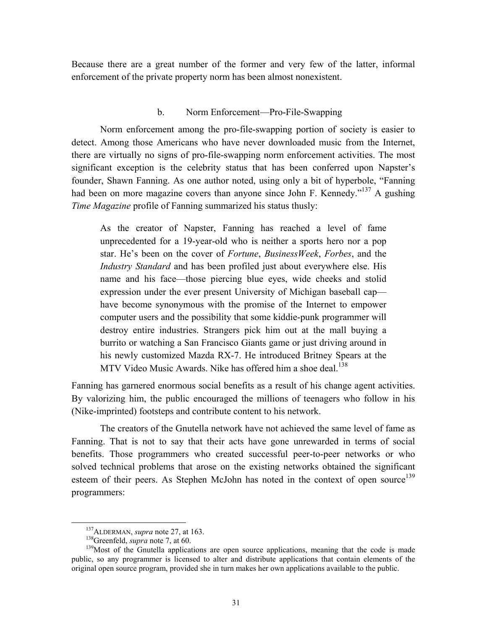<span id="page-32-0"></span>Because there are a great number of the former and very few of the latter, informal enforcement of the private property norm has been almost nonexistent.

#### b. Norm Enforcement—Pro-File-Swapping

Norm enforcement among the pro-file-swapping portion of society is easier to detect. Among those Americans who have never downloaded music from the Internet, there are virtually no signs of pro-file-swapping norm enforcement activities. The most significant exception is the celebrity status that has been conferred upon Napster's founder, Shawn Fanning. As one author noted, using only a bit of hyperbole, "Fanning had been on more magazine covers than anyone since John F. Kennedy."<sup>137</sup> A gushing *Time Magazine* profile of Fanning summarized his status thusly:

As the creator of Napster, Fanning has reached a level of fame unprecedented for a 19-year-old who is neither a sports hero nor a pop star. He's been on the cover of *Fortune*, *BusinessWeek*, *Forbes*, and the *Industry Standard* and has been profiled just about everywhere else. His name and his face—those piercing blue eyes, wide cheeks and stolid expression under the ever present University of Michigan baseball cap have become synonymous with the promise of the Internet to empower computer users and the possibility that some kiddie-punk programmer will destroy entire industries. Strangers pick him out at the mall buying a burrito or watching a San Francisco Giants game or just driving around in his newly customized Mazda RX-7. He introduced Britney Spears at the MTV Video Music Awards. Nike has offered him a shoe deal.<sup>[138](#page-32-2)</sup>

Fanning has garnered enormous social benefits as a result of his change agent activities. By valorizing him, the public encouraged the millions of teenagers who follow in his (Nike-imprinted) footsteps and contribute content to his network.

The creators of the Gnutella network have not achieved the same level of fame as Fanning. That is not to say that their acts have gone unrewarded in terms of social benefits. Those programmers who created successful peer-to-peer networks or who solved technical problems that arose on the existing networks obtained the significant esteem of their peers. As Stephen McJohn has noted in the context of open source<sup>139</sup> programmers:

<span id="page-32-1"></span>

<span id="page-32-3"></span><span id="page-32-2"></span>

<sup>&</sup>lt;sup>137</sup>ALDERMAN, *supra* note 27, at 163.<br><sup>138</sup>Greenfeld, *supra* note 7, at 60. <sup>139</sup>Most of the Gnutella applications are open source applications, meaning that the code is made public, so any programmer is licensed to alter and distribute applications that contain elements of the original open source program, provided she in turn makes her own applications available to the public.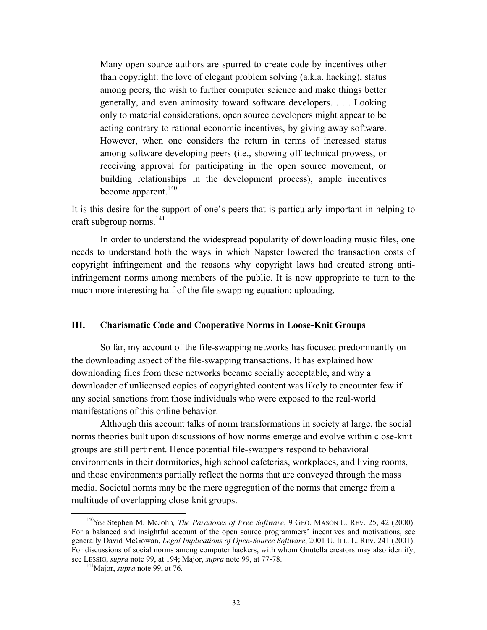<span id="page-33-0"></span>Many open source authors are spurred to create code by incentives other than copyright: the love of elegant problem solving (a.k.a. hacking), status among peers, the wish to further computer science and make things better generally, and even animosity toward software developers. . . . Looking only to material considerations, open source developers might appear to be acting contrary to rational economic incentives, by giving away software. However, when one considers the return in terms of increased status among software developing peers (i.e., showing off technical prowess, or receiving approval for participating in the open source movement, or building relationships in the development process), ample incentives become apparent. $140$ 

It is this desire for the support of one's peers that is particularly important in helping to craft subgroup norms. [141](#page-33-2) 

In order to understand the widespread popularity of downloading music files, one needs to understand both the ways in which Napster lowered the transaction costs of copyright infringement and the reasons why copyright laws had created strong antiinfringement norms among members of the public. It is now appropriate to turn to the much more interesting half of the file-swapping equation: uploading.

#### **III. Charismatic Code and Cooperative Norms in Loose-Knit Groups**

So far, my account of the file-swapping networks has focused predominantly on the downloading aspect of the file-swapping transactions. It has explained how downloading files from these networks became socially acceptable, and why a downloader of unlicensed copies of copyrighted content was likely to encounter few if any social sanctions from those individuals who were exposed to the real-world manifestations of this online behavior.

Although this account talks of norm transformations in society at large, the social norms theories built upon discussions of how norms emerge and evolve within close-knit groups are still pertinent. Hence potential file-swappers respond to behavioral environments in their dormitories, high school cafeterias, workplaces, and living rooms, and those environments partially reflect the norms that are conveyed through the mass media. Societal norms may be the mere aggregation of the norms that emerge from a multitude of overlapping close-knit groups.

<span id="page-33-1"></span> <sup>140</sup>*See* Stephen M. McJohn*, The Paradoxes of Free Software*, 9 GEO. MASON L. REV. 25, 42 (2000). For a balanced and insightful account of the open source programmers' incentives and motivations, see generally David McGowan, *Legal Implications of Open-Source Software*, 2001 U. ILL. L. REV. 241 (2001). For discussions of social norms among computer hackers, with whom Gnutella creators may also identify, see LESSIG, *supra* note 99, at 194; Major, *supra* note 99, at 77-78. 141Major, *supra* note 99, at 76.

<span id="page-33-2"></span>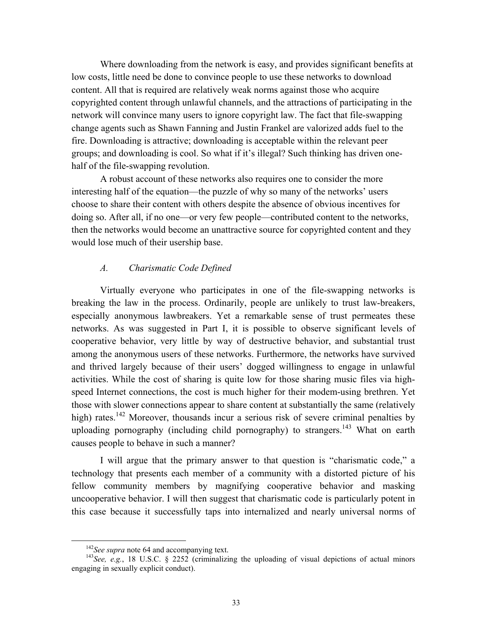<span id="page-34-0"></span>Where downloading from the network is easy, and provides significant benefits at low costs, little need be done to convince people to use these networks to download content. All that is required are relatively weak norms against those who acquire copyrighted content through unlawful channels, and the attractions of participating in the network will convince many users to ignore copyright law. The fact that file-swapping change agents such as Shawn Fanning and Justin Frankel are valorized adds fuel to the fire. Downloading is attractive; downloading is acceptable within the relevant peer groups; and downloading is cool. So what if it's illegal? Such thinking has driven onehalf of the file-swapping revolution.

A robust account of these networks also requires one to consider the more interesting half of the equation—the puzzle of why so many of the networks' users choose to share their content with others despite the absence of obvious incentives for doing so. After all, if no one—or very few people—contributed content to the networks, then the networks would become an unattractive source for copyrighted content and they would lose much of their usership base.

#### *A. Charismatic Code Defined*

Virtually everyone who participates in one of the file-swapping networks is breaking the law in the process. Ordinarily, people are unlikely to trust law-breakers, especially anonymous lawbreakers. Yet a remarkable sense of trust permeates these networks. As was suggested in Part I, it is possible to observe significant levels of cooperative behavior, very little by way of destructive behavior, and substantial trust among the anonymous users of these networks. Furthermore, the networks have survived and thrived largely because of their users' dogged willingness to engage in unlawful activities. While the cost of sharing is quite low for those sharing music files via highspeed Internet connections, the cost is much higher for their modem-using brethren. Yet those with slower connections appear to share content at substantially the same (relatively high) rates.<sup>142</sup> Moreover, thousands incur a serious risk of severe criminal penalties by uploading pornography (including child pornography) to strangers.<sup>143</sup> What on earth causes people to behave in such a manner?

I will argue that the primary answer to that question is "charismatic code," a technology that presents each member of a community with a distorted picture of his fellow community members by magnifying cooperative behavior and masking uncooperative behavior. I will then suggest that charismatic code is particularly potent in this case because it successfully taps into internalized and nearly universal norms of

<span id="page-34-2"></span><span id="page-34-1"></span>

<sup>&</sup>lt;sup>142</sup>*See supra* note 64 and accompanying text.<br><sup>143</sup>*See, e.g.*, 18 U.S.C. § 2252 (criminalizing the uploading of visual depictions of actual minors engaging in sexually explicit conduct).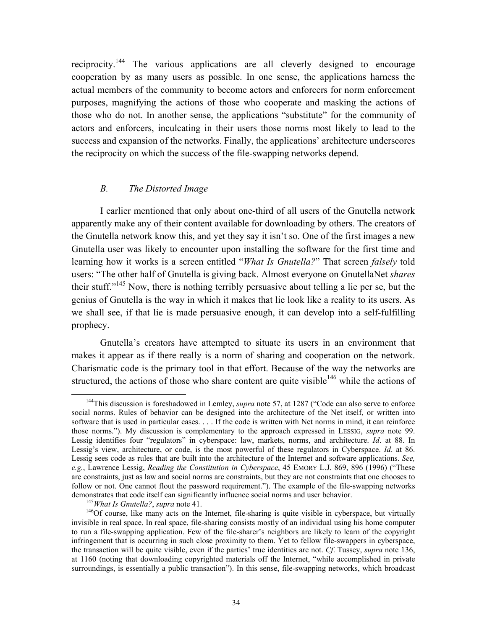<span id="page-35-3"></span><span id="page-35-0"></span>reciprocity[.144](#page-35-1) The various applications are all cleverly designed to encourage cooperation by as many users as possible. In one sense, the applications harness the actual members of the community to become actors and enforcers for norm enforcement purposes, magnifying the actions of those who cooperate and masking the actions of those who do not. In another sense, the applications "substitute" for the community of actors and enforcers, inculcating in their users those norms most likely to lead to the success and expansion of the networks. Finally, the applications' architecture underscores the reciprocity on which the success of the file-swapping networks depend.

#### *B. The Distorted Image*

I earlier mentioned that only about one-third of all users of the Gnutella network apparently make any of their content available for downloading by others. The creators of the Gnutella network know this, and yet they say it isn't so. One of the first images a new Gnutella user was likely to encounter upon installing the software for the first time and learning how it works is a screen entitled "*What Is Gnutella?*" That screen *falsely* told users: "The other half of Gnutella is giving back. Almost everyone on GnutellaNet *shares*  their stuff."<sup>145</sup> Now, there is nothing terribly persuasive about telling a lie per se, but the genius of Gnutella is the way in which it makes that lie look like a reality to its users. As we shall see, if that lie is made persuasive enough, it can develop into a self-fulfilling prophecy.

Gnutella's creators have attempted to situate its users in an environment that makes it appear as if there really is a norm of sharing and cooperation on the network. Charismatic code is the primary tool in that effort. Because of the way the networks are structured, the actions of those who share content are quite visible<sup>146</sup> while the actions of

<span id="page-35-1"></span> <sup>144</sup>This discussion is foreshadowed in Lemley, *supra* note 57, at 1287 ("Code can also serve to enforce social norms. Rules of behavior can be designed into the architecture of the Net itself, or written into software that is used in particular cases. . . . If the code is written with Net norms in mind, it can reinforce those norms."). My discussion is complementary to the approach expressed in LESSIG, *supra* note 99. Lessig identifies four "regulators" in cyberspace: law, markets, norms, and architecture. *Id*. at 88. In Lessig's view, architecture, or code, is the most powerful of these regulators in Cyberspace. *Id*. at 86. Lessig sees code as rules that are built into the architecture of the Internet and software applications. *See, e.g.*, Lawrence Lessig, *Reading the Constitution in Cyberspace*, 45 EMORY L.J. 869, 896 (1996) ("These are constraints, just as law and social norms are constraints, but they are not constraints that one chooses to follow or not. One cannot flout the password requirement."). The example of the file-swapping networks demonstrates that code itself can significantly influence social norms and user behavior.

<span id="page-35-2"></span>

<sup>&</sup>lt;sup>145</sup>What Is Gnutella?, supra note 41.<br><sup>146</sup>Of course, like many acts on the Internet, file-sharing is quite visible in cyberspace, but virtually invisible in real space. In real space, file-sharing consists mostly of an individual using his home computer to run a file-swapping application. Few of the file-sharer's neighbors are likely to learn of the copyright infringement that is occurring in such close proximity to them. Yet to fellow file-swappers in cyberspace, the transaction will be quite visible, even if the parties' true identities are not. *Cf*. Tussey, *supra* note 136, at 1160 (noting that downloading copyrighted materials off the Internet, "while accomplished in private surroundings, is essentially a public transaction"). In this sense, file-swapping networks, which broadcast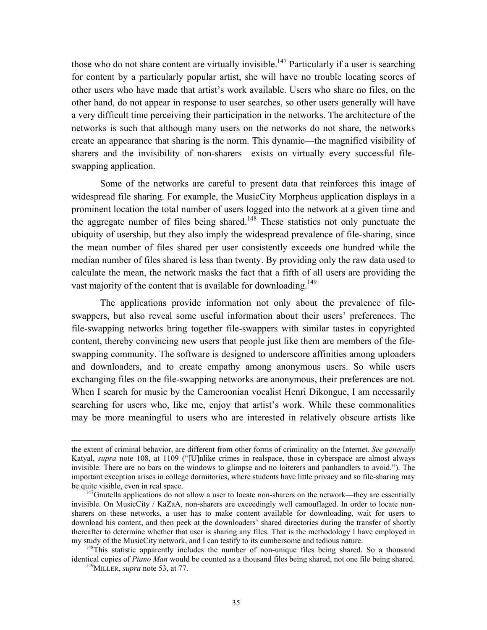those who do not share content are virtually invisible.<sup>147</sup> Particularly if a user is searching for content by a particularly popular artist, she will have no trouble locating scores of other users who have made that artist's work available. Users who share no files, on the other hand, do not appear in response to user searches, so other users generally will have a very difficult time perceiving their participation in the networks. The architecture of the networks is such that although many users on the networks do not share, the networks create an appearance that sharing is the norm. This dynamic—the magnified visibility of sharers and the invisibility of non-sharers—exists on virtually every successful fileswapping application.

Some of the networks are careful to present data that reinforces this image of widespread file sharing. For example, the MusicCity Morpheus application displays in a prominent location the total number of users logged into the network at a given time and the aggregate number of files being shared.<sup>148</sup> These statistics not only punctuate the ubiquity of usership, but they also imply the widespread prevalence of file-sharing, since the mean number of files shared per user consistently exceeds one hundred while the median number of files shared is less than twenty. By providing only the raw data used to calculate the mean, the network masks the fact that a fifth of all users are providing the vast majority of the content that is available for downloading.<sup>149</sup>

The applications provide information not only about the prevalence of fileswappers, but also reveal some useful information about their users' preferences. The file-swapping networks bring together file-swappers with similar tastes in copyrighted content, thereby convincing new users that people just like them are members of the fileswapping community. The software is designed to underscore affinities among uploaders and downloaders, and to create empathy among anonymous users. So while users exchanging files on the file-swapping networks are anonymous, their preferences are not. When I search for music by the Cameroonian vocalist Henri Dikongue, I am necessarily searching for users who, like me, enjoy that artist's work. While these commonalities may be more meaningful to users who are interested in relatively obscure artists like

the extent of criminal behavior, are different from other forms of criminality on the Internet. *See generally* Katyal, *supra* note 108, at 1109 ("[U]nlike crimes in realspace, those in cyberspace are almost always invisible. There are no bars on the windows to glimpse and no loiterers and panhandlers to avoid."). The important exception arises in college dormitories, where students have little privacy and so file-sharing may be quite visible, even in real space.<br><sup>147</sup>Gnutella applications do not allow a user to locate non-sharers on the network—they are essentially

<span id="page-36-0"></span>invisible. On MusicCity / KaZaA, non-sharers are exceedingly well camouflaged. In order to locate nonsharers on these networks, a user has to make content available for downloading, wait for users to download his content, and then peek at the downloaders' shared directories during the transfer of shortly thereafter to determine whether that user is sharing any files. That is the methodology I have employed in my study of the MusicCity network, and I can testify to its cumbersome and tedious nature.<br><sup>148</sup>This statistic apparently includes the number of non-unique files being shared. So a thousand

identical copies of *Piano Man* would be counted as a thousand files being shared, not one file being shared. 149MILLER, *supra* note 53, at 77.

<span id="page-36-2"></span><span id="page-36-1"></span>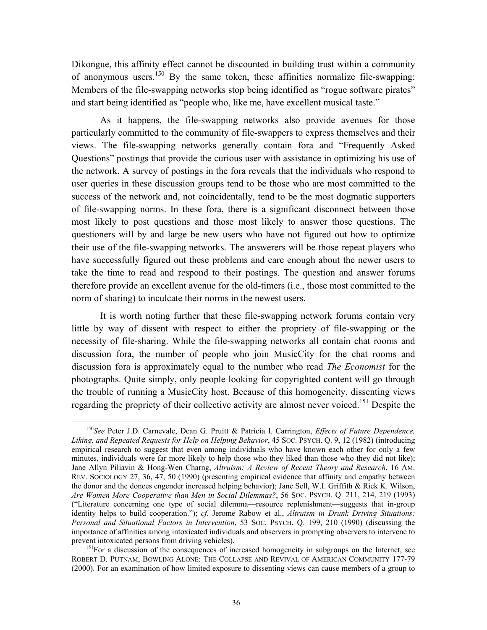<span id="page-37-1"></span>Dikongue, this affinity effect cannot be discounted in building trust within a community of anonymous users.<sup>150</sup> By the same token, these affinities normalize file-swapping: Members of the file-swapping networks stop being identified as "rogue software pirates" and start being identified as "people who, like me, have excellent musical taste."

As it happens, the file-swapping networks also provide avenues for those particularly committed to the community of file-swappers to express themselves and their views. The file-swapping networks generally contain fora and "Frequently Asked Questions" postings that provide the curious user with assistance in optimizing his use of the network. A survey of postings in the fora reveals that the individuals who respond to user queries in these discussion groups tend to be those who are most committed to the success of the network and, not coincidentally, tend to be the most dogmatic supporters of file-swapping norms. In these fora, there is a significant disconnect between those most likely to post questions and those most likely to answer those questions. The questioners will by and large be new users who have not figured out how to optimize their use of the file-swapping networks. The answerers will be those repeat players who have successfully figured out these problems and care enough about the newer users to take the time to read and respond to their postings. The question and answer forums therefore provide an excellent avenue for the old-timers (i.e., those most committed to the norm of sharing) to inculcate their norms in the newest users.

It is worth noting further that these file-swapping network forums contain very little by way of dissent with respect to either the propriety of file-swapping or the necessity of file-sharing. While the file-swapping networks all contain chat rooms and discussion fora, the number of people who join MusicCity for the chat rooms and discussion fora is approximately equal to the number who read *The Economist* for the photographs. Quite simply, only people looking for copyrighted content will go through the trouble of running a MusicCity host. Because of this homogeneity, dissenting views regarding the propriety of their collective activity are almost never voiced.<sup>151</sup> Despite the

<span id="page-37-0"></span> <sup>150</sup>*See* Peter J.D. Carnevale, Dean G. Pruitt & Patricia I. Carrington, *Effects of Future Dependence, Liking, and Repeated Requests for Help on Helping Behavior*, 45 SOC. PSYCH. Q. 9, 12 (1982) (introducing empirical research to suggest that even among individuals who have known each other for only a few minutes, individuals were far more likely to help those who they liked than those who they did not like); Jane Allyn Piliavin & Hong-Wen Charng, *Altruism: A Review of Recent Theory and Research*, 16 AM. REV. SOCIOLOGY 27, 36, 47, 50 (1990) (presenting empirical evidence that affinity and empathy between the donor and the donees engender increased helping behavior); Jane Sell, W.I. Griffith & Rick K. Wilson, *Are Women More Cooperative than Men in Social Dilemmas?*, 56 SOC. PSYCH. Q. 211, 214, 219 (1993) ("Literature concerning one type of social dilemma—resource replenishment—suggests that in-group identity helps to build cooperation."); *cf*. Jerome Rabow et al., *Altruism in Drunk Driving Situations: Personal and Situational Factors in Intervention*, 53 SOC. PSYCH. Q. 199, 210 (1990) (discussing the importance of affinities among intoxicated individuals and observers in prompting observers to intervene to

prevent intoxicated persons from driving vehicles).<br><sup>151</sup>For a discussion of the consequences of increased homogeneity in subgroups on the Internet, see ROBERT D. PUTNAM, BOWLING ALONE: THE COLLAPSE AND REVIVAL OF AMERICAN COMMUNITY 177-79 (2000). For an examination of how limited exposure to dissenting views can cause members of a group to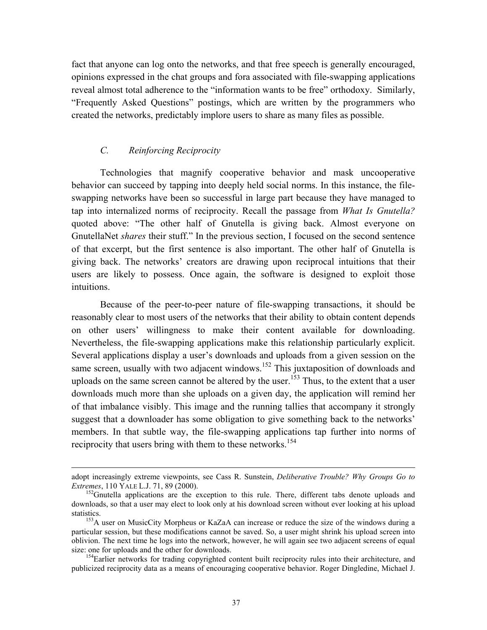<span id="page-38-2"></span>fact that anyone can log onto the networks, and that free speech is generally encouraged, opinions expressed in the chat groups and fora associated with file-swapping applications reveal almost total adherence to the "information wants to be free" orthodoxy. Similarly, "Frequently Asked Questions" postings, which are written by the programmers who created the networks, predictably implore users to share as many files as possible.

# *C. Reinforcing Reciprocity*

Technologies that magnify cooperative behavior and mask uncooperative behavior can succeed by tapping into deeply held social norms. In this instance, the fileswapping networks have been so successful in large part because they have managed to tap into internalized norms of reciprocity. Recall the passage from *What Is Gnutella?* quoted above: "The other half of Gnutella is giving back. Almost everyone on GnutellaNet *shares* their stuff." In the previous section, I focused on the second sentence of that excerpt, but the first sentence is also important. The other half of Gnutella is giving back. The networks' creators are drawing upon reciprocal intuitions that their users are likely to possess. Once again, the software is designed to exploit those intuitions.

Because of the peer-to-peer nature of file-swapping transactions, it should be reasonably clear to most users of the networks that their ability to obtain content depends on other users' willingness to make their content available for downloading. Nevertheless, the file-swapping applications make this relationship particularly explicit. Several applications display a user's downloads and uploads from a given session on the same screen, usually with two adjacent windows.<sup>152</sup> This juxtaposition of downloads and uploads on the same screen cannot be altered by the user.<sup>153</sup> Thus, to the extent that a user downloads much more than she uploads on a given day, the application will remind her of that imbalance visibly. This image and the running tallies that accompany it strongly suggest that a downloader has some obligation to give something back to the networks' members. In that subtle way, the file-swapping applications tap further into norms of reciprocity that users bring with them to these networks.<sup>154</sup>

adopt increasingly extreme viewpoints, see Cass R. Sunstein, *Deliberative Trouble? Why Groups Go to*

<span id="page-38-0"></span><sup>&</sup>lt;sup>152</sup> Gnutella applications are the exception to this rule. There, different tabs denote uploads and downloads, so that a user may elect to look only at his download screen without ever looking at his upload statistics.<br><sup>153</sup>A user on MusicCity Morpheus or KaZaA can increase or reduce the size of the windows during a

<span id="page-38-1"></span>particular session, but these modifications cannot be saved. So, a user might shrink his upload screen into oblivion. The next time he logs into the network, however, he will again see two adjacent screens of equal size: one for uploads and the other for downloads.<br><sup>154</sup>Earlier networks for trading copyrighted content built reciprocity rules into their architecture, and

publicized reciprocity data as a means of encouraging cooperative behavior. Roger Dingledine, Michael J.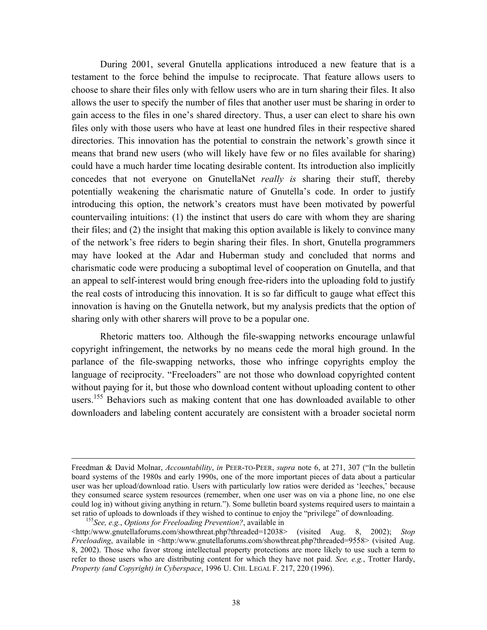During 2001, several Gnutella applications introduced a new feature that is a testament to the force behind the impulse to reciprocate. That feature allows users to choose to share their files only with fellow users who are in turn sharing their files. It also allows the user to specify the number of files that another user must be sharing in order to gain access to the files in one's shared directory. Thus, a user can elect to share his own files only with those users who have at least one hundred files in their respective shared directories. This innovation has the potential to constrain the network's growth since it means that brand new users (who will likely have few or no files available for sharing) could have a much harder time locating desirable content. Its introduction also implicitly concedes that not everyone on GnutellaNet *really is* sharing their stuff, thereby potentially weakening the charismatic nature of Gnutella's code. In order to justify introducing this option, the network's creators must have been motivated by powerful countervailing intuitions: (1) the instinct that users do care with whom they are sharing their files; and (2) the insight that making this option available is likely to convince many of the network's free riders to begin sharing their files. In short, Gnutella programmers may have looked at the Adar and Huberman study and concluded that norms and charismatic code were producing a suboptimal level of cooperation on Gnutella, and that an appeal to self-interest would bring enough free-riders into the uploading fold to justify the real costs of introducing this innovation. It is so far difficult to gauge what effect this innovation is having on the Gnutella network, but my analysis predicts that the option of sharing only with other sharers will prove to be a popular one.

Rhetoric matters too. Although the file-swapping networks encourage unlawful copyright infringement, the networks by no means cede the moral high ground. In the parlance of the file-swapping networks, those who infringe copyrights employ the language of reciprocity. "Freeloaders" are not those who download copyrighted content without paying for it, but those who download content without uploading content to other users.<sup>155</sup> Behaviors such as making content that one has downloaded available to other downloaders and labeling content accurately are consistent with a broader societal norm

Freedman & David Molnar, *Accountability*, *in* PEER-TO-PEER, *supra* note 6, at 271, 307 ("In the bulletin board systems of the 1980s and early 1990s, one of the more important pieces of data about a particular user was her upload/download ratio. Users with particularly low ratios were derided as 'leeches,' because they consumed scarce system resources (remember, when one user was on via a phone line, no one else could log in) without giving anything in return."). Some bulletin board systems required users to maintain a set ratio of uploads to downloads if they wished to continue to enjoy the "privilege" of downloading. 155*See, e.g.*, *Options for Freeloading Prevention?*, available in

<span id="page-39-0"></span>

 $\text{Khttp://www.gnutellaforms.com/showthread.php?threaded=12038> (visited Aug. 8, 2002); *Stop*$ *Freeloading*, available in <http:/www.gnutellaforums.com/showthreat.php?threaded=9558> (visited Aug. 8, 2002). Those who favor strong intellectual property protections are more likely to use such a term to refer to those users who are distributing content for which they have not paid. *See, e.g.*, Trotter Hardy, *Property (and Copyright) in Cyberspace*, 1996 U. CHI. LEGAL F. 217, 220 (1996).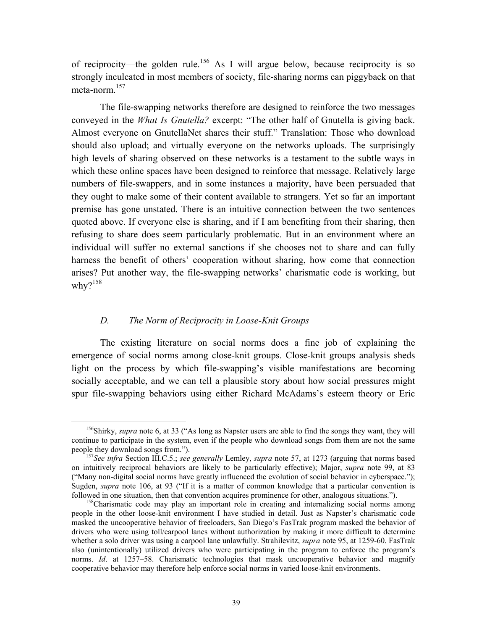of reciprocity—the golden rule.<sup>156</sup> As I will argue below, because reciprocity is so strongly inculcated in most members of society, file-sharing norms can piggyback on that meta-norm.[157](#page-40-1)

The file-swapping networks therefore are designed to reinforce the two messages conveyed in the *What Is Gnutella?* excerpt: "The other half of Gnutella is giving back. Almost everyone on GnutellaNet shares their stuff." Translation: Those who download should also upload; and virtually everyone on the networks uploads. The surprisingly high levels of sharing observed on these networks is a testament to the subtle ways in which these online spaces have been designed to reinforce that message. Relatively large numbers of file-swappers, and in some instances a majority, have been persuaded that they ought to make some of their content available to strangers. Yet so far an important premise has gone unstated. There is an intuitive connection between the two sentences quoted above. If everyone else is sharing, and if I am benefiting from their sharing, then refusing to share does seem particularly problematic. But in an environment where an individual will suffer no external sanctions if she chooses not to share and can fully harness the benefit of others' cooperation without sharing, how come that connection arises? Put another way, the file-swapping networks' charismatic code is working, but why? $158$ 

## *D. The Norm of Reciprocity in Loose-Knit Groups*

The existing literature on social norms does a fine job of explaining the emergence of social norms among close-knit groups. Close-knit groups analysis sheds light on the process by which file-swapping's visible manifestations are becoming socially acceptable, and we can tell a plausible story about how social pressures might spur file-swapping behaviors using either Richard McAdams's esteem theory or Eric

<span id="page-40-0"></span> <sup>156</sup>Shirky, *supra* note 6, at 33 ("As long as Napster users are able to find the songs they want, they will continue to participate in the system, even if the people who download songs from them are not the same people they download songs from."). 157*See infra* Section III.C.5.; *see generally* Lemley, *supra* note 57, at 1273 (arguing that norms based

<span id="page-40-1"></span>on intuitively reciprocal behaviors are likely to be particularly effective); Major, *supra* note 99, at 83 ("Many non-digital social norms have greatly influenced the evolution of social behavior in cyberspace."); Sugden, *supra* note 106, at 93 ("If it is a matter of common knowledge that a particular convention is followed in one situation, then that convention acquires prominence for other, analogous situations.").<br><sup>158</sup>Charismatic code may play an important role in creating and internalizing social norms among

<span id="page-40-2"></span>people in the other loose-knit environment I have studied in detail. Just as Napster's charismatic code masked the uncooperative behavior of freeloaders, San Diego's FasTrak program masked the behavior of drivers who were using toll/carpool lanes without authorization by making it more difficult to determine whether a solo driver was using a carpool lane unlawfully. Strahilevitz, *supra* note 95, at 1259-60. FasTrak also (unintentionally) utilized drivers who were participating in the program to enforce the program's norms. *Id*. at 1257–58. Charismatic technologies that mask uncooperative behavior and magnify cooperative behavior may therefore help enforce social norms in varied loose-knit environments.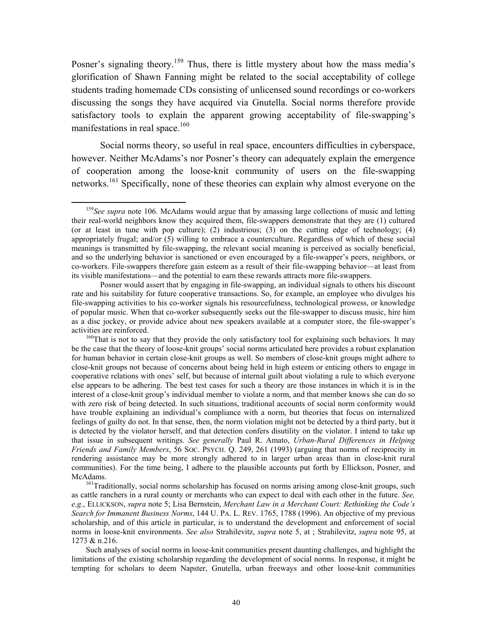<span id="page-41-2"></span>Posner's signaling theory.<sup>159</sup> Thus, there is little mystery about how the mass media's glorification of Shawn Fanning might be related to the social acceptability of college students trading homemade CDs consisting of unlicensed sound recordings or co-workers discussing the songs they have acquired via Gnutella. Social norms therefore provide satisfactory tools to explain the apparent growing acceptability of file-swapping's manifestations in real space.<sup>160</sup>

Social norms theory, so useful in real space, encounters difficulties in cyberspace, however. Neither McAdams's nor Posner's theory can adequately explain the emergence of cooperation among the loose-knit community of users on the file-swapping networks.<sup>161</sup> Specifically, none of these theories can explain why almost everyone on the

Such analyses of social norms in loose-knit communities present daunting challenges, and highlight the limitations of the existing scholarship regarding the development of social norms. In response, it might be tempting for scholars to deem Napster, Gnutella, urban freeways and other loose-knit communities

<span id="page-41-0"></span><sup>&</sup>lt;sup>159</sup>See supra note 106. McAdams would argue that by amassing large collections of music and letting their real-world neighbors know they acquired them, file-swappers demonstrate that they are (1) cultured (or at least in tune with pop culture); (2) industrious; (3) on the cutting edge of technology; (4) appropriately frugal; and/or (5) willing to embrace a counterculture. Regardless of which of these social meanings is transmitted by file-swapping, the relevant social meaning is perceived as socially beneficial, and so the underlying behavior is sanctioned or even encouraged by a file-swapper's peers, neighbors, or co-workers. File-swappers therefore gain esteem as a result of their file-swapping behavior—at least from its visible manifestations—and the potential to earn these rewards attracts more file-swappers.

Posner would assert that by engaging in file-swapping, an individual signals to others his discount rate and his suitability for future cooperative transactions. So, for example, an employee who divulges his file-swapping activities to his co-worker signals his resourcefulness, technological prowess, or knowledge of popular music. When that co-worker subsequently seeks out the file-swapper to discuss music, hire him as a disc jockey, or provide advice about new speakers available at a computer store, the file-swapper's activities are reinforced.<br><sup>160</sup>That is not to say that they provide the only satisfactory tool for explaining such behaviors. It may

<span id="page-41-1"></span>be the case that the theory of loose-knit groups' social norms articulated here provides a robust explanation for human behavior in certain close-knit groups as well. So members of close-knit groups might adhere to close-knit groups not because of concerns about being held in high esteem or enticing others to engage in cooperative relations with ones' self, but because of internal guilt about violating a rule to which everyone else appears to be adhering. The best test cases for such a theory are those instances in which it is in the interest of a close-knit group's individual member to violate a norm, and that member knows she can do so with zero risk of being detected. In such situations, traditional accounts of social norm conformity would have trouble explaining an individual's compliance with a norm, but theories that focus on internalized feelings of guilty do not. In that sense, then, the norm violation might not be detected by a third party, but it is detected by the violator herself, and that detection confers disutility on the violator. I intend to take up that issue in subsequent writings. *See generally* Paul R. Amato, *Urban-Rural Differences in Helping Friends and Family Members*, 56 SOC. PSYCH. Q. 249, 261 (1993) (arguing that norms of reciprocity in rendering assistance may be more strongly adhered to in larger urban areas than in close-knit rural communities). For the time being, I adhere to the plausible accounts put forth by Ellickson, Posner, and

McAdams.<br><sup>161</sup>Traditionally, social norms scholarship has focused on norms arising among close-knit groups, such as cattle ranchers in a rural county or merchants who can expect to deal with each other in the future. *See, e.g.*, ELLICKSON, *supra* note 5; Lisa Bernstein, *Merchant Law in a Merchant Court: Rethinking the Code's Search for Immanent Business Norms*, 144 U. PA. L. REV. 1765, 1788 (1996). An objective of my previous scholarship, and of this article in particular, is to understand the development and enforcement of social norms in loose-knit environments. *See also* Strahilevitz, *supra* note 5, at ; Strahilevitz, *supra* note 95, at 1273 & n.216.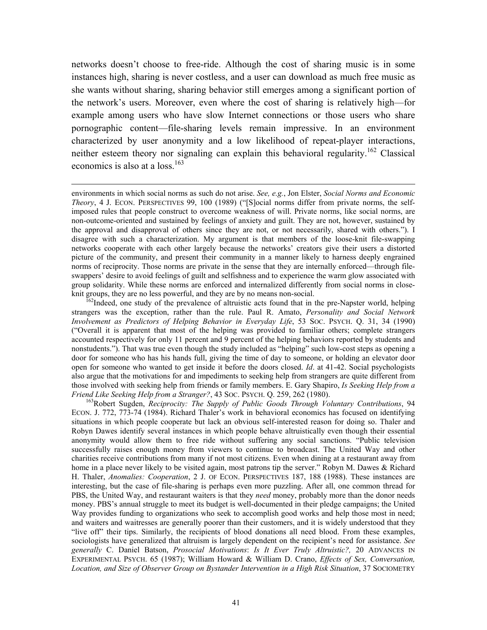<span id="page-42-1"></span>networks doesn't choose to free-ride. Although the cost of sharing music is in some instances high, sharing is never costless, and a user can download as much free music as she wants without sharing, sharing behavior still emerges among a significant portion of the network's users. Moreover, even where the cost of sharing is relatively high—for example among users who have slow Internet connections or those users who share pornographic content—file-sharing levels remain impressive. In an environment characterized by user anonymity and a low likelihood of repeat-player interactions, neither esteem theory nor signaling can explain this behavioral regularity.<sup>162</sup> Classical economics is also at a loss.<sup>163</sup>

 environments in which social norms as such do not arise. *See, e.g.*, Jon Elster, *Social Norms and Economic Theory*, 4 J. ECON. PERSPECTIVES 99, 100 (1989) ("[S]ocial norms differ from private norms, the selfimposed rules that people construct to overcome weakness of will. Private norms, like social norms, are non-outcome-oriented and sustained by feelings of anxiety and guilt. They are not, however, sustained by the approval and disapproval of others since they are not, or not necessarily, shared with others."). I disagree with such a characterization. My argument is that members of the loose-knit file-swapping networks cooperate with each other largely because the networks' creators give their users a distorted picture of the community, and present their community in a manner likely to harness deeply engrained norms of reciprocity. Those norms are private in the sense that they are internally enforced—through fileswappers' desire to avoid feelings of guilt and selfishness and to experience the warm glow associated with group solidarity. While these norms are enforced and internalized differently from social norms in closeknit groups, they are no less powerful, and they are by no means non-social.<br><sup>162</sup>Indeed, one study of the prevalence of altruistic acts found that in the pre-Napster world, helping

<span id="page-42-0"></span>strangers was the exception, rather than the rule. Paul R. Amato, *Personality and Social Network Involvement as Predictors of Helping Behavior in Everyday Life*, 53 SOC. PSYCH. Q. 31, 34 (1990) ("Overall it is apparent that most of the helping was provided to familiar others; complete strangers accounted respectively for only 11 percent and 9 percent of the helping behaviors reported by students and nonstudents."). That was true even though the study included as "helping" such low-cost steps as opening a door for someone who has his hands full, giving the time of day to someone, or holding an elevator door open for someone who wanted to get inside it before the doors closed. *Id*. at 41-42. Social psychologists also argue that the motivations for and impediments to seeking help from strangers are quite different from those involved with seeking help from friends or family members. E. Gary Shapiro, *Is Seeking Help from a Friend Like Seeking Help from a Stranger?*, 43 Soc. PSYCH. Q. 259, 262 (1980).<br><sup>163</sup>Robert Sugden, *Reciprocity: The Supply of Public Goods Through Voluntary Contributions*, 94

ECON. J. 772, 773-74 (1984). Richard Thaler's work in behavioral economics has focused on identifying situations in which people cooperate but lack an obvious self-interested reason for doing so. Thaler and Robyn Dawes identify several instances in which people behave altruistically even though their essential anonymity would allow them to free ride without suffering any social sanctions. "Public television successfully raises enough money from viewers to continue to broadcast. The United Way and other charities receive contributions from many if not most citizens. Even when dining at a restaurant away from home in a place never likely to be visited again, most patrons tip the server." Robyn M. Dawes & Richard H. Thaler, *Anomalies: Cooperation*, 2 J. OF ECON. PERSPECTIVES 187, 188 (1988). These instances are interesting, but the case of file-sharing is perhaps even more puzzling. After all, one common thread for PBS, the United Way, and restaurant waiters is that they *need* money, probably more than the donor needs money. PBS's annual struggle to meet its budget is well-documented in their pledge campaigns; the United Way provides funding to organizations who seek to accomplish good works and help those most in need; and waiters and waitresses are generally poorer than their customers, and it is widely understood that they "live off" their tips. Similarly, the recipients of blood donations all need blood. From these examples, sociologists have generalized that altruism is largely dependent on the recipient's need for assistance. *See generally* C. Daniel Batson, *Prosocial Motivations*: *Is It Ever Truly Altruistic?,* 20 ADVANCES IN EXPERIMENTAL PSYCH. 65 (1987); William Howard & William D. Crano, *Effects of Sex, Conversation, Location, and Size of Observer Group on Bystander Intervention in a High Risk Situation*, 37 SOCIOMETRY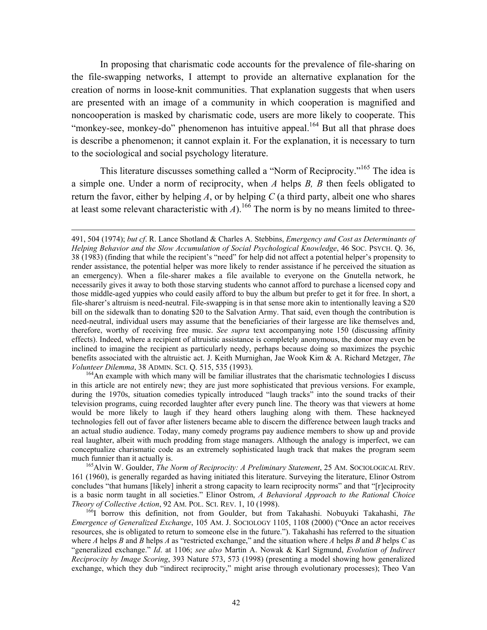<span id="page-43-2"></span>In proposing that charismatic code accounts for the prevalence of file-sharing on the file-swapping networks, I attempt to provide an alternative explanation for the creation of norms in loose-knit communities. That explanation suggests that when users are presented with an image of a community in which cooperation is magnified and noncooperation is masked by charismatic code, users are more likely to cooperate. This "monkey-see, monkey-do" phenomenon has intuitive appeal.<sup>164</sup> But all that phrase does is describe a phenomenon; it cannot explain it. For the explanation, it is necessary to turn to the sociological and social psychology literature.

This literature discusses something called a "Norm of Reciprocity."[165 T](#page-43-1)he idea is a simple one. Under a norm of reciprocity, when *A* helps *B, B* then feels obligated to return the favor, either by helping *A*, or by helping *C* (a third party, albeit one who shares at least some relevant characteristic with  $A$ ).<sup>166</sup> The norm is by no means limited to three-

<span id="page-43-0"></span>in this article are not entirely new; they are just more sophisticated that previous versions. For example, during the 1970s, situation comedies typically introduced "laugh tracks" into the sound tracks of their television programs, cuing recorded laughter after every punch line. The theory was that viewers at home would be more likely to laugh if they heard others laughing along with them. These hackneyed technologies fell out of favor after listeners became able to discern the difference between laugh tracks and an actual studio audience. Today, many comedy programs pay audience members to show up and provide real laughter, albeit with much prodding from stage managers. Although the analogy is imperfect, we can conceptualize charismatic code as an extremely sophisticated laugh track that makes the program seem

<span id="page-43-1"></span><sup>165</sup> Alvin W. Goulder, *The Norm of Reciprocity: A Preliminary Statement*, 25 AM. SOCIOLOGICAL REV. 161 (1960), is generally regarded as having initiated this literature. Surveying the literature, Elinor Ostrom concludes "that humans [likely] inherit a strong capacity to learn reciprocity norms" and that "[r]eciprocity is a basic norm taught in all societies." Elinor Ostrom, *A Behavioral Approach to the Rational Choice Theory of Collective Action*, 92 AM. POL. SCI. REV. 1, 10 (1998).<br><sup>166</sup>I borrow this definition, not from Goulder, but from Takahashi. Nobuyuki Takahashi, *The* 

*Emergence of Generalized Exchange*, 105 AM. J. SOCIOLOGY 1105, 1108 (2000) ("Once an actor receives resources, she is obligated to return to someone else in the future."). Takahashi has referred to the situation where  $A$  helps  $B$  and  $B$  helps  $A$  as "restricted exchange," and the situation where  $A$  helps  $B$  and  $B$  helps  $C$  as "generalized exchange." *Id*. at 1106; *see also* Martin A. Nowak & Karl Sigmund, *Evolution of Indirect Reciprocity by Image Scoring*, 393 Nature 573, 573 (1998) (presenting a model showing how generalized exchange, which they dub "indirect reciprocity," might arise through evolutionary processes); Theo Van

 <sup>491, 504 (1974);</sup> *but cf*. R. Lance Shotland & Charles A. Stebbins, *Emergency and Cost as Determinants of Helping Behavior and the Slow Accumulation of Social Psychological Knowledge*, 46 SOC. PSYCH. Q. 36, 38 (1983) (finding that while the recipient's "need" for help did not affect a potential helper's propensity to render assistance, the potential helper was more likely to render assistance if he perceived the situation as an emergency). When a file-sharer makes a file available to everyone on the Gnutella network, he necessarily gives it away to both those starving students who cannot afford to purchase a licensed copy and those middle-aged yuppies who could easily afford to buy the album but prefer to get it for free. In short, a file-sharer's altruism is need-neutral. File-swapping is in that sense more akin to intentionally leaving a \$20 bill on the sidewalk than to donating \$20 to the Salvation Army. That said, even though the contribution is need-neutral, individual users may assume that the beneficiaries of their largesse are like themselves and, therefore, worthy of receiving free music. *See supra* text accompanying note 150 (discussing affinity effects). Indeed, where a recipient of altruistic assistance is completely anonymous, the donor may even be inclined to imagine the recipient as particularly needy, perhaps because doing so maximizes the psychic benefits associated with the altruistic act. J. Keith Murnighan, Jae Wook Kim & A. Richard Metzger, *The Volunteer Dilemma*, 38 ADMIN. SCI. Q. 515, 535 (1993).<br><sup>164</sup>An example with which many will be familiar illustrates that the charismatic technologies I discuss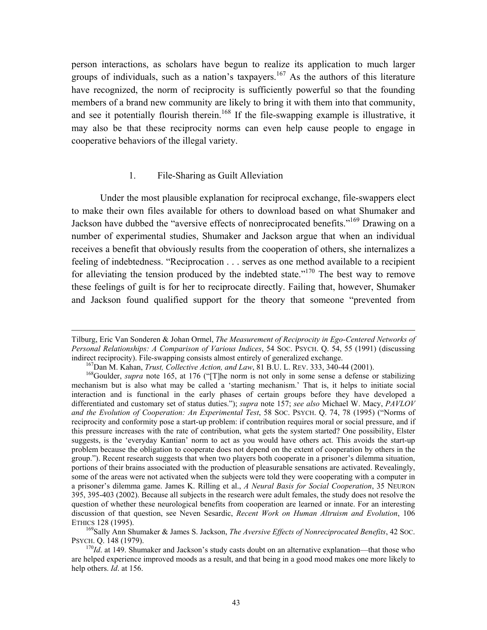person interactions, as scholars have begun to realize its application to much larger groups of individuals, such as a nation's taxpayers.<sup>167</sup> As the authors of this literature have recognized, the norm of reciprocity is sufficiently powerful so that the founding members of a brand new community are likely to bring it with them into that community, and see it potentially flourish therein.<sup>168</sup> If the file-swapping example is illustrative, it may also be that these reciprocity norms can even help cause people to engage in cooperative behaviors of the illegal variety.

## 1. File-Sharing as Guilt Alleviation

Under the most plausible explanation for reciprocal exchange, file-swappers elect to make their own files available for others to download based on what Shumaker and Jackson have dubbed the "aversive effects of nonreciprocated benefits.["169 D](#page-44-2)rawing on a number of experimental studies, Shumaker and Jackson argue that when an individual receives a benefit that obviously results from the cooperation of others, she internalizes a feeling of indebtedness. "Reciprocation . . . serves as one method available to a recipient for alleviating the tension produced by the indebted state."<sup>170</sup> The best way to remove these feelings of guilt is for her to reciprocate directly. Failing that, however, Shumaker and Jackson found qualified support for the theory that someone "prevented from

Tilburg, Eric Van Sonderen & Johan Ormel, *The Measurement of Reciprocity in Ego-Centered Networks of Personal Relationships: A Comparison of Various Indices*, 54 SOC. PSYCH. Q. 54, 55 (1991) (discussing indirect reciprocity). File-swapping consists almost entirely of generalized exchange.<br><sup>167</sup>Dan M. Kahan, *Trust, Collective Action, and Law*, 81 B.U. L. REV. 333, 340-44 (2001).<br><sup>168</sup>Goulder, *supra* note 165, at 176 ("[T

<span id="page-44-1"></span><span id="page-44-0"></span>

mechanism but is also what may be called a 'starting mechanism.' That is, it helps to initiate social interaction and is functional in the early phases of certain groups before they have developed a differentiated and customary set of status duties."); *supra* note 157; *see also* Michael W. Macy, *PAVLOV and the Evolution of Cooperation: An Experimental Test*, 58 SOC. PSYCH. Q. 74, 78 (1995) ("Norms of reciprocity and conformity pose a start-up problem: if contribution requires moral or social pressure, and if this pressure increases with the rate of contribution, what gets the system started? One possibility, Elster suggests, is the 'everyday Kantian' norm to act as you would have others act. This avoids the start-up problem because the obligation to cooperate does not depend on the extent of cooperation by others in the group."). Recent research suggests that when two players both cooperate in a prisoner's dilemma situation, portions of their brains associated with the production of pleasurable sensations are activated. Revealingly, some of the areas were not activated when the subjects were told they were cooperating with a computer in a prisoner's dilemma game. James K. Rilling et al., *A Neural Basis for Social Cooperation*, 35 NEURON 395, 395-403 (2002). Because all subjects in the research were adult females, the study does not resolve the question of whether these neurological benefits from cooperation are learned or innate. For an interesting discussion of that question, see Neven Sesardic, *Recent Work on Human Altruism and Evolution*, 106 ETHICS 128 (1995).<br><sup>169</sup>Sally Ann Shumaker & James S. Jackson, *The Aversive Effects of Nonreciprocated Benefits*, 42 SOC.

<span id="page-44-2"></span>PSYCH. Q. 148 (1979).<br><sup>170</sup>*Id*. at 149. Shumaker and Jackson's study casts doubt on an alternative explanation—that those who

<span id="page-44-3"></span>are helped experience improved moods as a result, and that being in a good mood makes one more likely to help others. *Id*. at 156.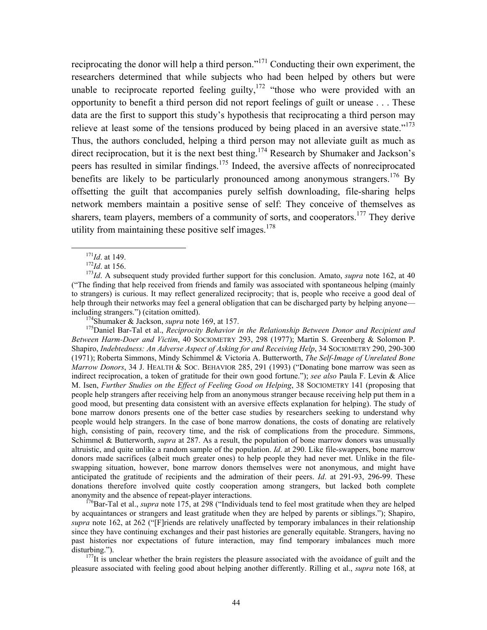<span id="page-45-6"></span>reciprocating the donor will help a third person."[171 C](#page-45-0)onducting their own experiment, the researchers determined that while subjects who had been helped by others but were unable to reciprocate reported feeling guilty,<sup>172</sup> "those who were provided with an opportunity to benefit a third person did not report feelings of guilt or unease . . . These data are the first to support this study's hypothesis that reciprocating a third person may relieve at least some of the tensions produced by being placed in an aversive state."<sup>173</sup> Thus, the authors concluded, helping a third person may not alleviate guilt as much as direct reciprocation, but it is the next best thing.<sup>174</sup> Research by Shumaker and Jackson's peers has resulted in similar findings[.175](#page-45-4) Indeed, the aversive affects of nonreciprocated benefits are likely to be particularly pronounced among anonymous strangers.<sup>176</sup> By offsetting the guilt that accompanies purely selfish downloading, file-sharing helps network members maintain a positive sense of self: They conceive of themselves as sharers, team players, members of a community of sorts, and cooperators.<sup>177</sup> They derive utility from maintaining these positive self images.<sup>178</sup>

<span id="page-45-0"></span>

<span id="page-45-2"></span><span id="page-45-1"></span>

<sup>171</sup>*Id*. at 149.<br><sup>172</sup>*Id*. at 156.<br><sup>173</sup>*Id*. A subsequent study provided further support for this conclusion. Amato, *supra* note 162, at 40 ("The finding that help received from friends and family was associated with spontaneous helping (mainly to strangers) is curious. It may reflect generalized reciprocity; that is, people who receive a good deal of help through their networks may feel a general obligation that can be discharged party by helping anyone—

<span id="page-45-4"></span><span id="page-45-3"></span>

including strangers.") (citation omitted).<br><sup>174</sup>Shumaker & Jackson, *supra* note 169, at 157.<br><sup>175</sup>Daniel Bar-Tal et al., *Reciprocity Behavior in the Relationship Between Donor and Recipient and Between Harm-Doer and Victim*, 40 SOCIOMETRY 293, 298 (1977); Martin S. Greenberg & Solomon P. Shapiro, *Indebtedness: An Adverse Aspect of Asking for and Receiving Help*, 34 SOCIOMETRY 290, 290-300 (1971); Roberta Simmons, Mindy Schimmel & Victoria A. Butterworth, *The Self-Image of Unrelated Bone Marrow Donors*, 34 J. HEALTH & SOC. BEHAVIOR 285, 291 (1993) ("Donating bone marrow was seen as indirect reciprocation, a token of gratitude for their own good fortune."); *see also* Paula F. Levin & Alice M. Isen, *Further Studies on the Effect of Feeling Good on Helping*, 38 SOCIOMETRY 141 (proposing that people help strangers after receiving help from an anonymous stranger because receiving help put them in a good mood, but presenting data consistent with an aversive effects explanation for helping). The study of bone marrow donors presents one of the better case studies by researchers seeking to understand why people would help strangers. In the case of bone marrow donations, the costs of donating are relatively high, consisting of pain, recovery time, and the risk of complications from the procedure. Simmons, Schimmel & Butterworth, *supra* at 287. As a result, the population of bone marrow donors was unusually altruistic, and quite unlike a random sample of the population. *Id*. at 290. Like file-swappers, bone marrow donors made sacrifices (albeit much greater ones) to help people they had never met. Unlike in the fileswapping situation, however, bone marrow donors themselves were not anonymous, and might have anticipated the gratitude of recipients and the admiration of their peers. *Id*. at 291-93, 296-99. These donations therefore involved quite costly cooperation among strangers, but lacked both complete anonymity and the absence of repeat-player interactions.<br><sup>176</sup>Bar-Tal et al., *supra* note 175, at 298 ("Individuals tend to feel most gratitude when they are helped

<span id="page-45-5"></span>by acquaintances or strangers and least gratitude when they are helped by parents or siblings."); Shapiro, *supra* note 162, at 262 ("[F]riends are relatively unaffected by temporary imbalances in their relationship since they have continuing exchanges and their past histories are generally equitable. Strangers, having no past histories nor expectations of future interaction, may find temporary imbalances much more disturbing.").  $177$ It is unclear whether the brain registers the pleasure associated with the avoidance of guilt and the

<span id="page-45-7"></span>pleasure associated with feeling good about helping another differently. Rilling et al., *supra* note 168, at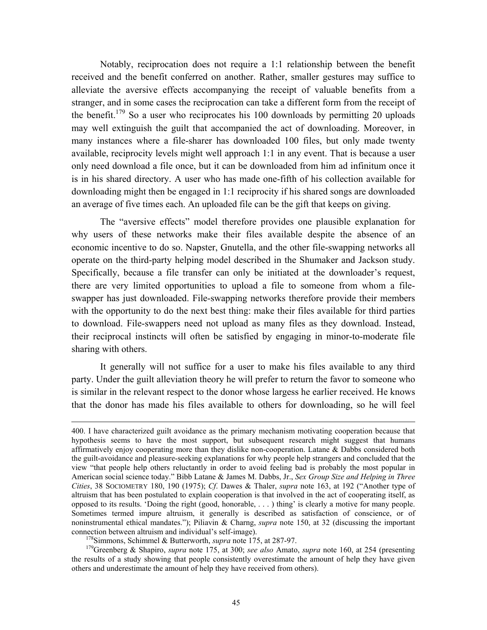Notably, reciprocation does not require a 1:1 relationship between the benefit received and the benefit conferred on another. Rather, smaller gestures may suffice to alleviate the aversive effects accompanying the receipt of valuable benefits from a stranger, and in some cases the reciprocation can take a different form from the receipt of the benefit.<sup>179</sup> So a user who reciprocates his 100 downloads by permitting 20 uploads may well extinguish the guilt that accompanied the act of downloading. Moreover, in many instances where a file-sharer has downloaded 100 files, but only made twenty available, reciprocity levels might well approach 1:1 in any event. That is because a user only need download a file once, but it can be downloaded from him ad infinitum once it is in his shared directory. A user who has made one-fifth of his collection available for downloading might then be engaged in 1:1 reciprocity if his shared songs are downloaded an average of five times each. An uploaded file can be the gift that keeps on giving.

The "aversive effects" model therefore provides one plausible explanation for why users of these networks make their files available despite the absence of an economic incentive to do so. Napster, Gnutella, and the other file-swapping networks all operate on the third-party helping model described in the Shumaker and Jackson study. Specifically, because a file transfer can only be initiated at the downloader's request, there are very limited opportunities to upload a file to someone from whom a fileswapper has just downloaded. File-swapping networks therefore provide their members with the opportunity to do the next best thing: make their files available for third parties to download. File-swappers need not upload as many files as they download. Instead, their reciprocal instincts will often be satisfied by engaging in minor-to-moderate file sharing with others.

It generally will not suffice for a user to make his files available to any third party. Under the guilt alleviation theory he will prefer to return the favor to someone who is similar in the relevant respect to the donor whose largess he earlier received. He knows that the donor has made his files available to others for downloading, so he will feel

 <sup>400.</sup> I have characterized guilt avoidance as the primary mechanism motivating cooperation because that hypothesis seems to have the most support, but subsequent research might suggest that humans affirmatively enjoy cooperating more than they dislike non-cooperation. Latane & Dabbs considered both the guilt-avoidance and pleasure-seeking explanations for why people help strangers and concluded that the view "that people help others reluctantly in order to avoid feeling bad is probably the most popular in American social science today." Bibb Latane & James M. Dabbs, Jr., *Sex Group Size and Helping in Three Cities*, 38 SOCIOMETRY 180, 190 (1975); *Cf*. Dawes & Thaler, *supra* note 163, at 192 ("Another type of altruism that has been postulated to explain cooperation is that involved in the act of cooperating itself, as opposed to its results. 'Doing the right (good, honorable, . . . ) thing' is clearly a motive for many people. Sometimes termed impure altruism, it generally is described as satisfaction of conscience, or of noninstrumental ethical mandates."); Piliavin & Charng, *supra* note 150, at 32 (discussing the important connection between altruism and individual's self-image).<br><sup>178</sup>Simmons, Schimmel & Butterworth, *supra* note 175, at 287-97.<br><sup>179</sup>Greenberg & Shapiro, *supra* note 175, at 300; *see also* Amato, *supra* note 160, at 254 (p

<span id="page-46-0"></span>

the results of a study showing that people consistently overestimate the amount of help they have given others and underestimate the amount of help they have received from others).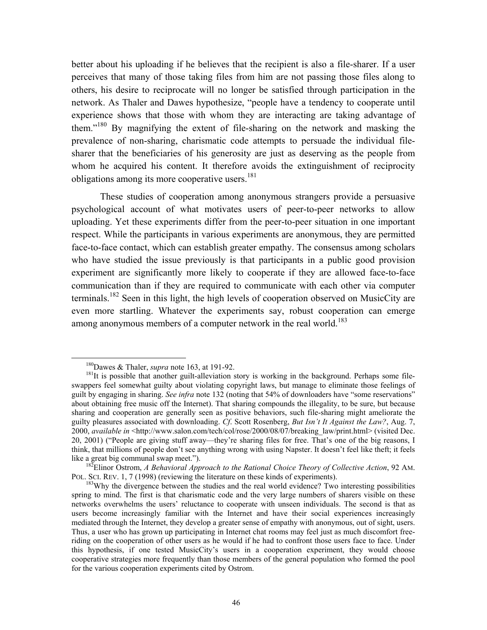better about his uploading if he believes that the recipient is also a file-sharer. If a user perceives that many of those taking files from him are not passing those files along to others, his desire to reciprocate will no longer be satisfied through participation in the network. As Thaler and Dawes hypothesize, "people have a tendency to cooperate until experience shows that those with whom they are interacting are taking advantage of them."<sup>180</sup> By magnifying the extent of file-sharing on the network and masking the prevalence of non-sharing, charismatic code attempts to persuade the individual filesharer that the beneficiaries of his generosity are just as deserving as the people from whom he acquired his content. It therefore avoids the extinguishment of reciprocity obligations among its more cooperative users.<sup>181</sup>

These studies of cooperation among anonymous strangers provide a persuasive psychological account of what motivates users of peer-to-peer networks to allow uploading. Yet these experiments differ from the peer-to-peer situation in one important respect. While the participants in various experiments are anonymous, they are permitted face-to-face contact, which can establish greater empathy. The consensus among scholars who have studied the issue previously is that participants in a public good provision experiment are significantly more likely to cooperate if they are allowed face-to-face communication than if they are required to communicate with each other via computer terminals.<sup>182</sup> Seen in this light, the high levels of cooperation observed on MusicCity are even more startling. Whatever the experiments say, robust cooperation can emerge among anonymous members of a computer network in the real world.<sup>[183](#page-47-3)</sup>

<span id="page-47-1"></span><span id="page-47-0"></span>

<sup>&</sup>lt;sup>180</sup>Dawes & Thaler, *supra* note 163, at 191-92.<br><sup>181</sup>It is possible that another guilt-alleviation story is working in the background. Perhaps some fileswappers feel somewhat guilty about violating copyright laws, but manage to eliminate those feelings of guilt by engaging in sharing. *See infra* note 132 (noting that 54% of downloaders have "some reservations" about obtaining free music off the Internet). That sharing compounds the illegality, to be sure, but because sharing and cooperation are generally seen as positive behaviors, such file-sharing might ameliorate the guilty pleasures associated with downloading. *Cf*. Scott Rosenberg, *But Isn't It Against the Law?*, Aug. 7, 2000, *available in* <http://www.salon.com/tech/col/rose/2000/08/07/breaking\_law/print.html> (visited Dec. 20, 2001) ("People are giving stuff away—they're sharing files for free. That's one of the big reasons, I think, that millions of people don't see anything wrong with using Napster. It doesn't feel like theft; it feels like a great big communal swap meet."). 182Elinor Ostrom, *A Behavioral Approach to the Rational Choice Theory of Collective Action*, 92 AM.

<span id="page-47-2"></span>POL. SCI. REV. 1, 7 (1998) (reviewing the literature on these kinds of experiments).<br><sup>183</sup>Why the divergence between the studies and the real world evidence? Two interesting possibilities

<span id="page-47-3"></span>spring to mind. The first is that charismatic code and the very large numbers of sharers visible on these networks overwhelms the users' reluctance to cooperate with unseen individuals. The second is that as users become increasingly familiar with the Internet and have their social experiences increasingly mediated through the Internet, they develop a greater sense of empathy with anonymous, out of sight, users. Thus, a user who has grown up participating in Internet chat rooms may feel just as much discomfort freeriding on the cooperation of other users as he would if he had to confront those users face to face. Under this hypothesis, if one tested MusicCity's users in a cooperation experiment, they would choose cooperative strategies more frequently than those members of the general population who formed the pool for the various cooperation experiments cited by Ostrom.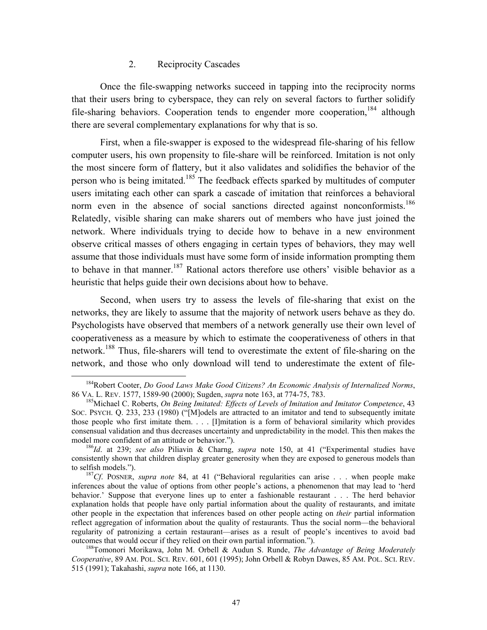#### 2. Reciprocity Cascades

Once the file-swapping networks succeed in tapping into the reciprocity norms that their users bring to cyberspace, they can rely on several factors to further solidify file-sharing behaviors. Cooperation tends to engender more cooperation,  $^{184}$  although there are several complementary explanations for why that is so.

First, when a file-swapper is exposed to the widespread file-sharing of his fellow computer users, his own propensity to file-share will be reinforced. Imitation is not only the most sincere form of flattery, but it also validates and solidifies the behavior of the person who is being imitated.<sup>185</sup> The feedback effects sparked by multitudes of computer users imitating each other can spark a cascade of imitation that reinforces a behavioral norm even in the absence of social sanctions directed against nonconformists.<sup>186</sup> Relatedly, visible sharing can make sharers out of members who have just joined the network. Where individuals trying to decide how to behave in a new environment observe critical masses of others engaging in certain types of behaviors, they may well assume that those individuals must have some form of inside information prompting them to behave in that manner.<sup>187</sup> Rational actors therefore use others' visible behavior as a heuristic that helps guide their own decisions about how to behave.

Second, when users try to assess the levels of file-sharing that exist on the networks, they are likely to assume that the majority of network users behave as they do. Psychologists have observed that members of a network generally use their own level of cooperativeness as a measure by which to estimate the cooperativeness of others in that network.<sup>188</sup> Thus, file-sharers will tend to overestimate the extent of file-sharing on the network, and those who only download will tend to underestimate the extent of file-

<span id="page-48-0"></span><sup>&</sup>lt;sup>184</sup>Robert Cooter, *Do Good Laws Make Good Citizens? An Economic Analysis of Internalized Norms*, 86 VA. L. REV. 1577, 1589-90 (2000); Sugden, *supra* note 163, at 774-75, 783.

<span id="page-48-1"></span><sup>&</sup>lt;sup>185</sup> Michael C. Roberts, *On Being Imitated: Effects of Levels of Imitation and Imitator Competence*, 43 SOC. PSYCH. Q. 233, 233 (1980) ("[M]odels are attracted to an imitator and tend to subsequently imitate those people who first imitate them. . . . [I]mitation is a form of behavioral similarity which provides consensual validation and thus decreases uncertainty and unpredictability in the model. This then makes the model more confident of an attitude or behavior.").<br><sup>186</sup>*Id*. at 239; *see also* Piliavin & Charng, *supra* note 150, at 41 ("Experimental studies have

<span id="page-48-2"></span>consistently shown that children display greater generosity when they are exposed to generous models than to selfish models."). 187*Cf*. POSNER, *supra note* 84, at 41 ("Behavioral regularities can arise . . . when people make

<span id="page-48-3"></span>inferences about the value of options from other people's actions, a phenomenon that may lead to 'herd behavior.' Suppose that everyone lines up to enter a fashionable restaurant . . . The herd behavior explanation holds that people have only partial information about the quality of restaurants, and imitate other people in the expectation that inferences based on other people acting on *their* partial information reflect aggregation of information about the quality of restaurants. Thus the social norm—the behavioral regularity of patronizing a certain restaurant—arises as a result of people's incentives to avoid bad outcomes that would occur if they relied on their own partial information.").

<span id="page-48-4"></span><sup>&</sup>lt;sup>188</sup>Tomonori Morikawa, John M. Orbell & Audun S. Runde, *The Advantage of Being Moderately Cooperative*, 89 AM. POL. SCI. REV. 601, 601 (1995); John Orbell & Robyn Dawes, 85 AM. POL. SCI. REV. 515 (1991); Takahashi, *supra* note 166, at 1130.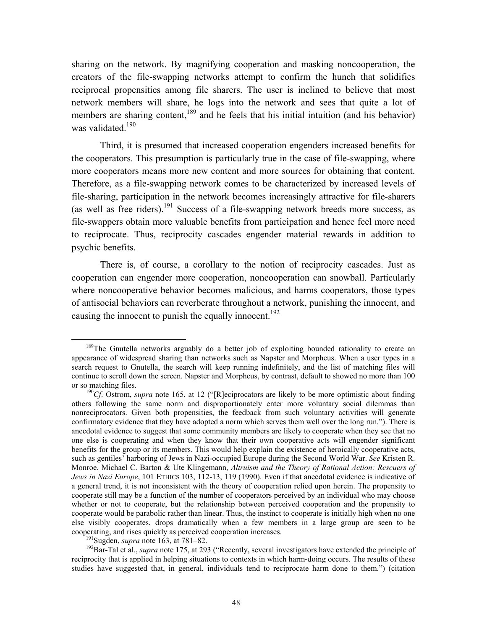<span id="page-49-3"></span>sharing on the network. By magnifying cooperation and masking noncooperation, the creators of the file-swapping networks attempt to confirm the hunch that solidifies reciprocal propensities among file sharers. The user is inclined to believe that most network members will share, he logs into the network and sees that quite a lot of members are sharing content,<sup>189</sup> and he feels that his initial intuition (and his behavior) was validated.<sup>190</sup>

Third, it is presumed that increased cooperation engenders increased benefits for the cooperators. This presumption is particularly true in the case of file-swapping, where more cooperators means more new content and more sources for obtaining that content. Therefore, as a file-swapping network comes to be characterized by increased levels of file-sharing, participation in the network becomes increasingly attractive for file-sharers (as well as free riders).<sup>191</sup> Success of a file-swapping network breeds more success, as file-swappers obtain more valuable benefits from participation and hence feel more need to reciprocate. Thus, reciprocity cascades engender material rewards in addition to psychic benefits.

There is, of course, a corollary to the notion of reciprocity cascades. Just as cooperation can engender more cooperation, noncooperation can snowball. Particularly where noncooperative behavior becomes malicious, and harms cooperators, those types of antisocial behaviors can reverberate throughout a network, punishing the innocent, and causing the innocent to punish the equally innocent.<sup>192</sup>

<span id="page-49-0"></span><sup>&</sup>lt;sup>189</sup>The Gnutella networks arguably do a better job of exploiting bounded rationality to create an appearance of widespread sharing than networks such as Napster and Morpheus. When a user types in a search request to Gnutella, the search will keep running indefinitely, and the list of matching files will continue to scroll down the screen. Napster and Morpheus, by contrast, default to showed no more than 100 or so matching files. 190*Cf*. Ostrom, *supra* note 165, at 12 ("[R]eciprocators are likely to be more optimistic about finding

<span id="page-49-1"></span>others following the same norm and disproportionately enter more voluntary social dilemmas than nonreciprocators. Given both propensities, the feedback from such voluntary activities will generate confirmatory evidence that they have adopted a norm which serves them well over the long run."). There is anecdotal evidence to suggest that some community members are likely to cooperate when they see that no one else is cooperating and when they know that their own cooperative acts will engender significant benefits for the group or its members. This would help explain the existence of heroically cooperative acts, such as gentiles' harboring of Jews in Nazi-occupied Europe during the Second World War. *See* Kristen R. Monroe, Michael C. Barton & Ute Klingemann, *Altruism and the Theory of Rational Action: Rescuers of Jews in Nazi Europe*, 101 ETHICS 103, 112-13, 119 (1990). Even if that anecdotal evidence is indicative of a general trend, it is not inconsistent with the theory of cooperation relied upon herein. The propensity to cooperate still may be a function of the number of cooperators perceived by an individual who may choose whether or not to cooperate, but the relationship between perceived cooperation and the propensity to cooperate would be parabolic rather than linear. Thus, the instinct to cooperate is initially high when no one else visibly cooperates, drops dramatically when a few members in a large group are seen to be cooperating, and rises quickly as perceived cooperation increases.<br><sup>191</sup>Sugden, *supra* note 163, at 781–82.<br><sup>192</sup>Bar-Tal et al., *supra* note 175, at 293 ("Recently, several investigators have extended the principle of

<span id="page-49-2"></span>

reciprocity that is applied in helping situations to contexts in which harm-doing occurs. The results of these studies have suggested that, in general, individuals tend to reciprocate harm done to them.") (citation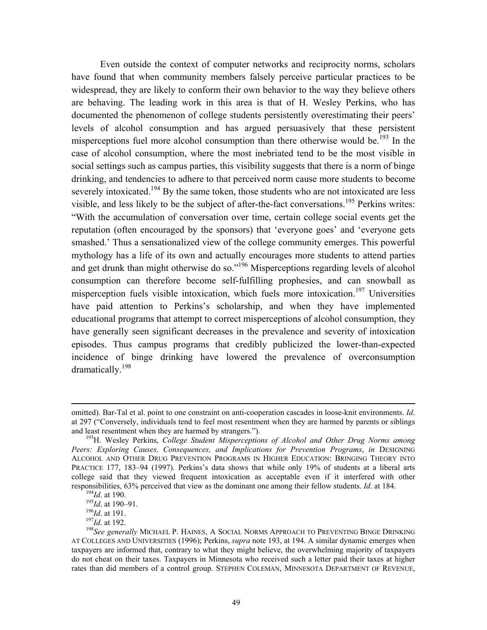<span id="page-50-5"></span>Even outside the context of computer networks and reciprocity norms, scholars have found that when community members falsely perceive particular practices to be widespread, they are likely to conform their own behavior to the way they believe others are behaving. The leading work in this area is that of H. Wesley Perkins, who has documented the phenomenon of college students persistently overestimating their peers' levels of alcohol consumption and has argued persuasively that these persistent misperceptions fuel more alcohol consumption than there otherwise would be.<sup>193</sup> In the case of alcohol consumption, where the most inebriated tend to be the most visible in social settings such as campus parties, this visibility suggests that there is a norm of binge drinking, and tendencies to adhere to that perceived norm cause more students to become severely intoxicated.<sup>194</sup> By the same token, those students who are not intoxicated are less visible, and less likely to be the subject of after-the-fact conversations.<sup>195</sup> Perkins writes: "With the accumulation of conversation over time, certain college social events get the reputation (often encouraged by the sponsors) that 'everyone goes' and 'everyone gets smashed.' Thus a sensationalized view of the college community emerges. This powerful mythology has a life of its own and actually encourages more students to attend parties and get drunk than might otherwise do so."<sup>196</sup> Misperceptions regarding levels of alcohol consumption can therefore become self-fulfilling prophesies, and can snowball as misperception fuels visible intoxication, which fuels more intoxication.<sup>197</sup> Universities have paid attention to Perkins's scholarship, and when they have implemented educational programs that attempt to correct misperceptions of alcohol consumption, they have generally seen significant decreases in the prevalence and severity of intoxication episodes. Thus campus programs that credibly publicized the lower-than-expected incidence of binge drinking have lowered the prevalence of overconsumption dramatically.<sup>198</sup>

omitted). Bar-Tal et al. point to one constraint on anti-cooperation cascades in loose-knit environments. *Id*. at 297 ("Conversely, individuals tend to feel most resentment when they are harmed by parents or siblings and least resentment when they are harmed by strangers.").<br><sup>193</sup>H. Wesley Perkins, *College Student Misperceptions of Alcohol and Other Drug Norms among* 

<span id="page-50-0"></span>*Peers: Exploring Causes, Consequences, and Implications for Prevention Programs*, *in* DESIGNING ALCOHOL AND OTHER DRUG PREVENTION PROGRAMS IN HIGHER EDUCATION: BRINGING THEORY INTO PRACTICE 177, 183–94 (1997). Perkins's data shows that while only 19% of students at a liberal arts college said that they viewed frequent intoxication as acceptable even if it interfered with other responsibilities, 63% perceived that view as the dominant one among their fellow students. *Id.* at 184.<br><sup>194</sup>*Id.* at 190.<br><sup>195</sup>*Id.* at 190–91.<br><sup>197</sup>*Id.* at 191.<br><sup>197</sup>*Id.* at 192.<br><sup>197</sup>*Id.* at 192.<br><sup>198</sup>*See generall* 

<span id="page-50-1"></span>

<span id="page-50-2"></span>

<span id="page-50-3"></span>

<span id="page-50-4"></span>

AT COLLEGES AND UNIVERSITIES (1996); Perkins, *supra* note 193, at 194. A similar dynamic emerges when taxpayers are informed that, contrary to what they might believe, the overwhelming majority of taxpayers do not cheat on their taxes. Taxpayers in Minnesota who received such a letter paid their taxes at higher rates than did members of a control group. STEPHEN COLEMAN, MINNESOTA DEPARTMENT OF REVENUE,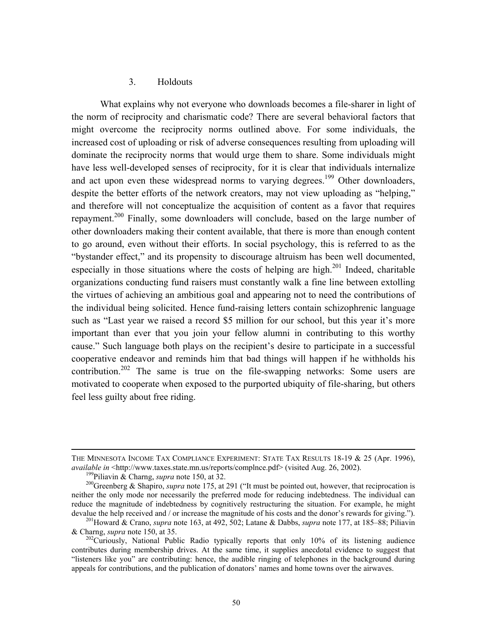#### 3. Holdouts

What explains why not everyone who downloads becomes a file-sharer in light of the norm of reciprocity and charismatic code? There are several behavioral factors that might overcome the reciprocity norms outlined above. For some individuals, the increased cost of uploading or risk of adverse consequences resulting from uploading will dominate the reciprocity norms that would urge them to share. Some individuals might have less well-developed senses of reciprocity, for it is clear that individuals internalize and act upon even these widespread norms to varying degrees.<sup>199</sup> Other downloaders, despite the better efforts of the network creators, may not view uploading as "helping," and therefore will not conceptualize the acquisition of content as a favor that requires repayment.<sup>200</sup> Finally, some downloaders will conclude, based on the large number of other downloaders making their content available, that there is more than enough content to go around, even without their efforts. In social psychology, this is referred to as the "bystander effect," and its propensity to discourage altruism has been well documented, especially in those situations where the costs of helping are high.<sup>201</sup> Indeed, charitable organizations conducting fund raisers must constantly walk a fine line between extolling the virtues of achieving an ambitious goal and appearing not to need the contributions of the individual being solicited. Hence fund-raising letters contain schizophrenic language such as "Last year we raised a record \$5 million for our school, but this year it's more important than ever that you join your fellow alumni in contributing to this worthy cause." Such language both plays on the recipient's desire to participate in a successful cooperative endeavor and reminds him that bad things will happen if he withholds his contribution.<sup>202</sup> The same is true on the file-swapping networks: Some users are motivated to cooperate when exposed to the purported ubiquity of file-sharing, but others feel less guilty about free riding.

THE MINNESOTA INCOME TAX COMPLIANCE EXPERIMENT: STATE TAX RESULTS 18-19 & 25 (Apr. 1996), *available in* <http://www.taxes.state.mn.us/reports/complnce.pdf> (visited Aug. 26, 2002).<br><sup>199</sup>Piliavin & Charng, *supra* note 150, at 32.<br><sup>200</sup>Greenberg & Shapiro, *supra* note 175, at 291 ("It must be pointed out, how

<span id="page-51-1"></span><span id="page-51-0"></span>

neither the only mode nor necessarily the preferred mode for reducing indebtedness. The individual can reduce the magnitude of indebtedness by cognitively restructuring the situation. For example, he might devalue the help received and / or increase the magnitude of his costs and the donor's rewards for giving."). <sup>201</sup>Howard & Crano, *supra* note 163, at 492, 502; Latane & Dabbs, *supra* note 177, at 185–88; Piliavin

<span id="page-51-2"></span><sup>&</sup>amp; Charng, *supra* note 150, at 35. 202Curiously, National Public Radio typically reports that only 10% of its listening audience

<span id="page-51-3"></span>contributes during membership drives. At the same time, it supplies anecdotal evidence to suggest that "listeners like you" are contributing: hence, the audible ringing of telephones in the background during appeals for contributions, and the publication of donators' names and home towns over the airwaves.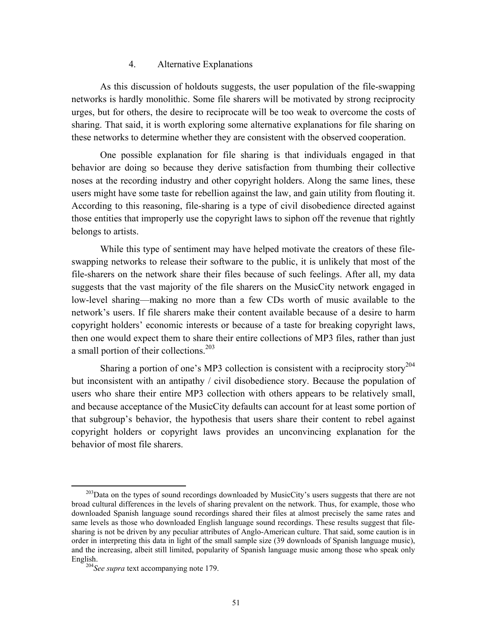#### 4. Alternative Explanations

As this discussion of holdouts suggests, the user population of the file-swapping networks is hardly monolithic. Some file sharers will be motivated by strong reciprocity urges, but for others, the desire to reciprocate will be too weak to overcome the costs of sharing. That said, it is worth exploring some alternative explanations for file sharing on these networks to determine whether they are consistent with the observed cooperation.

One possible explanation for file sharing is that individuals engaged in that behavior are doing so because they derive satisfaction from thumbing their collective noses at the recording industry and other copyright holders. Along the same lines, these users might have some taste for rebellion against the law, and gain utility from flouting it. According to this reasoning, file-sharing is a type of civil disobedience directed against those entities that improperly use the copyright laws to siphon off the revenue that rightly belongs to artists.

While this type of sentiment may have helped motivate the creators of these fileswapping networks to release their software to the public, it is unlikely that most of the file-sharers on the network share their files because of such feelings. After all, my data suggests that the vast majority of the file sharers on the MusicCity network engaged in low-level sharing—making no more than a few CDs worth of music available to the network's users. If file sharers make their content available because of a desire to harm copyright holders' economic interests or because of a taste for breaking copyright laws, then one would expect them to share their entire collections of MP3 files, rather than just a small portion of their collections.<sup>203</sup>

Sharing a portion of one's MP3 collection is consistent with a reciprocity story<sup>204</sup> but inconsistent with an antipathy / civil disobedience story. Because the population of users who share their entire MP3 collection with others appears to be relatively small, and because acceptance of the MusicCity defaults can account for at least some portion of that subgroup's behavior, the hypothesis that users share their content to rebel against copyright holders or copyright laws provides an unconvincing explanation for the behavior of most file sharers.

<span id="page-52-0"></span><sup>&</sup>lt;sup>203</sup>Data on the types of sound recordings downloaded by MusicCity's users suggests that there are not broad cultural differences in the levels of sharing prevalent on the network. Thus, for example, those who downloaded Spanish language sound recordings shared their files at almost precisely the same rates and same levels as those who downloaded English language sound recordings. These results suggest that filesharing is not be driven by any peculiar attributes of Anglo-American culture. That said, some caution is in order in interpreting this data in light of the small sample size (39 downloads of Spanish language music), and the increasing, albeit still limited, popularity of Spanish language music among those who speak only English. 204*See supra* text accompanying note 179.

<span id="page-52-1"></span>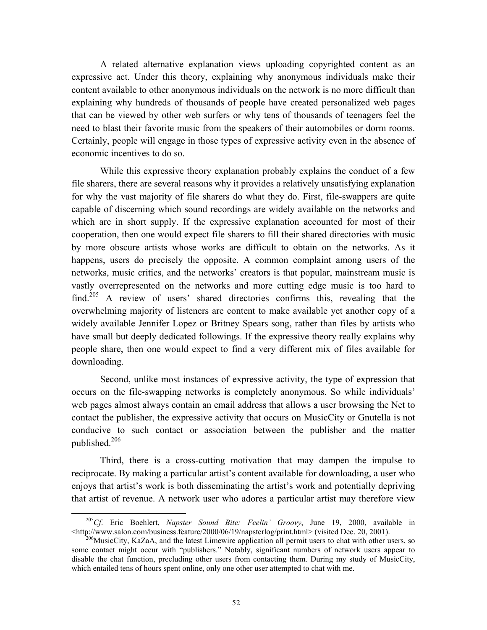A related alternative explanation views uploading copyrighted content as an expressive act. Under this theory, explaining why anonymous individuals make their content available to other anonymous individuals on the network is no more difficult than explaining why hundreds of thousands of people have created personalized web pages that can be viewed by other web surfers or why tens of thousands of teenagers feel the need to blast their favorite music from the speakers of their automobiles or dorm rooms. Certainly, people will engage in those types of expressive activity even in the absence of economic incentives to do so.

While this expressive theory explanation probably explains the conduct of a few file sharers, there are several reasons why it provides a relatively unsatisfying explanation for why the vast majority of file sharers do what they do. First, file-swappers are quite capable of discerning which sound recordings are widely available on the networks and which are in short supply. If the expressive explanation accounted for most of their cooperation, then one would expect file sharers to fill their shared directories with music by more obscure artists whose works are difficult to obtain on the networks. As it happens, users do precisely the opposite. A common complaint among users of the networks, music critics, and the networks' creators is that popular, mainstream music is vastly overrepresented on the networks and more cutting edge music is too hard to find.<sup>205</sup> A review of users' shared directories confirms this, revealing that the overwhelming majority of listeners are content to make available yet another copy of a widely available Jennifer Lopez or Britney Spears song, rather than files by artists who have small but deeply dedicated followings. If the expressive theory really explains why people share, then one would expect to find a very different mix of files available for downloading.

Second, unlike most instances of expressive activity, the type of expression that occurs on the file-swapping networks is completely anonymous. So while individuals' web pages almost always contain an email address that allows a user browsing the Net to contact the publisher, the expressive activity that occurs on MusicCity or Gnutella is not conducive to such contact or association between the publisher and the matter published.[206](#page-53-1)

Third, there is a cross-cutting motivation that may dampen the impulse to reciprocate. By making a particular artist's content available for downloading, a user who enjoys that artist's work is both disseminating the artist's work and potentially depriving that artist of revenue. A network user who adores a particular artist may therefore view

<span id="page-53-0"></span> <sup>205</sup>*Cf*. Eric Boehlert, *Napster Sound Bite: Feelin' Groovy*, June 19, 2000, available in  $\frac{\text{th}}{206}$ MusicCity, KaZaA, and the latest Limewire application all permit users to chat with other users, so

<span id="page-53-1"></span>some contact might occur with "publishers." Notably, significant numbers of network users appear to disable the chat function, precluding other users from contacting them. During my study of MusicCity, which entailed tens of hours spent online, only one other user attempted to chat with me.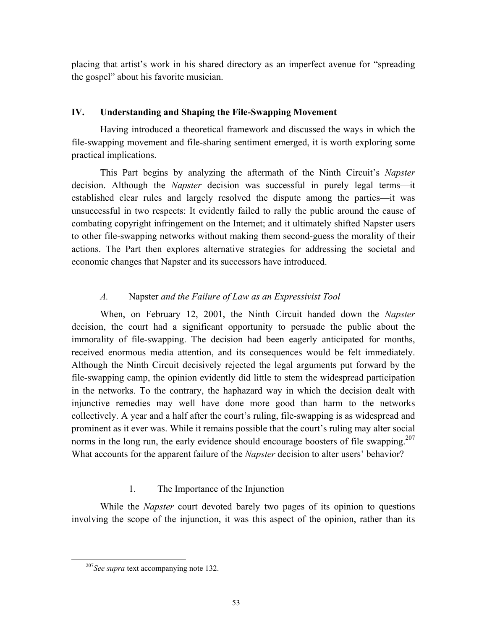placing that artist's work in his shared directory as an imperfect avenue for "spreading the gospel" about his favorite musician.

## **IV. Understanding and Shaping the File-Swapping Movement**

Having introduced a theoretical framework and discussed the ways in which the file-swapping movement and file-sharing sentiment emerged, it is worth exploring some practical implications.

This Part begins by analyzing the aftermath of the Ninth Circuit's *Napster*  decision. Although the *Napster* decision was successful in purely legal terms—it established clear rules and largely resolved the dispute among the parties—it was unsuccessful in two respects: It evidently failed to rally the public around the cause of combating copyright infringement on the Internet; and it ultimately shifted Napster users to other file-swapping networks without making them second-guess the morality of their actions. The Part then explores alternative strategies for addressing the societal and economic changes that Napster and its successors have introduced.

## *A.* Napster *and the Failure of Law as an Expressivist Tool*

When, on February 12, 2001, the Ninth Circuit handed down the *Napster* decision, the court had a significant opportunity to persuade the public about the immorality of file-swapping. The decision had been eagerly anticipated for months, received enormous media attention, and its consequences would be felt immediately. Although the Ninth Circuit decisively rejected the legal arguments put forward by the file-swapping camp, the opinion evidently did little to stem the widespread participation in the networks. To the contrary, the haphazard way in which the decision dealt with injunctive remedies may well have done more good than harm to the networks collectively. A year and a half after the court's ruling, file-swapping is as widespread and prominent as it ever was. While it remains possible that the court's ruling may alter social norms in the long run, the early evidence should encourage boosters of file swapping.<sup>207</sup> What accounts for the apparent failure of the *Napster* decision to alter users' behavior?

## 1. The Importance of the Injunction

While the *Napster* court devoted barely two pages of its opinion to questions involving the scope of the injunction, it was this aspect of the opinion, rather than its

<span id="page-54-0"></span> <sup>207</sup>*See supra* text accompanying note 132.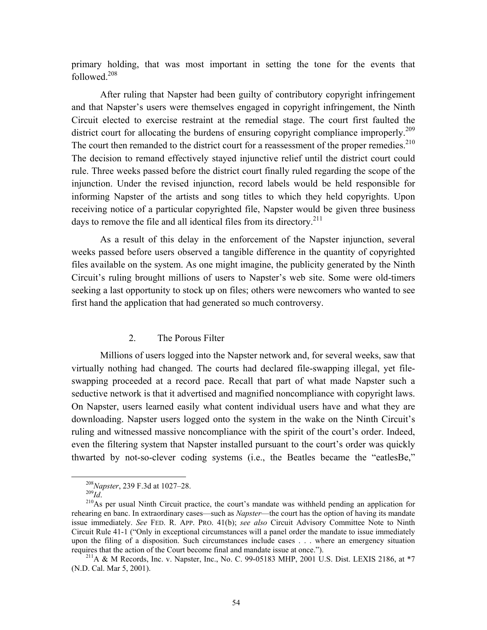primary holding, that was most important in setting the tone for the events that followed $^{208}$ 

After ruling that Napster had been guilty of contributory copyright infringement and that Napster's users were themselves engaged in copyright infringement, the Ninth Circuit elected to exercise restraint at the remedial stage. The court first faulted the district court for allocating the burdens of ensuring copyright compliance improperly.<sup>209</sup> The court then remanded to the district court for a reassessment of the proper remedies.<sup>210</sup> The decision to remand effectively stayed injunctive relief until the district court could rule. Three weeks passed before the district court finally ruled regarding the scope of the injunction. Under the revised injunction, record labels would be held responsible for informing Napster of the artists and song titles to which they held copyrights. Upon receiving notice of a particular copyrighted file, Napster would be given three business days to remove the file and all identical files from its directory.<sup>[211](#page-55-3)</sup>

As a result of this delay in the enforcement of the Napster injunction, several weeks passed before users observed a tangible difference in the quantity of copyrighted files available on the system. As one might imagine, the publicity generated by the Ninth Circuit's ruling brought millions of users to Napster's web site. Some were old-timers seeking a last opportunity to stock up on files; others were newcomers who wanted to see first hand the application that had generated so much controversy.

#### 2. The Porous Filter

Millions of users logged into the Napster network and, for several weeks, saw that virtually nothing had changed. The courts had declared file-swapping illegal, yet fileswapping proceeded at a record pace. Recall that part of what made Napster such a seductive network is that it advertised and magnified noncompliance with copyright laws. On Napster, users learned easily what content individual users have and what they are downloading. Napster users logged onto the system in the wake on the Ninth Circuit's ruling and witnessed massive noncompliance with the spirit of the court's order. Indeed, even the filtering system that Napster installed pursuant to the court's order was quickly thwarted by not-so-clever coding systems (i.e., the Beatles became the "eatlesBe,"

<span id="page-55-0"></span>

<span id="page-55-2"></span><span id="page-55-1"></span>

<sup>&</sup>lt;sup>208</sup>*Napster*, 239 F.3d at 1027–28.<br><sup>209</sup>*Id*. <sup>210</sup>As per usual Ninth Circuit practice, the court's mandate was withheld pending an application for rehearing en banc. In extraordinary cases—such as *Napster*—the court has the option of having its mandate issue immediately. *See* FED. R. APP. PRO. 41(b); *see also* Circuit Advisory Committee Note to Ninth Circuit Rule 41-1 ("Only in exceptional circumstances will a panel order the mandate to issue immediately upon the filing of a disposition. Such circumstances include cases . . . where an emergency situation requires that the action of the Court become final and mandate issue at once.").<br><sup>211</sup>A & M Records, Inc. v. Napster, Inc., No. C. 99-05183 MHP, 2001 U.S. Dist. LEXIS 2186, at \*7

<span id="page-55-3"></span><sup>(</sup>N.D. Cal. Mar 5, 2001).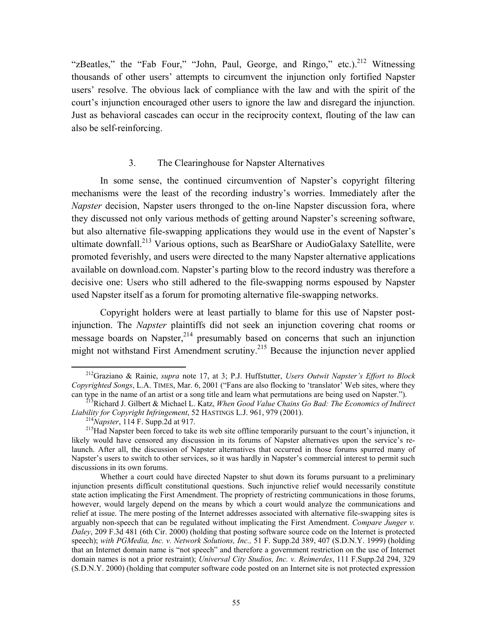<span id="page-56-3"></span>"zBeatles," the "Fab Four," "John, Paul, George, and Ringo," etc.).<sup>212</sup> Witnessing thousands of other users' attempts to circumvent the injunction only fortified Napster users' resolve. The obvious lack of compliance with the law and with the spirit of the court's injunction encouraged other users to ignore the law and disregard the injunction. Just as behavioral cascades can occur in the reciprocity context, flouting of the law can also be self-reinforcing.

## 3. The Clearinghouse for Napster Alternatives

In some sense, the continued circumvention of Napster's copyright filtering mechanisms were the least of the recording industry's worries. Immediately after the *Napster* decision, Napster users thronged to the on-line Napster discussion fora, where they discussed not only various methods of getting around Napster's screening software, but also alternative file-swapping applications they would use in the event of Napster's ultimate downfall.<sup>213</sup> Various options, such as BearShare or AudioGalaxy Satellite, were promoted feverishly, and users were directed to the many Napster alternative applications available on download.com. Napster's parting blow to the record industry was therefore a decisive one: Users who still adhered to the file-swapping norms espoused by Napster used Napster itself as a forum for promoting alternative file-swapping networks.

Copyright holders were at least partially to blame for this use of Napster postinjunction. The *Napster* plaintiffs did not seek an injunction covering chat rooms or message boards on Napster,<sup>214</sup> presumably based on concerns that such an injunction might not withstand First Amendment scrutiny.<sup>215</sup> Because the injunction never applied

<span id="page-56-0"></span> <sup>212</sup>Graziano & Rainie, *supra* note 17, at 3; P.J. Huffstutter, *Users Outwit Napster's Effort to Block Copyrighted Songs*, L.A. TIMES, Mar. 6, 2001 ("Fans are also flocking to 'translator<sup>3</sup> Web sites, where they can type in the name of an artist or a song title and learn what permutations are being used on Napster.").

<sup>&</sup>lt;sup>213</sup>Richard J. Gilbert & Michael L. Katz, *When Good Value Chains Go Bad: The Economics of Indirect*. *Liability for Copyright Infringement*, 52 HASTINGS L.J. 961, 979 (2001).

<span id="page-56-2"></span><span id="page-56-1"></span>

<sup>&</sup>lt;sup>214</sup>Napster, 114 F. Supp.2d at 917.<br><sup>215</sup>Had Napster been forced to take its web site offline temporarily pursuant to the court's injunction, it likely would have censored any discussion in its forums of Napster alternatives upon the service's relaunch. After all, the discussion of Napster alternatives that occurred in those forums spurred many of Napster's users to switch to other services, so it was hardly in Napster's commercial interest to permit such discussions in its own forums.

Whether a court could have directed Napster to shut down its forums pursuant to a preliminary injunction presents difficult constitutional questions. Such injunctive relief would necessarily constitute state action implicating the First Amendment. The propriety of restricting communications in those forums, however, would largely depend on the means by which a court would analyze the communications and relief at issue. The mere posting of the Internet addresses associated with alternative file-swapping sites is arguably non-speech that can be regulated without implicating the First Amendment. *Compare Junger v. Daley*, 209 F.3d 481 (6th Cir. 2000) (holding that posting software source code on the Internet is protected speech); *with PGMedia, Inc. v. Network Solutions, Inc.,* 51 F. Supp.2d 389, 407 (S.D.N.Y. 1999) (holding that an Internet domain name is "not speech" and therefore a government restriction on the use of Internet domain names is not a prior restraint); *Universal City Studios, Inc. v. Reimerdes*, 111 F.Supp.2d 294, 329 (S.D.N.Y. 2000) (holding that computer software code posted on an Internet site is not protected expression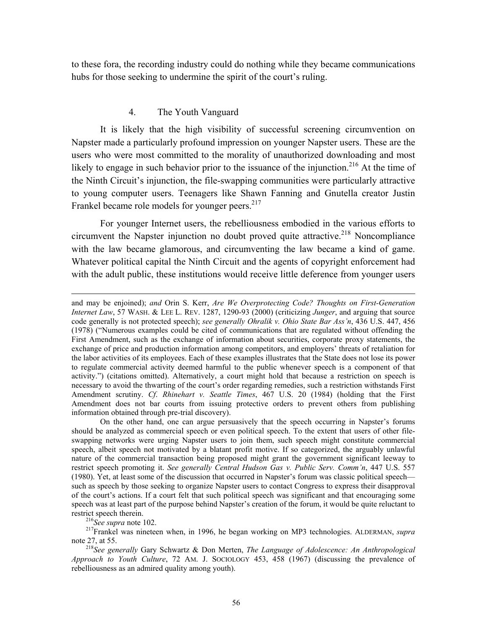to these fora, the recording industry could do nothing while they became communications hubs for those seeking to undermine the spirit of the court's ruling.

#### 4. The Youth Vanguard

It is likely that the high visibility of successful screening circumvention on Napster made a particularly profound impression on younger Napster users. These are the users who were most committed to the morality of unauthorized downloading and most likely to engage in such behavior prior to the issuance of the injunction.<sup>216</sup> At the time of the Ninth Circuit's injunction, the file-swapping communities were particularly attractive to young computer users. Teenagers like Shawn Fanning and Gnutella creator Justin Frankel became role models for younger peers.<sup>217</sup>

For younger Internet users, the rebelliousness embodied in the various efforts to circumvent the Napster injunction no doubt proved quite attractive.<sup>218</sup> Noncompliance with the law became glamorous, and circumventing the law became a kind of game. Whatever political capital the Ninth Circuit and the agents of copyright enforcement had with the adult public, these institutions would receive little deference from younger users

<span id="page-57-1"></span><span id="page-57-0"></span>

and may be enjoined); *and* Orin S. Kerr, *Are We Overprotecting Code? Thoughts on First-Generation Internet Law*, 57 WASH. & LEE L. REV. 1287, 1290-93 (2000) (criticizing *Junger*, and arguing that source code generally is not protected speech); *see generally Ohralik v. Ohio State Bar Ass'n*, 436 U.S. 447, 456 (1978) ("Numerous examples could be cited of communications that are regulated without offending the First Amendment, such as the exchange of information about securities, corporate proxy statements, the exchange of price and production information among competitors, and employers' threats of retaliation for the labor activities of its employees. Each of these examples illustrates that the State does not lose its power to regulate commercial activity deemed harmful to the public whenever speech is a component of that activity.") (citations omitted). Alternatively, a court might hold that because a restriction on speech is necessary to avoid the thwarting of the court's order regarding remedies, such a restriction withstands First Amendment scrutiny. *Cf*. *Rhinehart v. Seattle Times*, 467 U.S. 20 (1984) (holding that the First Amendment does not bar courts from issuing protective orders to prevent others from publishing information obtained through pre-trial discovery).

On the other hand, one can argue persuasively that the speech occurring in Napster's forums should be analyzed as commercial speech or even political speech. To the extent that users of other fileswapping networks were urging Napster users to join them, such speech might constitute commercial speech, albeit speech not motivated by a blatant profit motive. If so categorized, the arguably unlawful nature of the commercial transaction being proposed might grant the government significant leeway to restrict speech promoting it. *See generally Central Hudson Gas v. Public Serv. Comm'n*, 447 U.S. 557 (1980). Yet, at least some of the discussion that occurred in Napster's forum was classic political speech such as speech by those seeking to organize Napster users to contact Congress to express their disapproval of the court's actions. If a court felt that such political speech was significant and that encouraging some speech was at least part of the purpose behind Napster's creation of the forum, it would be quite reluctant to

restrict speech therein. 216*See supra* note 102. 217Frankel was nineteen when, in 1996, he began working on MP3 technologies. ALDERMAN, *supra*  note 27, at 55. 218*See generally* Gary Schwartz & Don Merten, *The Language of Adolescence: An Anthropological*

<span id="page-57-2"></span>*Approach to Youth Culture*, 72 AM. J. SOCIOLOGY 453, 458 (1967) (discussing the prevalence of rebelliousness as an admired quality among youth).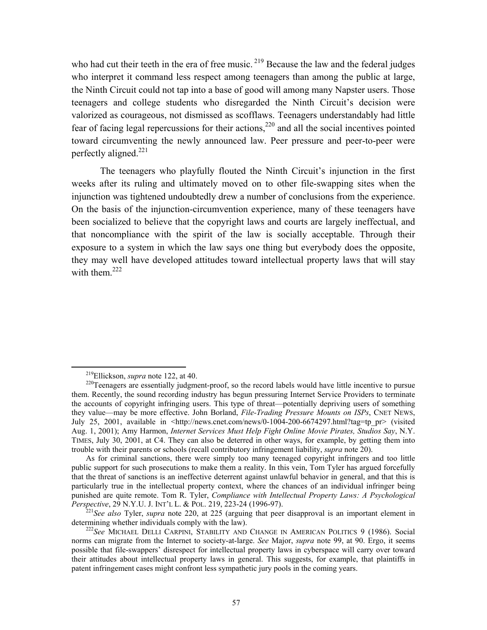who had cut their teeth in the era of free music.  $2^{19}$  Because the law and the federal judges who interpret it command less respect among teenagers than among the public at large, the Ninth Circuit could not tap into a base of good will among many Napster users. Those teenagers and college students who disregarded the Ninth Circuit's decision were valorized as courageous, not dismissed as scofflaws. Teenagers understandably had little fear of facing legal repercussions for their actions, $2^{20}$  and all the social incentives pointed toward circumventing the newly announced law. Peer pressure and peer-to-peer were perfectly aligned[.221](#page-58-2) 

The teenagers who playfully flouted the Ninth Circuit's injunction in the first weeks after its ruling and ultimately moved on to other file-swapping sites when the injunction was tightened undoubtedly drew a number of conclusions from the experience. On the basis of the injunction-circumvention experience, many of these teenagers have been socialized to believe that the copyright laws and courts are largely ineffectual, and that noncompliance with the spirit of the law is socially acceptable. Through their exposure to a system in which the law says one thing but everybody does the opposite, they may well have developed attitudes toward intellectual property laws that will stay with them.<sup>[222](#page-58-3)</sup>

<span id="page-58-1"></span><span id="page-58-0"></span>

<sup>&</sup>lt;sup>219</sup>Ellickson, *supra* note 122, at 40. <sup>220</sup>Teenagers are essentially judgment-proof, so the record labels would have little incentive to pursue them. Recently, the sound recording industry has begun pressuring Internet Service Providers to terminate the accounts of copyright infringing users. This type of threat—potentially depriving users of something they value—may be more effective. John Borland, *File-Trading Pressure Mounts on ISPs*, CNET NEWS, July 25, 2001, available in  $\text{Shttp://news.cnet.com/news/0-1004-200-6674297.html?tag=tp-pr}$  (visited Aug. 1, 2001); Amy Harmon, *Internet Services Must Help Fight Online Movie Pirates, Studios Say*, N.Y. TIMES, July 30, 2001, at C4. They can also be deterred in other ways, for example, by getting them into trouble with their parents or schools (recall contributory infringement liability, *supra* note 20).

As for criminal sanctions, there were simply too many teenaged copyright infringers and too little public support for such prosecutions to make them a reality. In this vein, Tom Tyler has argued forcefully that the threat of sanctions is an ineffective deterrent against unlawful behavior in general, and that this is particularly true in the intellectual property context, where the chances of an individual infringer being punished are quite remote. Tom R. Tyler, *Compliance with Intellectual Property Laws: A Psychological*

<span id="page-58-2"></span><sup>&</sup>lt;sup>221</sup> See also Tyler, *supra* note 220, at 225 (arguing that peer disapproval is an important element in determining whether individuals comply with the law).

<span id="page-58-3"></span><sup>&</sup>lt;sup>222</sup>See MICHAEL DELLI CARPINI, STABILITY AND CHANGE IN AMERICAN POLITICS 9 (1986). Social norms can migrate from the Internet to society-at-large. *See* Major, *supra* note 99, at 90. Ergo, it seems possible that file-swappers' disrespect for intellectual property laws in cyberspace will carry over toward their attitudes about intellectual property laws in general. This suggests, for example, that plaintiffs in patent infringement cases might confront less sympathetic jury pools in the coming years.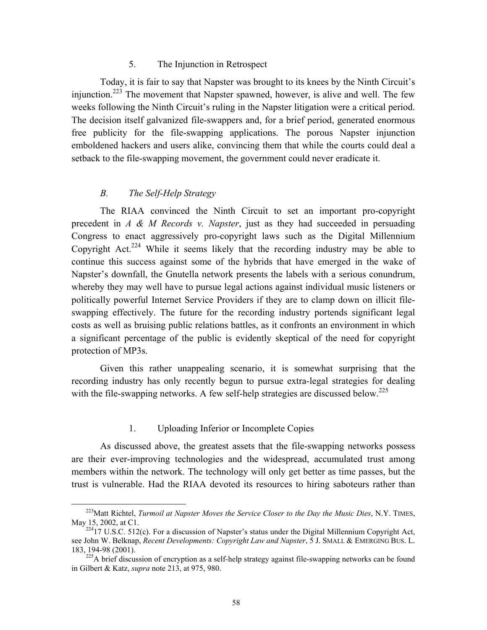#### 5. The Injunction in Retrospect

Today, it is fair to say that Napster was brought to its knees by the Ninth Circuit's injunction.[223](#page-59-0) The movement that Napster spawned, however, is alive and well. The few weeks following the Ninth Circuit's ruling in the Napster litigation were a critical period. The decision itself galvanized file-swappers and, for a brief period, generated enormous free publicity for the file-swapping applications. The porous Napster injunction emboldened hackers and users alike, convincing them that while the courts could deal a setback to the file-swapping movement, the government could never eradicate it.

# *B. The Self-Help Strategy*

The RIAA convinced the Ninth Circuit to set an important pro-copyright precedent in *A & M Records v. Napster*, just as they had succeeded in persuading Congress to enact aggressively pro-copyright laws such as the Digital Millennium Copyright Act.<sup>224</sup> While it seems likely that the recording industry may be able to continue this success against some of the hybrids that have emerged in the wake of Napster's downfall, the Gnutella network presents the labels with a serious conundrum, whereby they may well have to pursue legal actions against individual music listeners or politically powerful Internet Service Providers if they are to clamp down on illicit fileswapping effectively. The future for the recording industry portends significant legal costs as well as bruising public relations battles, as it confronts an environment in which a significant percentage of the public is evidently skeptical of the need for copyright protection of MP3s.

Given this rather unappealing scenario, it is somewhat surprising that the recording industry has only recently begun to pursue extra-legal strategies for dealing with the file-swapping networks. A few self-help strategies are discussed below.<sup>[225](#page-59-2)</sup>

## 1. Uploading Inferior or Incomplete Copies

As discussed above, the greatest assets that the file-swapping networks possess are their ever-improving technologies and the widespread, accumulated trust among members within the network. The technology will only get better as time passes, but the trust is vulnerable. Had the RIAA devoted its resources to hiring saboteurs rather than

<span id="page-59-0"></span> <sup>223</sup>Matt Richtel, *Turmoil at Napster Moves the Service Closer to the Day the Music Dies*, N.Y. TIMES, May 15, 2002, at C1.<br><sup>224</sup>17 U.S.C. 512(c). For a discussion of Napster's status under the Digital Millennium Copyright Act,

<span id="page-59-1"></span>see John W. Belknap, *Recent Developments: Copyright Law and Napster*, 5 J. SMALL & EMERGING BUS. L. 183, 194-98 (2001). 225A brief discussion of encryption as a self-help strategy against file-swapping networks can be found

<span id="page-59-2"></span>in Gilbert & Katz, *supra* note 213, at 975, 980.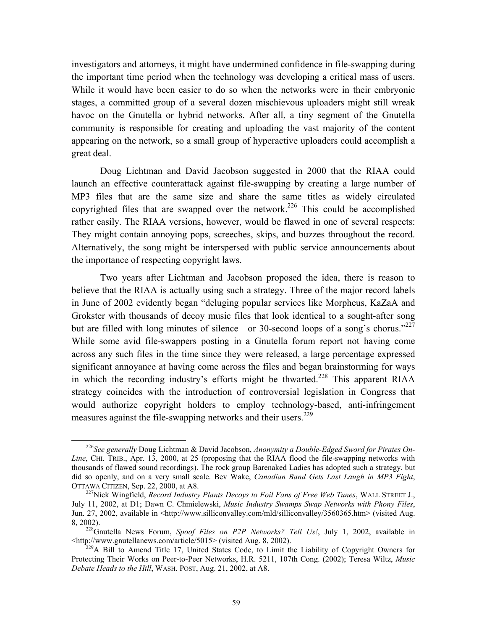investigators and attorneys, it might have undermined confidence in file-swapping during the important time period when the technology was developing a critical mass of users. While it would have been easier to do so when the networks were in their embryonic stages, a committed group of a several dozen mischievous uploaders might still wreak havoc on the Gnutella or hybrid networks. After all, a tiny segment of the Gnutella community is responsible for creating and uploading the vast majority of the content appearing on the network, so a small group of hyperactive uploaders could accomplish a great deal.

Doug Lichtman and David Jacobson suggested in 2000 that the RIAA could launch an effective counterattack against file-swapping by creating a large number of MP3 files that are the same size and share the same titles as widely circulated copyrighted files that are swapped over the network.<sup>226</sup> This could be accomplished rather easily. The RIAA versions, however, would be flawed in one of several respects: They might contain annoying pops, screeches, skips, and buzzes throughout the record. Alternatively, the song might be interspersed with public service announcements about the importance of respecting copyright laws.

Two years after Lichtman and Jacobson proposed the idea, there is reason to believe that the RIAA is actually using such a strategy. Three of the major record labels in June of 2002 evidently began "deluging popular services like Morpheus, KaZaA and Grokster with thousands of decoy music files that look identical to a sought-after song but are filled with long minutes of silence—or 30-second loops of a song's chorus."<sup>[227](#page-60-1)</sup> While some avid file-swappers posting in a Gnutella forum report not having come across any such files in the time since they were released, a large percentage expressed significant annoyance at having come across the files and began brainstorming for ways in which the recording industry's efforts might be thwarted.<sup>228</sup> This apparent RIAA strategy coincides with the introduction of controversial legislation in Congress that would authorize copyright holders to employ technology-based, anti-infringement measures against the file-swapping networks and their users.<sup>229</sup>

<span id="page-60-0"></span> <sup>226</sup>*See generally* Doug Lichtman & David Jacobson, *Anonymity a Double-Edged Sword for Pirates On-Line*, CHI. TRIB., Apr. 13, 2000, at 25 (proposing that the RIAA flood the file-swapping networks with thousands of flawed sound recordings). The rock group Barenaked Ladies has adopted such a strategy, but did so openly, and on a very small scale. Bev Wake, *Canadian Band Gets Last Laugh in MP3 Fight*,

<span id="page-60-1"></span><sup>&</sup>lt;sup>227</sup>Nick Wingfield, *Record Industry Plants Decoys to Foil Fans of Free Web Tunes*, WALL STREET J., July 11, 2002, at D1; Dawn C. Chmielewski, *Music Industry Swamps Swap Networks with Phony Files*, Jun. 27, 2002, available in <http://www.silliconvalley.com/mld/silliconvalley/3560365.htm> (visited Aug.

<span id="page-60-2"></span><sup>8, 2002).&</sup>lt;br><sup>228</sup>Gnutella News Forum, *Spoof Files on P2P Networks? Tell Us!*, July 1, 2002, available in <br>
shttp://www.gnutellanews.com/article/5015> (visited Aug. 8, 2002).

<span id="page-60-3"></span><sup>&</sup>lt;sup>229</sup>A Bill to Amend Title 17, United States Code, to Limit the Liability of Copyright Owners for Protecting Their Works on Peer-to-Peer Networks, H.R. 5211, 107th Cong. (2002); Teresa Wiltz, *Music Debate Heads to the Hill*, WASH. POST, Aug. 21, 2002, at A8.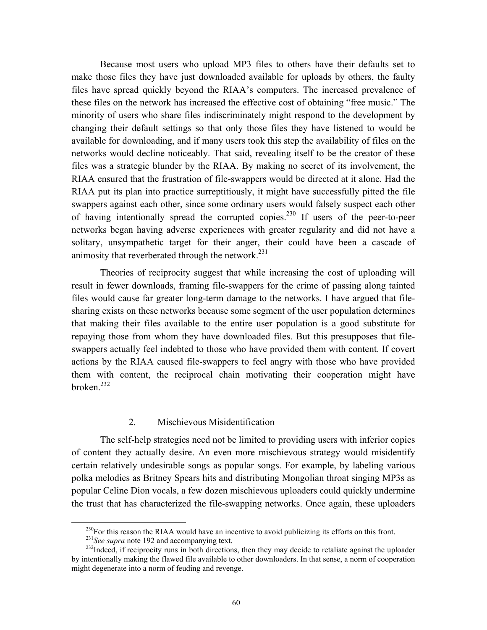Because most users who upload MP3 files to others have their defaults set to make those files they have just downloaded available for uploads by others, the faulty files have spread quickly beyond the RIAA's computers. The increased prevalence of these files on the network has increased the effective cost of obtaining "free music." The minority of users who share files indiscriminately might respond to the development by changing their default settings so that only those files they have listened to would be available for downloading, and if many users took this step the availability of files on the networks would decline noticeably. That said, revealing itself to be the creator of these files was a strategic blunder by the RIAA. By making no secret of its involvement, the RIAA ensured that the frustration of file-swappers would be directed at it alone. Had the RIAA put its plan into practice surreptitiously, it might have successfully pitted the file swappers against each other, since some ordinary users would falsely suspect each other of having intentionally spread the corrupted copies.<sup>230</sup> If users of the peer-to-peer networks began having adverse experiences with greater regularity and did not have a solitary, unsympathetic target for their anger, their could have been a cascade of animosity that reverberated through the network. $^{231}$ 

Theories of reciprocity suggest that while increasing the cost of uploading will result in fewer downloads, framing file-swappers for the crime of passing along tainted files would cause far greater long-term damage to the networks. I have argued that filesharing exists on these networks because some segment of the user population determines that making their files available to the entire user population is a good substitute for repaying those from whom they have downloaded files. But this presupposes that fileswappers actually feel indebted to those who have provided them with content. If covert actions by the RIAA caused file-swappers to feel angry with those who have provided them with content, the reciprocal chain motivating their cooperation might have  $b$ roken $232$ 

#### 2. Mischievous Misidentification

The self-help strategies need not be limited to providing users with inferior copies of content they actually desire. An even more mischievous strategy would misidentify certain relatively undesirable songs as popular songs. For example, by labeling various polka melodies as Britney Spears hits and distributing Mongolian throat singing MP3s as popular Celine Dion vocals, a few dozen mischievous uploaders could quickly undermine the trust that has characterized the file-swapping networks. Once again, these uploaders

<span id="page-61-0"></span>

<span id="page-61-2"></span><span id="page-61-1"></span>

<sup>&</sup>lt;sup>230</sup>For this reason the RIAA would have an incentive to avoid publicizing its efforts on this front.<br><sup>231</sup>See supra note 192 and accompanying text.<br><sup>232</sup>Indeed, if reciprocity runs in both directions, then they may decid by intentionally making the flawed file available to other downloaders. In that sense, a norm of cooperation might degenerate into a norm of feuding and revenge.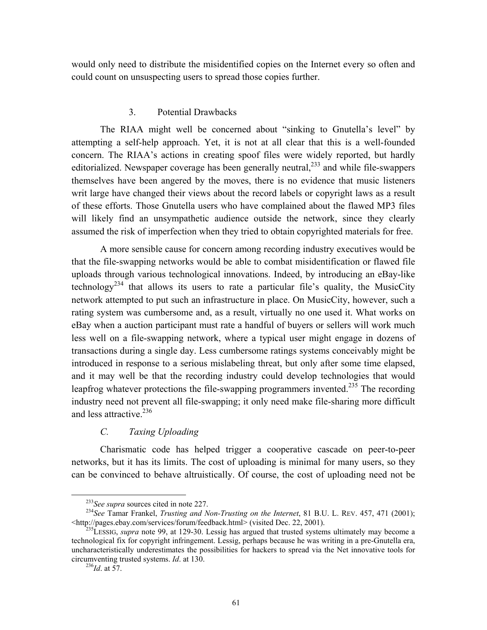would only need to distribute the misidentified copies on the Internet every so often and could count on unsuspecting users to spread those copies further.

#### 3. Potential Drawbacks

The RIAA might well be concerned about "sinking to Gnutella's level" by attempting a self-help approach. Yet, it is not at all clear that this is a well-founded concern. The RIAA's actions in creating spoof files were widely reported, but hardly editorialized. Newspaper coverage has been generally neutral,  $233$  and while file-swappers themselves have been angered by the moves, there is no evidence that music listeners writ large have changed their views about the record labels or copyright laws as a result of these efforts. Those Gnutella users who have complained about the flawed MP3 files will likely find an unsympathetic audience outside the network, since they clearly assumed the risk of imperfection when they tried to obtain copyrighted materials for free.

A more sensible cause for concern among recording industry executives would be that the file-swapping networks would be able to combat misidentification or flawed file uploads through various technological innovations. Indeed, by introducing an eBay-like technology<sup>234</sup> that allows its users to rate a particular file's quality, the MusicCity network attempted to put such an infrastructure in place. On MusicCity, however, such a rating system was cumbersome and, as a result, virtually no one used it. What works on eBay when a auction participant must rate a handful of buyers or sellers will work much less well on a file-swapping network, where a typical user might engage in dozens of transactions during a single day. Less cumbersome ratings systems conceivably might be introduced in response to a serious mislabeling threat, but only after some time elapsed, and it may well be that the recording industry could develop technologies that would leapfrog whatever protections the file-swapping programmers invented.<sup>235</sup> The recording industry need not prevent all file-swapping; it only need make file-sharing more difficult and less attractive. $236$ 

## *C. Taxing Uploading*

Charismatic code has helped trigger a cooperative cascade on peer-to-peer networks, but it has its limits. The cost of uploading is minimal for many users, so they can be convinced to behave altruistically. Of course, the cost of uploading need not be

<span id="page-62-1"></span><span id="page-62-0"></span>

<sup>&</sup>lt;sup>233</sup>See supra sources cited in note 227.<br><sup>234</sup>See Tamar Frankel, *Trusting and Non-Trusting on the Internet*, 81 B.U. L. REV. 457, 471 (2001);<br>
<http://pages.ebay.com/services/forum/feedback.html> (visited Dec. 22, 2001).

<span id="page-62-2"></span><sup>&</sup>lt;sup>235</sup>LESSIG, *supra* note 99, at 129-30. Lessig has argued that trusted systems ultimately may become a technological fix for copyright infringement. Lessig, perhaps because he was writing in a pre-Gnutella era, uncharacteristically underestimates the possibilities for hackers to spread via the Net innovative tools for circumventing trusted systems. *Id*. at 130. 236*Id*. at 57.

<span id="page-62-3"></span>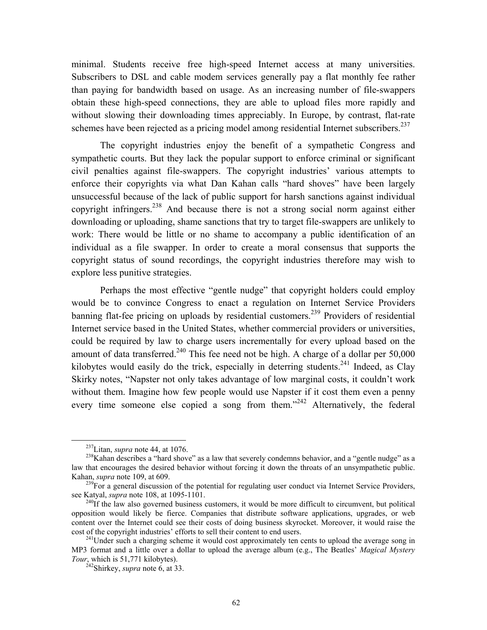minimal. Students receive free high-speed Internet access at many universities. Subscribers to DSL and cable modem services generally pay a flat monthly fee rather than paying for bandwidth based on usage. As an increasing number of file-swappers obtain these high-speed connections, they are able to upload files more rapidly and without slowing their downloading times appreciably. In Europe, by contrast, flat-rate schemes have been rejected as a pricing model among residential Internet subscribers.<sup>237</sup>

The copyright industries enjoy the benefit of a sympathetic Congress and sympathetic courts. But they lack the popular support to enforce criminal or significant civil penalties against file-swappers. The copyright industries' various attempts to enforce their copyrights via what Dan Kahan calls "hard shoves" have been largely unsuccessful because of the lack of public support for harsh sanctions against individual copyright infringers[.238](#page-63-1) And because there is not a strong social norm against either downloading or uploading, shame sanctions that try to target file-swappers are unlikely to work: There would be little or no shame to accompany a public identification of an individual as a file swapper. In order to create a moral consensus that supports the copyright status of sound recordings, the copyright industries therefore may wish to explore less punitive strategies.

Perhaps the most effective "gentle nudge" that copyright holders could employ would be to convince Congress to enact a regulation on Internet Service Providers banning flat-fee pricing on uploads by residential customers.<sup>239</sup> Providers of residential Internet service based in the United States, whether commercial providers or universities, could be required by law to charge users incrementally for every upload based on the amount of data transferred.<sup>240</sup> This fee need not be high. A charge of a dollar per  $50,000$ kilobytes would easily do the trick, especially in deterring students.<sup>241</sup> Indeed, as Clay Skirky notes, "Napster not only takes advantage of low marginal costs, it couldn't work without them. Imagine how few people would use Napster if it cost them even a penny every time someone else copied a song from them."<sup>242</sup> Alternatively, the federal

<span id="page-63-1"></span><span id="page-63-0"></span>

<sup>&</sup>lt;sup>237</sup>Litan, *supra* note 44, at 1076.<br><sup>238</sup>Kahan describes a "hard shove" as a law that severely condemns behavior, and a "gentle nudge" as a law that encourages the desired behavior without forcing it down the throats of an unsympathetic public.

<span id="page-63-2"></span>Kahan, *supra* note 109, at 609.<br><sup>239</sup>For a general discussion of the potential for regulating user conduct via Internet Service Providers, see Katyal, *supra* note 108, at 1095-1101.

<span id="page-63-3"></span><sup>&</sup>lt;sup>240</sup>If the law also governed business customers, it would be more difficult to circumvent, but political opposition would likely be fierce. Companies that distribute software applications, upgrades, or web content over the Internet could see their costs of doing business skyrocket. Moreover, it would raise the cost of the copyright industries' efforts to sell their content to end users.<br><sup>241</sup>Under such a charging scheme it would cost approximately ten cents to upload the average song in

<span id="page-63-4"></span>MP3 format and a little over a dollar to upload the average album (e.g., The Beatles' *Magical Mystery Tour*, which is 51,771 kilobytes). 242Shirkey, *supra* note 6, at 33.

<span id="page-63-5"></span>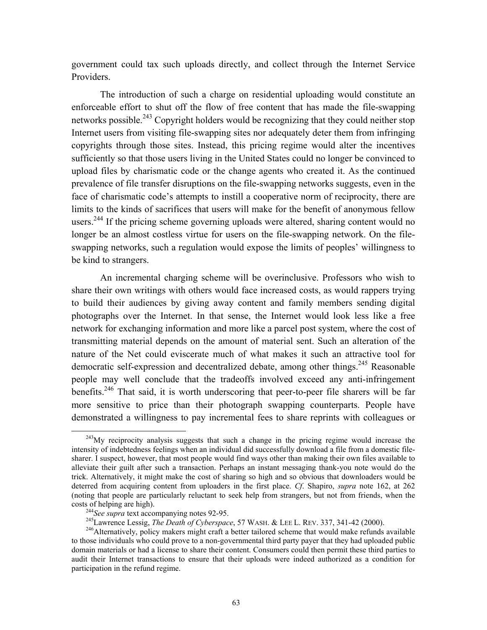government could tax such uploads directly, and collect through the Internet Service Providers.

The introduction of such a charge on residential uploading would constitute an enforceable effort to shut off the flow of free content that has made the file-swapping networks possible.<sup>243</sup> Copyright holders would be recognizing that they could neither stop Internet users from visiting file-swapping sites nor adequately deter them from infringing copyrights through those sites. Instead, this pricing regime would alter the incentives sufficiently so that those users living in the United States could no longer be convinced to upload files by charismatic code or the change agents who created it. As the continued prevalence of file transfer disruptions on the file-swapping networks suggests, even in the face of charismatic code's attempts to instill a cooperative norm of reciprocity, there are limits to the kinds of sacrifices that users will make for the benefit of anonymous fellow users.<sup>244</sup> If the pricing scheme governing uploads were altered, sharing content would no longer be an almost costless virtue for users on the file-swapping network. On the fileswapping networks, such a regulation would expose the limits of peoples' willingness to be kind to strangers.

An incremental charging scheme will be overinclusive. Professors who wish to share their own writings with others would face increased costs, as would rappers trying to build their audiences by giving away content and family members sending digital photographs over the Internet. In that sense, the Internet would look less like a free network for exchanging information and more like a parcel post system, where the cost of transmitting material depends on the amount of material sent. Such an alteration of the nature of the Net could eviscerate much of what makes it such an attractive tool for democratic self-expression and decentralized debate, among other things.<sup>245</sup> Reasonable people may well conclude that the tradeoffs involved exceed any anti-infringement benefits.<sup>246</sup> That said, it is worth underscoring that peer-to-peer file sharers will be far more sensitive to price than their photograph swapping counterparts. People have demonstrated a willingness to pay incremental fees to share reprints with colleagues or

<span id="page-64-0"></span> $^{243}$ My reciprocity analysis suggests that such a change in the pricing regime would increase the intensity of indebtedness feelings when an individual did successfully download a file from a domestic filesharer. I suspect, however, that most people would find ways other than making their own files available to alleviate their guilt after such a transaction. Perhaps an instant messaging thank-you note would do the trick. Alternatively, it might make the cost of sharing so high and so obvious that downloaders would be deterred from acquiring content from uploaders in the first place. *Cf*. Shapiro, *supra* note 162, at 262 (noting that people are particularly reluctant to seek help from strangers, but not from friends, when the costs of helping are high).<br><sup>244</sup>See supra text accompanying notes 92-95.<br><sup>245</sup>Lawrence Lessig, *The Death of Cyberspace*, 57 WASH. & LEE L. REV. 337, 341-42 (2000).<br><sup>246</sup>Alternatively, policy makers might craft a better t

<span id="page-64-1"></span>

<span id="page-64-3"></span><span id="page-64-2"></span>

to those individuals who could prove to a non-governmental third party payer that they had uploaded public domain materials or had a license to share their content. Consumers could then permit these third parties to audit their Internet transactions to ensure that their uploads were indeed authorized as a condition for participation in the refund regime.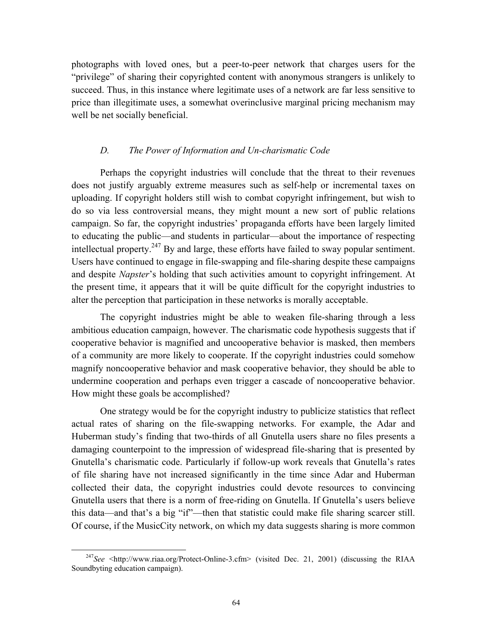photographs with loved ones, but a peer-to-peer network that charges users for the "privilege" of sharing their copyrighted content with anonymous strangers is unlikely to succeed. Thus, in this instance where legitimate uses of a network are far less sensitive to price than illegitimate uses, a somewhat overinclusive marginal pricing mechanism may well be net socially beneficial.

#### *D. The Power of Information and Un-charismatic Code*

Perhaps the copyright industries will conclude that the threat to their revenues does not justify arguably extreme measures such as self-help or incremental taxes on uploading. If copyright holders still wish to combat copyright infringement, but wish to do so via less controversial means, they might mount a new sort of public relations campaign. So far, the copyright industries' propaganda efforts have been largely limited to educating the public—and students in particular—about the importance of respecting intellectual property.<sup>247</sup> By and large, these efforts have failed to sway popular sentiment. Users have continued to engage in file-swapping and file-sharing despite these campaigns and despite *Napster*'s holding that such activities amount to copyright infringement. At the present time, it appears that it will be quite difficult for the copyright industries to alter the perception that participation in these networks is morally acceptable.

The copyright industries might be able to weaken file-sharing through a less ambitious education campaign, however. The charismatic code hypothesis suggests that if cooperative behavior is magnified and uncooperative behavior is masked, then members of a community are more likely to cooperate. If the copyright industries could somehow magnify noncooperative behavior and mask cooperative behavior, they should be able to undermine cooperation and perhaps even trigger a cascade of noncooperative behavior. How might these goals be accomplished?

One strategy would be for the copyright industry to publicize statistics that reflect actual rates of sharing on the file-swapping networks. For example, the Adar and Huberman study's finding that two-thirds of all Gnutella users share no files presents a damaging counterpoint to the impression of widespread file-sharing that is presented by Gnutella's charismatic code. Particularly if follow-up work reveals that Gnutella's rates of file sharing have not increased significantly in the time since Adar and Huberman collected their data, the copyright industries could devote resources to convincing Gnutella users that there is a norm of free-riding on Gnutella. If Gnutella's users believe this data—and that's a big "if"—then that statistic could make file sharing scarcer still. Of course, if the MusicCity network, on which my data suggests sharing is more common

<span id="page-65-0"></span><sup>&</sup>lt;sup>247</sup>See <http://www.riaa.org/Protect-Online-3.cfm> (visited Dec. 21, 2001) (discussing the RIAA Soundbyting education campaign).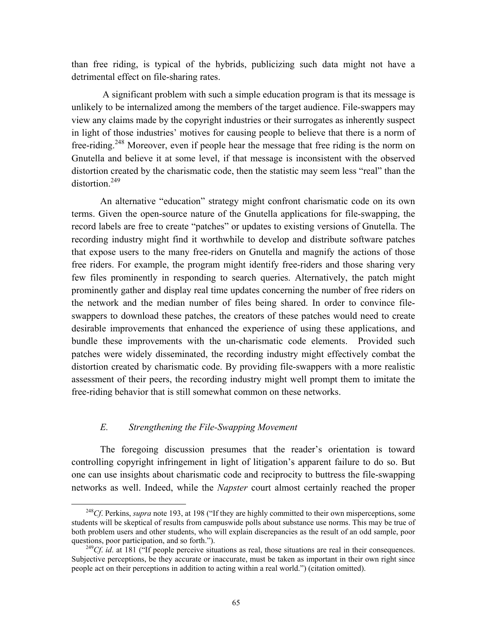than free riding, is typical of the hybrids, publicizing such data might not have a detrimental effect on file-sharing rates.

 A significant problem with such a simple education program is that its message is unlikely to be internalized among the members of the target audience. File-swappers may view any claims made by the copyright industries or their surrogates as inherently suspect in light of those industries' motives for causing people to believe that there is a norm of free-riding.<sup>248</sup> Moreover, even if people hear the message that free riding is the norm on Gnutella and believe it at some level, if that message is inconsistent with the observed distortion created by the charismatic code, then the statistic may seem less "real" than the  $distortion<sup>249</sup>$  $distortion<sup>249</sup>$  $distortion<sup>249</sup>$ 

An alternative "education" strategy might confront charismatic code on its own terms. Given the open-source nature of the Gnutella applications for file-swapping, the record labels are free to create "patches" or updates to existing versions of Gnutella. The recording industry might find it worthwhile to develop and distribute software patches that expose users to the many free-riders on Gnutella and magnify the actions of those free riders. For example, the program might identify free-riders and those sharing very few files prominently in responding to search queries. Alternatively, the patch might prominently gather and display real time updates concerning the number of free riders on the network and the median number of files being shared. In order to convince fileswappers to download these patches, the creators of these patches would need to create desirable improvements that enhanced the experience of using these applications, and bundle these improvements with the un-charismatic code elements. Provided such patches were widely disseminated, the recording industry might effectively combat the distortion created by charismatic code. By providing file-swappers with a more realistic assessment of their peers, the recording industry might well prompt them to imitate the free-riding behavior that is still somewhat common on these networks.

#### *E. Strengthening the File-Swapping Movement*

The foregoing discussion presumes that the reader's orientation is toward controlling copyright infringement in light of litigation's apparent failure to do so. But one can use insights about charismatic code and reciprocity to buttress the file-swapping networks as well. Indeed, while the *Napster* court almost certainly reached the proper

<span id="page-66-0"></span><sup>&</sup>lt;sup>248</sup>Cf. Perkins, *supra* note 193, at 198 ("If they are highly committed to their own misperceptions, some students will be skeptical of results from campuswide polls about substance use norms. This may be true of both problem users and other students, who will explain discrepancies as the result of an odd sample, poor questions, poor participation, and so forth.").<br><sup>249</sup>Cf. *id.* at 181 ("If people perceive situations as real, those situations are real in their consequences.

<span id="page-66-1"></span>Subjective perceptions, be they accurate or inaccurate, must be taken as important in their own right since people act on their perceptions in addition to acting within a real world.") (citation omitted).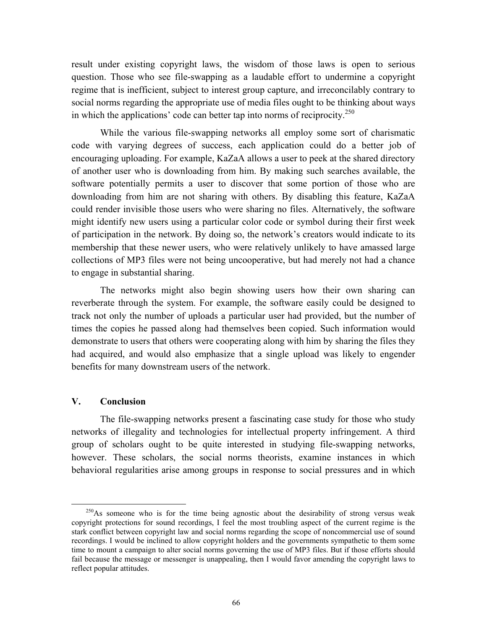result under existing copyright laws, the wisdom of those laws is open to serious question. Those who see file-swapping as a laudable effort to undermine a copyright regime that is inefficient, subject to interest group capture, and irreconcilably contrary to social norms regarding the appropriate use of media files ought to be thinking about ways in which the applications' code can better tap into norms of reciprocity.<sup>[250](#page-67-0)</sup>

While the various file-swapping networks all employ some sort of charismatic code with varying degrees of success, each application could do a better job of encouraging uploading. For example, KaZaA allows a user to peek at the shared directory of another user who is downloading from him. By making such searches available, the software potentially permits a user to discover that some portion of those who are downloading from him are not sharing with others. By disabling this feature, KaZaA could render invisible those users who were sharing no files. Alternatively, the software might identify new users using a particular color code or symbol during their first week of participation in the network. By doing so, the network's creators would indicate to its membership that these newer users, who were relatively unlikely to have amassed large collections of MP3 files were not being uncooperative, but had merely not had a chance to engage in substantial sharing.

The networks might also begin showing users how their own sharing can reverberate through the system. For example, the software easily could be designed to track not only the number of uploads a particular user had provided, but the number of times the copies he passed along had themselves been copied. Such information would demonstrate to users that others were cooperating along with him by sharing the files they had acquired, and would also emphasize that a single upload was likely to engender benefits for many downstream users of the network.

## **V. Conclusion**

The file-swapping networks present a fascinating case study for those who study networks of illegality and technologies for intellectual property infringement. A third group of scholars ought to be quite interested in studying file-swapping networks, however. These scholars, the social norms theorists, examine instances in which behavioral regularities arise among groups in response to social pressures and in which

<span id="page-67-0"></span> $^{250}$ As someone who is for the time being agnostic about the desirability of strong versus weak copyright protections for sound recordings, I feel the most troubling aspect of the current regime is the stark conflict between copyright law and social norms regarding the scope of noncommercial use of sound recordings. I would be inclined to allow copyright holders and the governments sympathetic to them some time to mount a campaign to alter social norms governing the use of MP3 files. But if those efforts should fail because the message or messenger is unappealing, then I would favor amending the copyright laws to reflect popular attitudes.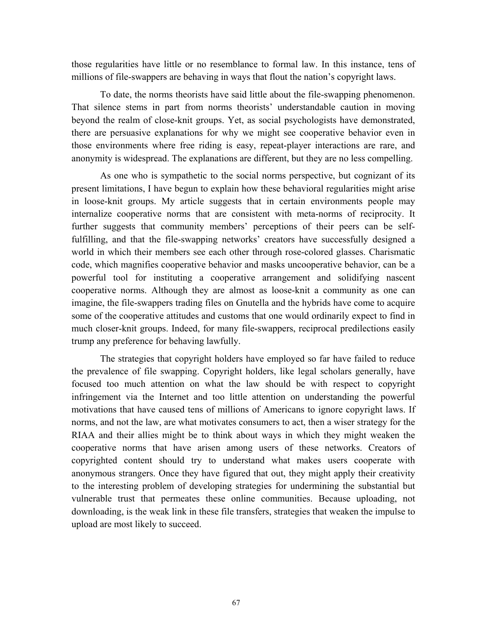those regularities have little or no resemblance to formal law. In this instance, tens of millions of file-swappers are behaving in ways that flout the nation's copyright laws.

To date, the norms theorists have said little about the file-swapping phenomenon. That silence stems in part from norms theorists' understandable caution in moving beyond the realm of close-knit groups. Yet, as social psychologists have demonstrated, there are persuasive explanations for why we might see cooperative behavior even in those environments where free riding is easy, repeat-player interactions are rare, and anonymity is widespread. The explanations are different, but they are no less compelling.

As one who is sympathetic to the social norms perspective, but cognizant of its present limitations, I have begun to explain how these behavioral regularities might arise in loose-knit groups. My article suggests that in certain environments people may internalize cooperative norms that are consistent with meta-norms of reciprocity. It further suggests that community members' perceptions of their peers can be selffulfilling, and that the file-swapping networks' creators have successfully designed a world in which their members see each other through rose-colored glasses. Charismatic code, which magnifies cooperative behavior and masks uncooperative behavior, can be a powerful tool for instituting a cooperative arrangement and solidifying nascent cooperative norms. Although they are almost as loose-knit a community as one can imagine, the file-swappers trading files on Gnutella and the hybrids have come to acquire some of the cooperative attitudes and customs that one would ordinarily expect to find in much closer-knit groups. Indeed, for many file-swappers, reciprocal predilections easily trump any preference for behaving lawfully.

The strategies that copyright holders have employed so far have failed to reduce the prevalence of file swapping. Copyright holders, like legal scholars generally, have focused too much attention on what the law should be with respect to copyright infringement via the Internet and too little attention on understanding the powerful motivations that have caused tens of millions of Americans to ignore copyright laws. If norms, and not the law, are what motivates consumers to act, then a wiser strategy for the RIAA and their allies might be to think about ways in which they might weaken the cooperative norms that have arisen among users of these networks. Creators of copyrighted content should try to understand what makes users cooperate with anonymous strangers. Once they have figured that out, they might apply their creativity to the interesting problem of developing strategies for undermining the substantial but vulnerable trust that permeates these online communities. Because uploading, not downloading, is the weak link in these file transfers, strategies that weaken the impulse to upload are most likely to succeed.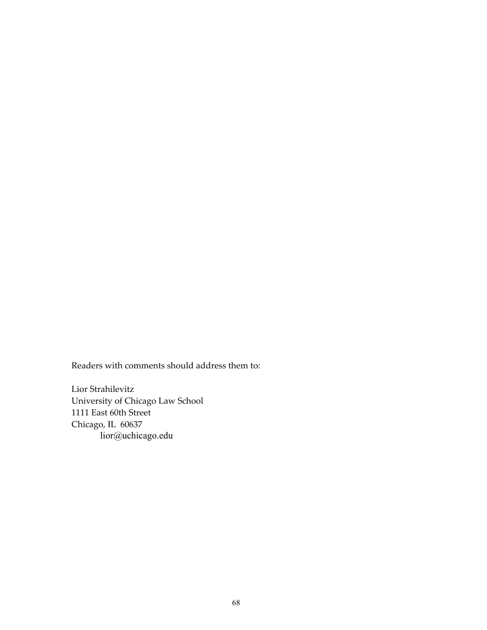Readers with comments should address them to:

Lior Strahilevitz University of Chicago Law School 1111 East 60th Street Chicago, IL 60637 lior@uchicago.edu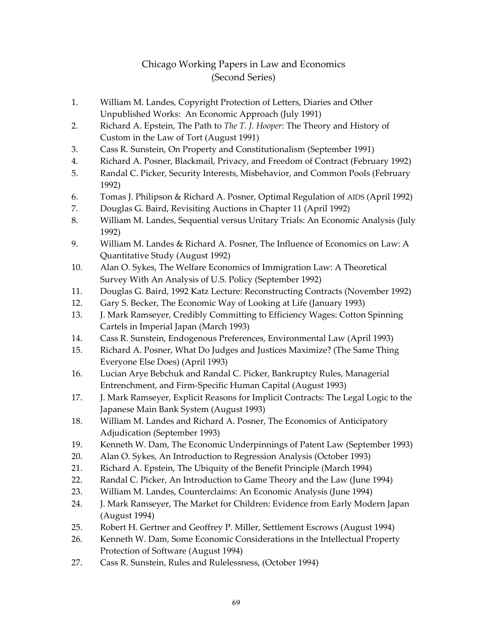# Chicago Working Papers in Law and Economics (Second Series)

- 1. William M. Landes, Copyright Protection of Letters, Diaries and Other Unpublished Works: An Economic Approach (July 1991)
- 2. Richard A. Epstein, The Path to *The T. J. Hooper*: The Theory and History of Custom in the Law of Tort (August 1991)
- 3. Cass R. Sunstein, On Property and Constitutionalism (September 1991)
- 4. Richard A. Posner, Blackmail, Privacy, and Freedom of Contract (February 1992)
- 5. Randal C. Picker, Security Interests, Misbehavior, and Common Pools (February 1992)
- 6. Tomas J. Philipson & Richard A. Posner, Optimal Regulation of AIDS (April 1992)
- 7. Douglas G. Baird, Revisiting Auctions in Chapter 11 (April 1992)
- 8. William M. Landes, Sequential versus Unitary Trials: An Economic Analysis (July 1992)
- 9. William M. Landes & Richard A. Posner, The Influence of Economics on Law: A Quantitative Study (August 1992)
- 10. Alan O. Sykes, The Welfare Economics of Immigration Law: A Theoretical Survey With An Analysis of U.S. Policy (September 1992)
- 11. Douglas G. Baird, 1992 Katz Lecture: Reconstructing Contracts (November 1992)
- 12. Gary S. Becker, The Economic Way of Looking at Life (January 1993)
- 13. J. Mark Ramseyer, Credibly Committing to Efficiency Wages: Cotton Spinning Cartels in Imperial Japan (March 1993)
- 14. Cass R. Sunstein, Endogenous Preferences, Environmental Law (April 1993)
- 15. Richard A. Posner, What Do Judges and Justices Maximize? (The Same Thing Everyone Else Does) (April 1993)
- 16. Lucian Arye Bebchuk and Randal C. Picker, Bankruptcy Rules, Managerial Entrenchment, and Firm-Specific Human Capital (August 1993)
- 17. J. Mark Ramseyer, Explicit Reasons for Implicit Contracts: The Legal Logic to the Japanese Main Bank System (August 1993)
- 18. William M. Landes and Richard A. Posner, The Economics of Anticipatory Adjudication (September 1993)
- 19. Kenneth W. Dam, The Economic Underpinnings of Patent Law (September 1993)
- 20. Alan O. Sykes, An Introduction to Regression Analysis (October 1993)
- 21. Richard A. Epstein, The Ubiquity of the Benefit Principle (March 1994)
- 22. Randal C. Picker, An Introduction to Game Theory and the Law (June 1994)
- 23. William M. Landes, Counterclaims: An Economic Analysis (June 1994)
- 24. J. Mark Ramseyer, The Market for Children: Evidence from Early Modern Japan (August 1994)
- 25. Robert H. Gertner and Geoffrey P. Miller, Settlement Escrows (August 1994)
- 26. Kenneth W. Dam, Some Economic Considerations in the Intellectual Property Protection of Software (August 1994)
- 27. Cass R. Sunstein, Rules and Rulelessness, (October 1994)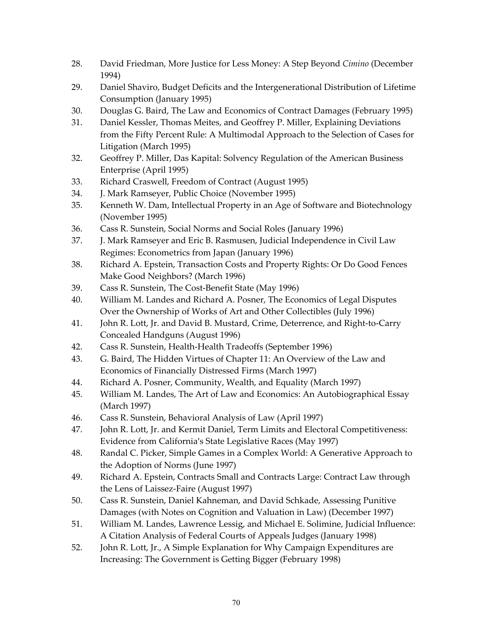- 28. David Friedman, More Justice for Less Money: A Step Beyond *Cimino* (December 1994)
- 29. Daniel Shaviro, Budget Deficits and the Intergenerational Distribution of Lifetime Consumption (January 1995)
- 30. Douglas G. Baird, The Law and Economics of Contract Damages (February 1995)
- 31. Daniel Kessler, Thomas Meites, and Geoffrey P. Miller, Explaining Deviations from the Fifty Percent Rule: A Multimodal Approach to the Selection of Cases for Litigation (March 1995)
- 32. Geoffrey P. Miller, Das Kapital: Solvency Regulation of the American Business Enterprise (April 1995)
- 33. Richard Craswell, Freedom of Contract (August 1995)
- 34. J. Mark Ramseyer, Public Choice (November 1995)
- 35. Kenneth W. Dam, Intellectual Property in an Age of Software and Biotechnology (November 1995)
- 36. Cass R. Sunstein, Social Norms and Social Roles (January 1996)
- 37. J. Mark Ramseyer and Eric B. Rasmusen, Judicial Independence in Civil Law Regimes: Econometrics from Japan (January 1996)
- 38. Richard A. Epstein, Transaction Costs and Property Rights: Or Do Good Fences Make Good Neighbors? (March 1996)
- 39. Cass R. Sunstein, The Cost-Benefit State (May 1996)
- 40. William M. Landes and Richard A. Posner, The Economics of Legal Disputes Over the Ownership of Works of Art and Other Collectibles (July 1996)
- 41. John R. Lott, Jr. and David B. Mustard, Crime, Deterrence, and Right-to-Carry Concealed Handguns (August 1996)
- 42. Cass R. Sunstein, Health-Health Tradeoffs (September 1996)
- 43. G. Baird, The Hidden Virtues of Chapter 11: An Overview of the Law and Economics of Financially Distressed Firms (March 1997)
- 44. Richard A. Posner, Community, Wealth, and Equality (March 1997)
- 45. William M. Landes, The Art of Law and Economics: An Autobiographical Essay (March 1997)
- 46. Cass R. Sunstein, Behavioral Analysis of Law (April 1997)
- 47. John R. Lott, Jr. and Kermit Daniel, Term Limits and Electoral Competitiveness: Evidence from California's State Legislative Races (May 1997)
- 48. Randal C. Picker, Simple Games in a Complex World: A Generative Approach to the Adoption of Norms (June 1997)
- 49. Richard A. Epstein, Contracts Small and Contracts Large: Contract Law through the Lens of Laissez-Faire (August 1997)
- 50. Cass R. Sunstein, Daniel Kahneman, and David Schkade, Assessing Punitive Damages (with Notes on Cognition and Valuation in Law) (December 1997)
- 51. William M. Landes, Lawrence Lessig, and Michael E. Solimine, Judicial Influence: A Citation Analysis of Federal Courts of Appeals Judges (January 1998)
- 52. John R. Lott, Jr., A Simple Explanation for Why Campaign Expenditures are Increasing: The Government is Getting Bigger (February 1998)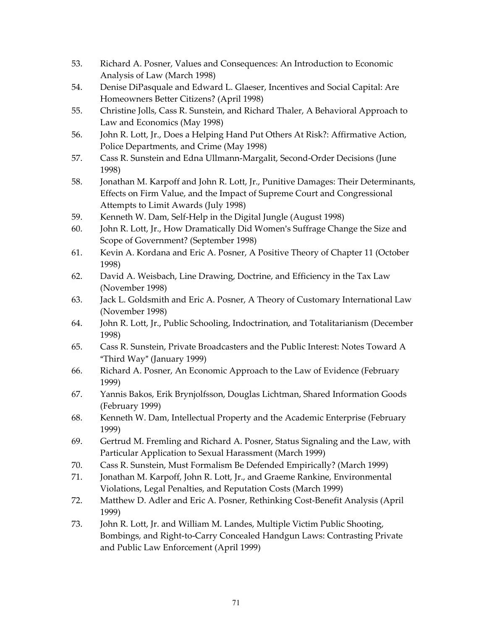- 53. Richard A. Posner, Values and Consequences: An Introduction to Economic Analysis of Law (March 1998)
- 54. Denise DiPasquale and Edward L. Glaeser, Incentives and Social Capital: Are Homeowners Better Citizens? (April 1998)
- 55. Christine Jolls, Cass R. Sunstein, and Richard Thaler, A Behavioral Approach to Law and Economics (May 1998)
- 56. John R. Lott, Jr., Does a Helping Hand Put Others At Risk?: Affirmative Action, Police Departments, and Crime (May 1998)
- 57. Cass R. Sunstein and Edna Ullmann-Margalit, Second-Order Decisions (June 1998)
- 58. Jonathan M. Karpoff and John R. Lott, Jr., Punitive Damages: Their Determinants, Effects on Firm Value, and the Impact of Supreme Court and Congressional Attempts to Limit Awards (July 1998)
- 59. Kenneth W. Dam, Self-Help in the Digital Jungle (August 1998)
- 60. John R. Lott, Jr., How Dramatically Did Women's Suffrage Change the Size and Scope of Government? (September 1998)
- 61. Kevin A. Kordana and Eric A. Posner, A Positive Theory of Chapter 11 (October 1998)
- 62. David A. Weisbach, Line Drawing, Doctrine, and Efficiency in the Tax Law (November 1998)
- 63. Jack L. Goldsmith and Eric A. Posner, A Theory of Customary International Law (November 1998)
- 64. John R. Lott, Jr., Public Schooling, Indoctrination, and Totalitarianism (December 1998)
- 65. Cass R. Sunstein, Private Broadcasters and the Public Interest: Notes Toward A "Third Way" (January 1999)
- 66. Richard A. Posner, An Economic Approach to the Law of Evidence (February 1999)
- 67. Yannis Bakos, Erik Brynjolfsson, Douglas Lichtman, Shared Information Goods (February 1999)
- 68. Kenneth W. Dam, Intellectual Property and the Academic Enterprise (February 1999)
- 69. Gertrud M. Fremling and Richard A. Posner, Status Signaling and the Law, with Particular Application to Sexual Harassment (March 1999)
- 70. Cass R. Sunstein, Must Formalism Be Defended Empirically? (March 1999)
- 71. Jonathan M. Karpoff, John R. Lott, Jr., and Graeme Rankine, Environmental Violations, Legal Penalties, and Reputation Costs (March 1999)
- 72. Matthew D. Adler and Eric A. Posner, Rethinking Cost-Benefit Analysis (April 1999)
- 73. John R. Lott, Jr. and William M. Landes, Multiple Victim Public Shooting, Bombings, and Right-to-Carry Concealed Handgun Laws: Contrasting Private and Public Law Enforcement (April 1999)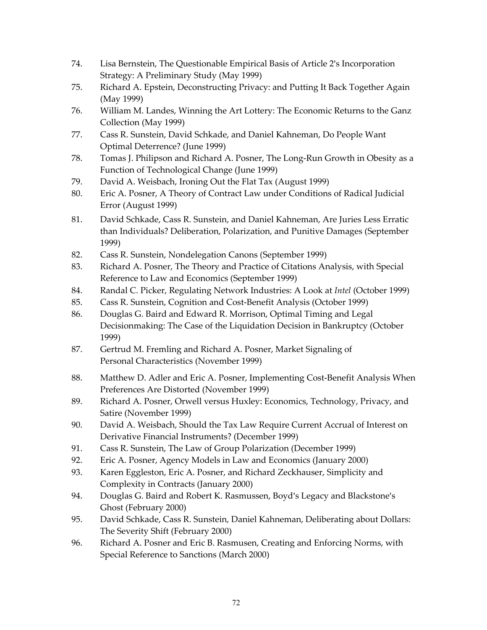- 74. Lisa Bernstein, The Questionable Empirical Basis of Article 2's Incorporation Strategy: A Preliminary Study (May 1999)
- 75. Richard A. Epstein, Deconstructing Privacy: and Putting It Back Together Again (May 1999)
- 76. William M. Landes, Winning the Art Lottery: The Economic Returns to the Ganz Collection (May 1999)
- 77. Cass R. Sunstein, David Schkade, and Daniel Kahneman, Do People Want Optimal Deterrence? (June 1999)
- 78. Tomas J. Philipson and Richard A. Posner, The Long-Run Growth in Obesity as a Function of Technological Change (June 1999)
- 79. David A. Weisbach, Ironing Out the Flat Tax (August 1999)
- 80. Eric A. Posner, A Theory of Contract Law under Conditions of Radical Judicial Error (August 1999)
- 81. David Schkade, Cass R. Sunstein, and Daniel Kahneman, Are Juries Less Erratic than Individuals? Deliberation, Polarization, and Punitive Damages (September 1999)
- 82. Cass R. Sunstein, Nondelegation Canons (September 1999)
- 83. Richard A. Posner, The Theory and Practice of Citations Analysis, with Special Reference to Law and Economics (September 1999)
- 84. Randal C. Picker, Regulating Network Industries: A Look at *Intel* (October 1999)
- 85. Cass R. Sunstein, Cognition and Cost-Benefit Analysis (October 1999)
- 86. Douglas G. Baird and Edward R. Morrison, Optimal Timing and Legal Decisionmaking: The Case of the Liquidation Decision in Bankruptcy (October 1999)
- 87. Gertrud M. Fremling and Richard A. Posner, Market Signaling of Personal Characteristics (November 1999)
- 88. Matthew D. Adler and Eric A. Posner, Implementing Cost-Benefit Analysis When Preferences Are Distorted (November 1999)
- 89. Richard A. Posner, Orwell versus Huxley: Economics, Technology, Privacy, and Satire (November 1999)
- 90. David A. Weisbach, Should the Tax Law Require Current Accrual of Interest on Derivative Financial Instruments? (December 1999)
- 91. Cass R. Sunstein, The Law of Group Polarization (December 1999)
- 92. Eric A. Posner, Agency Models in Law and Economics (January 2000)
- 93. Karen Eggleston, Eric A. Posner, and Richard Zeckhauser, Simplicity and Complexity in Contracts (January 2000)
- 94. Douglas G. Baird and Robert K. Rasmussen, Boyd's Legacy and Blackstone's Ghost (February 2000)
- 95. David Schkade, Cass R. Sunstein, Daniel Kahneman, Deliberating about Dollars: The Severity Shift (February 2000)
- 96. Richard A. Posner and Eric B. Rasmusen, Creating and Enforcing Norms, with Special Reference to Sanctions (March 2000)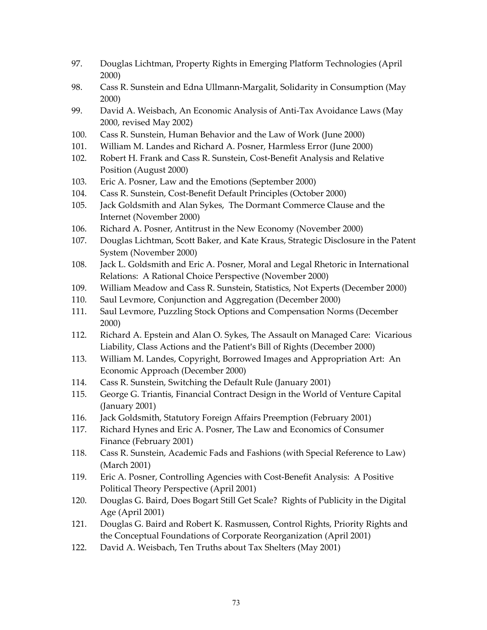- 97. Douglas Lichtman, Property Rights in Emerging Platform Technologies (April 2000)
- 98. Cass R. Sunstein and Edna Ullmann-Margalit, Solidarity in Consumption (May 2000)
- 99. David A. Weisbach, An Economic Analysis of Anti-Tax Avoidance Laws (May 2000, revised May 2002)
- 100. Cass R. Sunstein, Human Behavior and the Law of Work (June 2000)
- 101. William M. Landes and Richard A. Posner, Harmless Error (June 2000)
- 102. Robert H. Frank and Cass R. Sunstein, Cost-Benefit Analysis and Relative Position (August 2000)
- 103. Eric A. Posner, Law and the Emotions (September 2000)
- 104. Cass R. Sunstein, Cost-Benefit Default Principles (October 2000)
- 105. Jack Goldsmith and Alan Sykes, The Dormant Commerce Clause and the Internet (November 2000)
- 106. Richard A. Posner, Antitrust in the New Economy (November 2000)
- 107. Douglas Lichtman, Scott Baker, and Kate Kraus, Strategic Disclosure in the Patent System (November 2000)
- 108. Jack L. Goldsmith and Eric A. Posner, Moral and Legal Rhetoric in International Relations: A Rational Choice Perspective (November 2000)
- 109. William Meadow and Cass R. Sunstein, Statistics, Not Experts (December 2000)
- 110. Saul Levmore, Conjunction and Aggregation (December 2000)
- 111. Saul Levmore, Puzzling Stock Options and Compensation Norms (December 2000)
- 112. Richard A. Epstein and Alan O. Sykes, The Assault on Managed Care: Vicarious Liability, Class Actions and the Patient's Bill of Rights (December 2000)
- 113. William M. Landes, Copyright, Borrowed Images and Appropriation Art: An Economic Approach (December 2000)
- 114. Cass R. Sunstein, Switching the Default Rule (January 2001)
- 115. George G. Triantis, Financial Contract Design in the World of Venture Capital (January 2001)
- 116. Jack Goldsmith, Statutory Foreign Affairs Preemption (February 2001)
- 117. Richard Hynes and Eric A. Posner, The Law and Economics of Consumer Finance (February 2001)
- 118. Cass R. Sunstein, Academic Fads and Fashions (with Special Reference to Law) (March 2001)
- 119. Eric A. Posner, Controlling Agencies with Cost-Benefit Analysis: A Positive Political Theory Perspective (April 2001)
- 120. Douglas G. Baird, Does Bogart Still Get Scale? Rights of Publicity in the Digital Age (April 2001)
- 121. Douglas G. Baird and Robert K. Rasmussen, Control Rights, Priority Rights and the Conceptual Foundations of Corporate Reorganization (April 2001)
- 122. David A. Weisbach, Ten Truths about Tax Shelters (May 2001)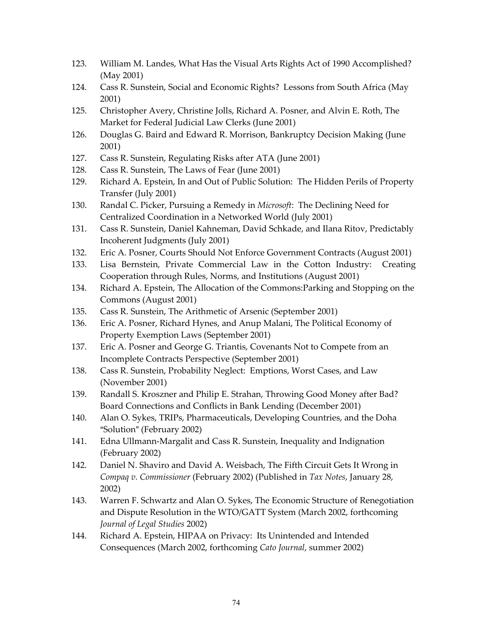- 123. William M. Landes, What Has the Visual Arts Rights Act of 1990 Accomplished? (May 2001)
- 124. Cass R. Sunstein, Social and Economic Rights? Lessons from South Africa (May 2001)
- 125. Christopher Avery, Christine Jolls, Richard A. Posner, and Alvin E. Roth, The Market for Federal Judicial Law Clerks (June 2001)
- 126. Douglas G. Baird and Edward R. Morrison, Bankruptcy Decision Making (June 2001)
- 127. Cass R. Sunstein, Regulating Risks after ATA (June 2001)
- 128. Cass R. Sunstein, The Laws of Fear (June 2001)
- 129. Richard A. Epstein, In and Out of Public Solution: The Hidden Perils of Property Transfer (July 2001)
- 130. Randal C. Picker, Pursuing a Remedy in *Microsoft*: The Declining Need for Centralized Coordination in a Networked World (July 2001)
- 131. Cass R. Sunstein, Daniel Kahneman, David Schkade, and Ilana Ritov, Predictably Incoherent Judgments (July 2001)
- 132. Eric A. Posner, Courts Should Not Enforce Government Contracts (August 2001)
- 133. Lisa Bernstein, Private Commercial Law in the Cotton Industry: Creating Cooperation through Rules, Norms, and Institutions (August 2001)
- 134. Richard A. Epstein, The Allocation of the Commons:Parking and Stopping on the Commons (August 2001)
- 135. Cass R. Sunstein, The Arithmetic of Arsenic (September 2001)
- 136. Eric A. Posner, Richard Hynes, and Anup Malani, The Political Economy of Property Exemption Laws (September 2001)
- 137. Eric A. Posner and George G. Triantis, Covenants Not to Compete from an Incomplete Contracts Perspective (September 2001)
- 138. Cass R. Sunstein, Probability Neglect: Emptions, Worst Cases, and Law (November 2001)
- 139. Randall S. Kroszner and Philip E. Strahan, Throwing Good Money after Bad? Board Connections and Conflicts in Bank Lending (December 2001)
- 140. Alan O. Sykes, TRIPs, Pharmaceuticals, Developing Countries, and the Doha "Solution" (February 2002)
- 141. Edna Ullmann-Margalit and Cass R. Sunstein, Inequality and Indignation (February 2002)
- 142. Daniel N. Shaviro and David A. Weisbach, The Fifth Circuit Gets It Wrong in *Compaq v. Commissioner* (February 2002) (Published in *Tax Notes*, January 28, 2002)
- 143. Warren F. Schwartz and Alan O. Sykes, The Economic Structure of Renegotiation and Dispute Resolution in the WTO/GATT System (March 2002, forthcoming *Journal of Legal Studies* 2002)
- 144. Richard A. Epstein, HIPAA on Privacy: Its Unintended and Intended Consequences (March 2002, forthcoming *Cato Journal*, summer 2002)